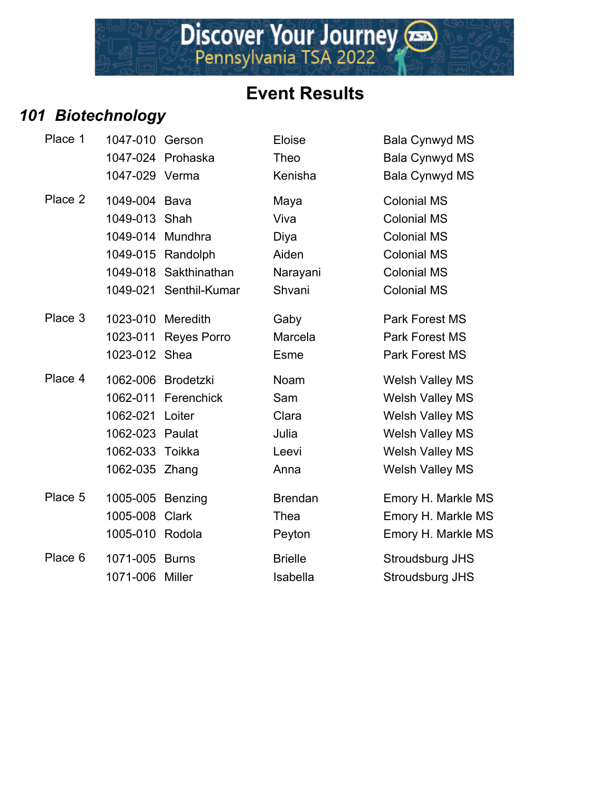Discover Your Journey

#### *101 Biotechnology*

| Place 1 | 1047-010 Gerson   |                        | Eloise         | Bala Cynwyd MS         |
|---------|-------------------|------------------------|----------------|------------------------|
|         |                   | 1047-024 Prohaska      | Theo           | <b>Bala Cynwyd MS</b>  |
|         | 1047-029 Verma    |                        | Kenisha        | <b>Bala Cynwyd MS</b>  |
| Place 2 | 1049-004 Bava     |                        | Maya           | <b>Colonial MS</b>     |
|         | 1049-013 Shah     |                        | Viva           | <b>Colonial MS</b>     |
|         | 1049-014 Mundhra  |                        | Diya           | <b>Colonial MS</b>     |
|         |                   | 1049-015 Randolph      | Aiden          | <b>Colonial MS</b>     |
|         |                   | 1049-018 Sakthinathan  | Narayani       | <b>Colonial MS</b>     |
|         |                   | 1049-021 Senthil-Kumar | Shvani         | <b>Colonial MS</b>     |
| Place 3 | 1023-010 Meredith |                        | Gaby           | <b>Park Forest MS</b>  |
|         | 1023-011          | Reyes Porro            | Marcela        | <b>Park Forest MS</b>  |
|         | 1023-012 Shea     |                        | <b>Esme</b>    | Park Forest MS         |
| Place 4 |                   | 1062-006 Brodetzki     | <b>Noam</b>    | <b>Welsh Valley MS</b> |
|         |                   | 1062-011 Ferenchick    | Sam            | Welsh Valley MS        |
|         | 1062-021          | Loiter                 | Clara          | <b>Welsh Valley MS</b> |
|         | 1062-023 Paulat   |                        | Julia          | <b>Welsh Valley MS</b> |
|         | 1062-033 Toikka   |                        | Leevi          | <b>Welsh Valley MS</b> |
|         | 1062-035 Zhang    |                        | Anna           | <b>Welsh Valley MS</b> |
| Place 5 | 1005-005 Benzing  |                        | <b>Brendan</b> | Emory H. Markle        |
|         | 1005-008          | Clark                  | Thea           | Emory H. Markle        |
|         | 1005-010 Rodola   |                        | Peyton         | Emory H. Markle        |
| Place 6 | 1071-005 Burns    |                        | <b>Brielle</b> | Stroudsburg JHS        |
|         | 1071-006          | Miller                 | Isabella       | Stroudsburg JHS        |

Eloise 11045-1020 Bala Cynwyd MS 1047-024 Pala Cynwyd MS 1047-029 Verma Kenisha Bala Cynwyd MS Place 2 1049-004 Bava Maya Colonial MS Viva Colonial MS 1049 Diya Colonial MS Aiden **Colonial MS** Narayani Colonial MS 1049 Shvani Colonial MS Gaby **Park Forest MS** Marcela **Park Forest MS** Esme **Park Forest MS** Noam Welsh Valley MS 1062 Sam Melsh Valley MS 10621 Clara **1062** Welsh Valley MS 1062 Julia 2002 - Welsh Valley MS Leevi **Welsh Valley MS** 1062-035 Zhang Anna Welsh Valley MS Brendan Emory H. Markle MS Thea Emory H. Markle MS Peyton Emory H. Markle MS Brielle **6 1071-1071-005 Stroudsburg JHS**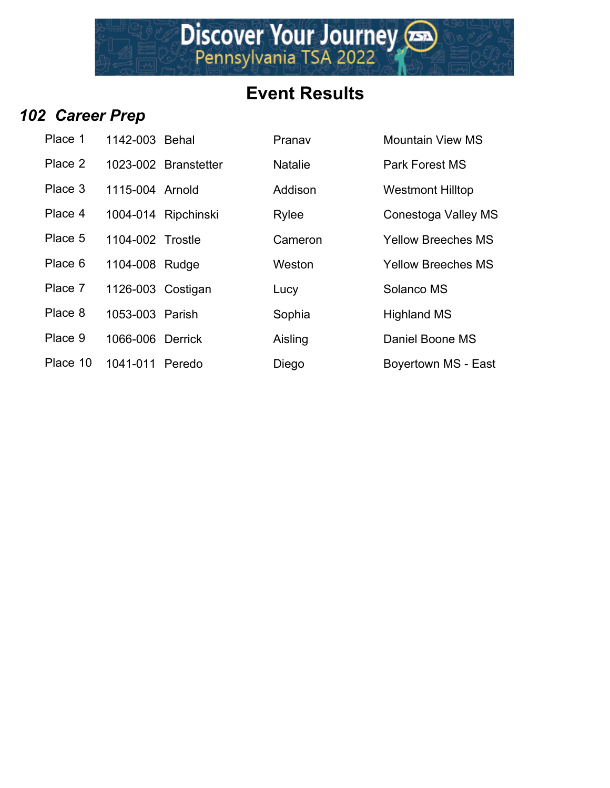#### *102 Career Prep*

| Place 1  | 1142-003 Behal    |                      | Pranav         | <b>Mountain View M</b>  |
|----------|-------------------|----------------------|----------------|-------------------------|
| Place 2  |                   | 1023-002 Branstetter | <b>Natalie</b> | <b>Park Forest MS</b>   |
| Place 3  | 1115-004 Arnold   |                      | Addison        | <b>Westmont Hilltop</b> |
| Place 4  |                   | 1004-014 Ripchinski  | Rylee          | Conestoga Valley        |
| Place 5  | 1104-002 Trostle  |                      | Cameron        | <b>Yellow Breeches</b>  |
| Place 6  | 1104-008 Rudge    |                      | Weston         | <b>Yellow Breeches</b>  |
| Place 7  | 1126-003 Costigan |                      | Lucy           | Solanco MS              |
| Place 8  | 1053-003 Parish   |                      | Sophia         | <b>Highland MS</b>      |
| Place 9  | 1066-006 Derrick  |                      | Aisling        | Daniel Boone MS         |
| Place 10 | 1041-011 Peredo   |                      | Dieao          | Bovertown MS - F        |

| Place 1  | 1142-003 Behal    |                      | Pranav         | <b>Mountain View MS</b>   |
|----------|-------------------|----------------------|----------------|---------------------------|
| Place 2  |                   | 1023-002 Branstetter | <b>Natalie</b> | <b>Park Forest MS</b>     |
| Place 3  | 1115-004 Arnold   |                      | Addison        | <b>Westmont Hilltop</b>   |
| Place 4  |                   | 1004-014 Ripchinski  | Rylee          | Conestoga Valley MS       |
| Place 5  | 1104-002 Trostle  |                      | Cameron        | <b>Yellow Breeches MS</b> |
| Place 6  | 1104-008 Rudge    |                      | Weston         | <b>Yellow Breeches MS</b> |
| Place 7  | 1126-003 Costigan |                      | Lucy           | Solanco MS                |
| Place 8  | 1053-003 Parish   |                      | Sophia         | <b>Highland MS</b>        |
| Place 9  | 1066-006 Derrick  |                      | Aisling        | Daniel Boone MS           |
| Place 10 | 1041-011 Peredo   |                      | Diego          | Boyertown MS - East       |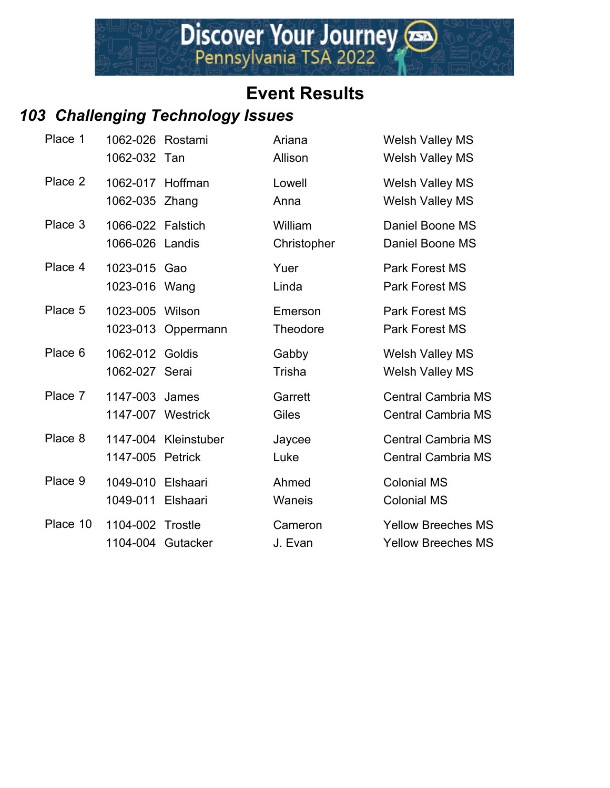## *103 Challenging Technology Issues*

| Place 1  | 1062-026 Rostami<br>1062-032 Tan     |                                 | Ariana<br>Allison      | <b>Welsh Valley MS</b><br><b>Welsh Valley MS</b>       |
|----------|--------------------------------------|---------------------------------|------------------------|--------------------------------------------------------|
| Place 2  | 1062-017 Hoffman<br>1062-035         | Zhang                           | Lowell<br>Anna         | <b>Welsh Valley MS</b><br><b>Welsh Valley MS</b>       |
| Place 3  | 1066-022 Falstich<br>1066-026 Landis |                                 | William<br>Christopher | Daniel Boone MS<br>Daniel Boone MS                     |
| Place 4  | 1023-015 Gao<br>1023-016 Wang        |                                 | Yuer<br>Linda          | <b>Park Forest MS</b><br><b>Park Forest MS</b>         |
| Place 5  | 1023-005 Wilson                      | 1023-013 Oppermann              | Emerson<br>Theodore    | <b>Park Forest MS</b><br><b>Park Forest MS</b>         |
| Place 6  | 1062-012 Goldis<br>1062-027 Serai    |                                 | Gabby<br>Trisha        | <b>Welsh Valley MS</b><br><b>Welsh Valley MS</b>       |
| Place 7  | 1147-003 James<br>1147-007 Westrick  |                                 | Garrett<br>Giles       | <b>Central Cambria MS</b><br><b>Central Cambria MS</b> |
| Place 8  | 1147-005                             | 1147-004 Kleinstuber<br>Petrick | Jaycee<br>Luke         | <b>Central Cambria MS</b><br><b>Central Cambria MS</b> |
| Place 9  | 1049-010<br>1049-011                 | Elshaari<br>Elshaari            | Ahmed<br>Waneis        | <b>Colonial MS</b><br><b>Colonial MS</b>               |
| Place 10 | 1104-002 Trostle                     | 1104-004 Gutacker               | Cameron<br>J. Evan     | <b>Yellow Breeches MS</b><br><b>Yellow Breeches MS</b> |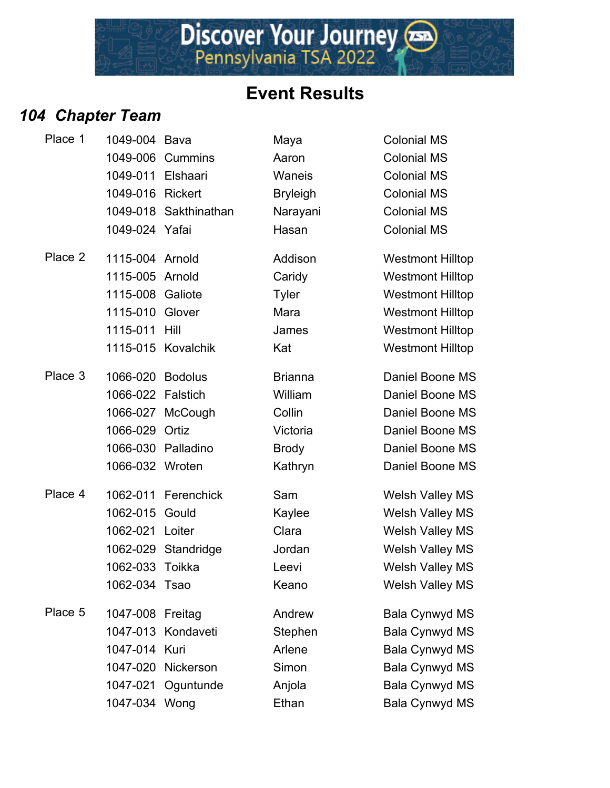Discover Your Journey

## *104 Chapter Team*

| Place 1 | 1049-004          | Bava                  | Maya            | <b>Colonial MS</b>      |
|---------|-------------------|-----------------------|-----------------|-------------------------|
|         | 1049-006          | <b>Cummins</b>        | Aaron           | <b>Colonial MS</b>      |
|         | 1049-011          | Elshaari              | Waneis          | <b>Colonial MS</b>      |
|         | 1049-016          | <b>Rickert</b>        | <b>Bryleigh</b> | <b>Colonial MS</b>      |
|         |                   | 1049-018 Sakthinathan | Narayani        | <b>Colonial MS</b>      |
|         | 1049-024 Yafai    |                       | Hasan           | <b>Colonial MS</b>      |
| Place 2 | 1115-004 Arnold   |                       | Addison         | <b>Westmont Hilltop</b> |
|         | 1115-005 Arnold   |                       | Caridy          | <b>Westmont Hilltop</b> |
|         | 1115-008 Galiote  |                       | <b>Tyler</b>    | <b>Westmont Hilltop</b> |
|         | 1115-010          | Glover                | Mara            | <b>Westmont Hilltop</b> |
|         | 1115-011          | Hill                  | James           | <b>Westmont Hilltop</b> |
|         |                   | 1115-015 Kovalchik    | Kat             | <b>Westmont Hilltop</b> |
| Place 3 | 1066-020 Bodolus  |                       | <b>Brianna</b>  | Daniel Boone MS         |
|         | 1066-022 Falstich |                       | William         | Daniel Boone MS         |
|         |                   | 1066-027 McCough      | Collin          | Daniel Boone MS         |
|         | 1066-029 Ortiz    |                       | Victoria        | Daniel Boone MS         |
|         |                   | 1066-030 Palladino    | <b>Brody</b>    | Daniel Boone MS         |
|         | 1066-032 Wroten   |                       | Kathryn         | Daniel Boone MS         |
| Place 4 | 1062-011          | Ferenchick            | Sam             | <b>Welsh Valley MS</b>  |
|         | 1062-015          | Gould                 | Kaylee          | <b>Welsh Valley MS</b>  |
|         | 1062-021          | Loiter                | Clara           | <b>Welsh Valley MS</b>  |
|         |                   | 1062-029 Standridge   | Jordan          | <b>Welsh Valley MS</b>  |
|         | 1062-033          | Toikka                | Leevi           | <b>Welsh Valley MS</b>  |
|         | 1062-034 Tsao     |                       | Keano           | <b>Welsh Valley MS</b>  |
| Place 5 | 1047-008 Freitag  |                       | Andrew          | <b>Bala Cynwyd MS</b>   |
|         |                   | 1047-013 Kondaveti    | Stephen         | <b>Bala Cynwyd MS</b>   |
|         | 1047-014 Kuri     |                       | Arlene          | <b>Bala Cynwyd MS</b>   |
|         | 1047-020          | Nickerson             | Simon           | <b>Bala Cynwyd MS</b>   |
|         | 1047-021          | Oguntunde             | Anjola          | <b>Bala Cynwyd MS</b>   |
|         | 1047-034 Wong     |                       | Ethan           | <b>Bala Cynwyd MS</b>   |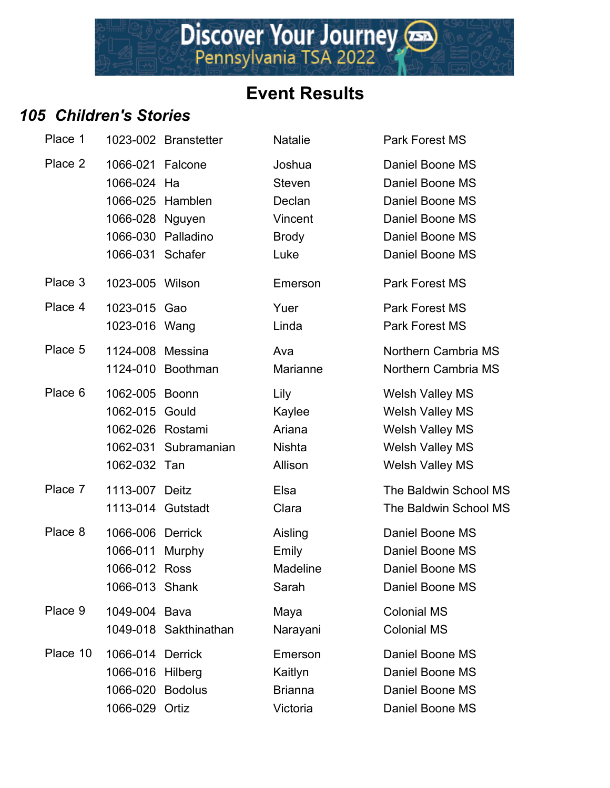# Discover Your Journey

#### **Event Results**

#### *105 Children's Stories*

| Place 1  |                                 | 1023-002 Branstetter  | Na         |
|----------|---------------------------------|-----------------------|------------|
| Place 2  | 1066-021 Falcone<br>1066-024 Ha |                       | Jo:<br>Sto |
|          | 1066-025 Hamblen                |                       | De         |
|          | 1066-028 Nguyen                 |                       | Vir        |
|          |                                 | 1066-030 Palladino    | <b>Br</b>  |
|          | 1066-031 Schafer                |                       | Lu         |
| Place 3  | 1023-005 Wilson                 |                       | En         |
| Place 4  | 1023-015 Gao                    |                       | Yu         |
|          | 1023-016 Wang                   |                       | Lir        |
| Place 5  | 1124-008 Messina                |                       | Av         |
|          |                                 | 1124-010 Boothman     | Mε         |
| Place 6  | 1062-005 Boonn                  |                       | Lil        |
|          | 1062-015 Gould                  |                       | Ka         |
|          | 1062-026 Rostami                |                       | Ari        |
|          |                                 | 1062-031 Subramanian  | Nis        |
|          | 1062-032 Tan                    |                       | All        |
| Place 7  | 1113-007 Deitz                  |                       | Els        |
|          | 1113-014 Gutstadt               |                       | Cla        |
| Place 8  | 1066-006                        | <b>Derrick</b>        | Ais        |
|          | 1066-011 Murphy                 |                       | En         |
|          | 1066-012                        | <b>Ross</b>           | Мε         |
|          | 1066-013 Shank                  |                       | Sa         |
| Place 9  | 1049-004 Bava                   |                       | Мε         |
|          |                                 | 1049-018 Sakthinathan | Na         |
| Place 10 | 1066-014                        | <b>Derrick</b>        | En         |
|          | 1066-016 Hilberg                |                       | Ka         |
|          | 1066-020 Bodolus                |                       | Bri        |
|          | 1066-029 Ortiz                  |                       | Vic        |

talie 1223-1 Park Forest MS shua **Daniel Boone MS** even **1066** Daniel Boone MS eclan Daniel Boone MS ncent Daniel Boone MS 1066 Palladino Daniel Boone MS **1066** Schafer Luke Daniel Boone MS nerson **Park Forest MS** er **1023-1023-015 Park Forest MS** nda **Park Forest MS** ra 5 1124-008 Morthern Cambria MS arianne **Northern Cambria MS** y **Place 6 1062-006** Welsh Valley MS 1962 Welsh Valley MS 1262 Iana Melsh Valley MS 1062 Shta Welsh Valley MS 11621 Tan Allison Welsh Valley MS exa The Baldwin School MS ara **1113-1113-1113-1113** The Baldwin School MS **Place 8 1066 Daniel Boone MS** nily **Daniel Boone MS** adeline **Daniel Boone MS** Infidence Indian Daniel Boone MS Place 9 1049-004 Bava Colonial MS Inayani Colonial MS nerson Daniel Boone MS itlyn Daniel Boone MS 1066-020 Bodolus Brianna Daniel Boone MS 1066-029 Ortiz Victoria Daniel Boone MS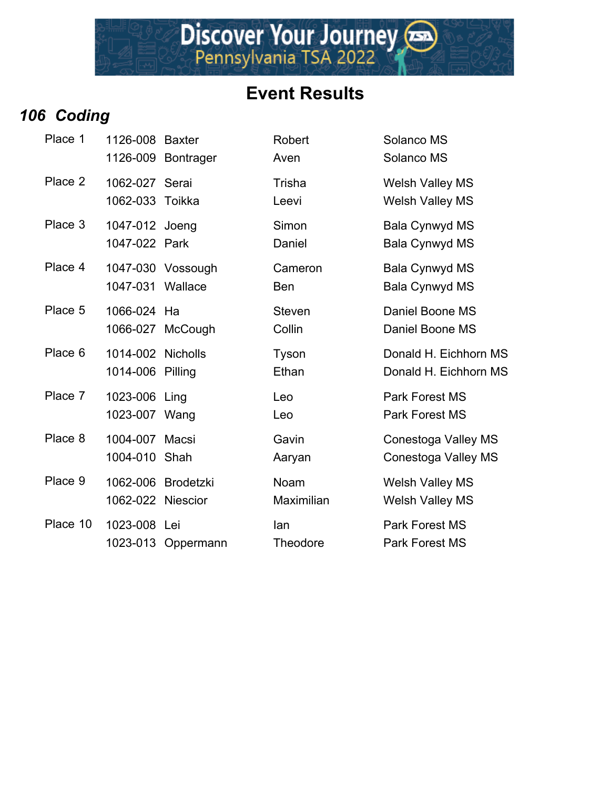#### *106 Coding*

| Place 1  | 1126-008 Baxter                         | 1126-009 Bontrager | Robert<br>Aven          | Solanco MS<br>Solanco MS                         |
|----------|-----------------------------------------|--------------------|-------------------------|--------------------------------------------------|
| Place 2  | 1062-027 Serai<br>1062-033 Toikka       |                    | Trisha<br>Leevi         | <b>Welsh Valley MS</b><br><b>Welsh Valley MS</b> |
| Place 3  | 1047-012 Joeng<br>1047-022 Park         |                    | Simon<br>Daniel         | <b>Bala Cynwyd MS</b><br><b>Bala Cynwyd MS</b>   |
| Place 4  | 1047-031 Wallace                        | 1047-030 Vossough  | Cameron<br><b>Ben</b>   | <b>Bala Cynwyd MS</b><br><b>Bala Cynwyd MS</b>   |
| Place 5  | 1066-024 Ha                             | 1066-027 McCough   | <b>Steven</b><br>Collin | Daniel Boone MS<br>Daniel Boone MS               |
| Place 6  | 1014-002 Nicholls<br>1014-006 Pilling   |                    | Tyson<br>Ethan          | Donald H. Eichhorn MS<br>Donald H. Eichhorn MS   |
| Place 7  | 1023-006 Ling<br>1023-007 Wang          |                    | Leo<br>Leo              | <b>Park Forest MS</b><br><b>Park Forest MS</b>   |
| Place 8  | 1004-007 Macsi<br>1004-010 Shah         |                    | Gavin<br>Aaryan         | Conestoga Valley MS<br>Conestoga Valley MS       |
| Place 9  | 1062-006 Brodetzki<br>1062-022 Niescior |                    | Noam<br>Maximilian      | <b>Welsh Valley MS</b><br><b>Welsh Valley MS</b> |
| Place 10 | 1023-008 Lei                            | 1023-013 Oppermann | lan<br><b>Theodore</b>  | <b>Park Forest MS</b><br><b>Park Forest MS</b>   |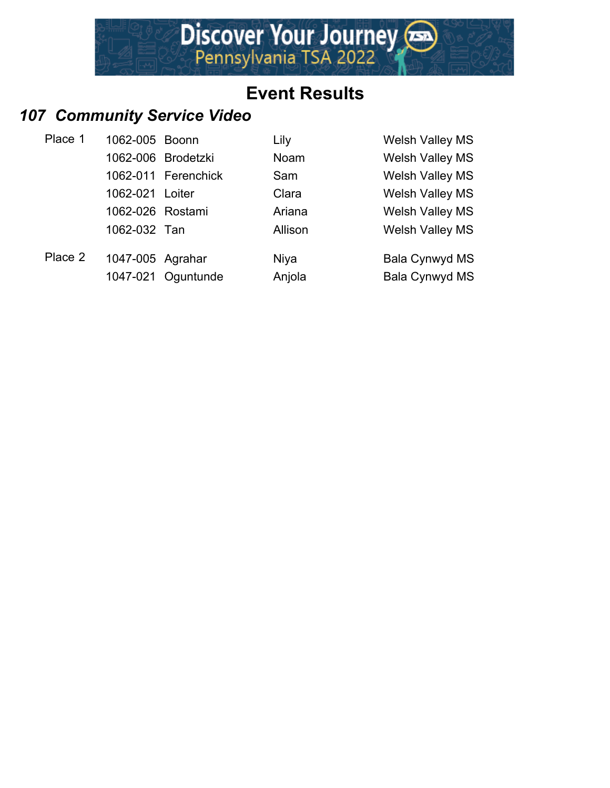

#### *107 Community Service Video*

| Place 1 | 1062-005 Boonn   |                     | Lily        | <b>Welsh Valley MS</b> |
|---------|------------------|---------------------|-------------|------------------------|
|         |                  | 1062-006 Brodetzki  | Noam        | <b>Welsh Valley MS</b> |
|         |                  | 1062-011 Ferenchick | Sam         | <b>Welsh Valley MS</b> |
|         | 1062-021 Loiter  |                     | Clara       | <b>Welsh Valley MS</b> |
|         | 1062-026 Rostami |                     | Ariana      | <b>Welsh Valley MS</b> |
|         | 1062-032 Tan     |                     | Allison     | <b>Welsh Valley MS</b> |
| Place 2 | 1047-005 Agrahar |                     | <b>Niya</b> | Bala Cynwyd MS         |
|         |                  | 1047-021 Oguntunde  | Anjola      | <b>Bala Cynwyd MS</b>  |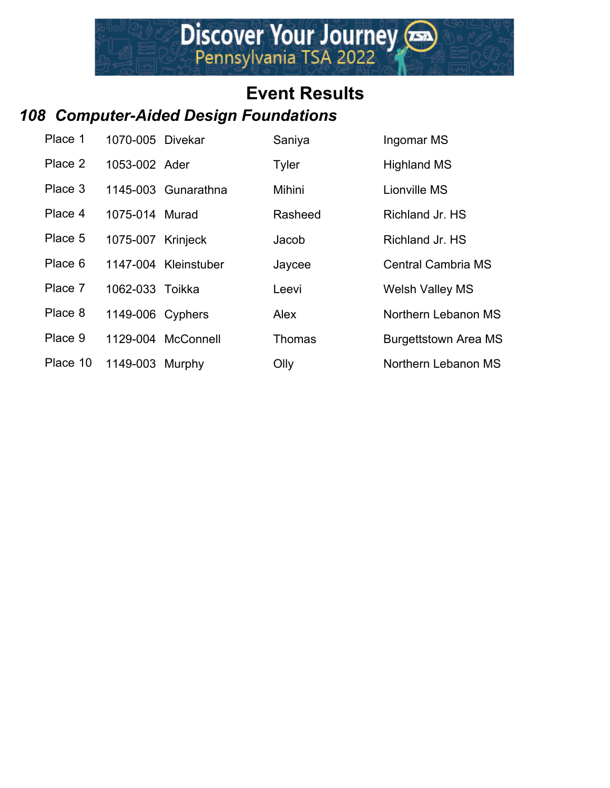#### *108 Computer-Aided Design Foundations*

| Place 1  | 1070-005 Divekar  |                      | Saniya        | Ingomar MS                  |
|----------|-------------------|----------------------|---------------|-----------------------------|
| Place 2  | 1053-002 Ader     |                      | <b>Tyler</b>  | <b>Highland MS</b>          |
| Place 3  |                   | 1145-003 Gunarathna  | Mihini        | Lionville MS                |
| Place 4  | 1075-014 Murad    |                      | Rasheed       | Richland Jr. HS             |
| Place 5  | 1075-007 Krinjeck |                      | Jacob         | Richland Jr. HS             |
| Place 6  |                   | 1147-004 Kleinstuber | Jaycee        | <b>Central Cambria MS</b>   |
| Place 7  | 1062-033 Toikka   |                      | Leevi         | <b>Welsh Valley MS</b>      |
| Place 8  | 1149-006 Cyphers  |                      | Alex          | Northern Lebanon MS         |
| Place 9  |                   | 1129-004 McConnell   | <b>Thomas</b> | <b>Burgettstown Area MS</b> |
| Place 10 | 1149-003 Murphy   |                      | Olly          | Northern Lebanon MS         |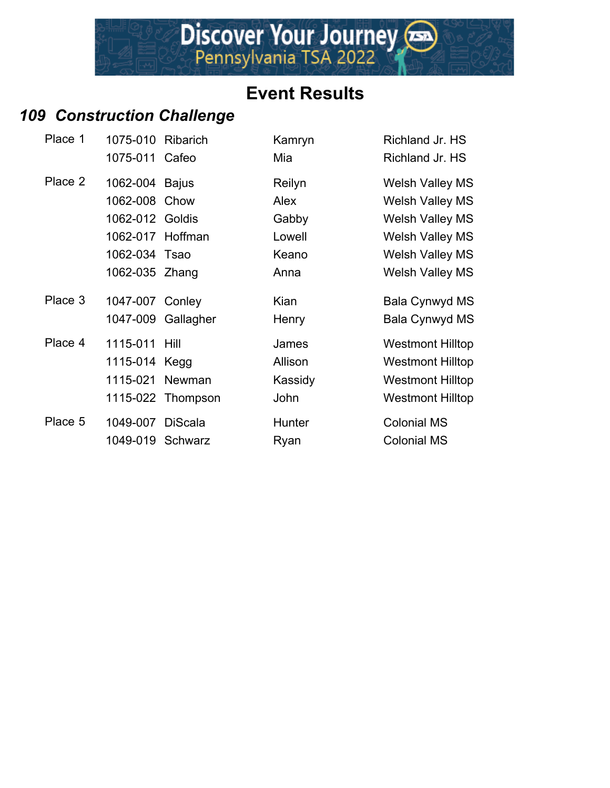#### *109 Construction Challenge*

| Place 1 | 1075-010 Ribarich |                    | Kamryn  | Richland Jr. HS         |
|---------|-------------------|--------------------|---------|-------------------------|
|         | 1075-011 Cafeo    |                    | Mia     | Richland Jr. HS         |
| Place 2 | 1062-004 Bajus    |                    | Reilyn  | <b>Welsh Valley MS</b>  |
|         | 1062-008 Chow     |                    | Alex    | <b>Welsh Valley MS</b>  |
|         | 1062-012 Goldis   |                    | Gabby   | <b>Welsh Valley MS</b>  |
|         | 1062-017 Hoffman  |                    | Lowell  | <b>Welsh Valley MS</b>  |
|         | 1062-034 Tsao     |                    | Keano   | <b>Welsh Valley MS</b>  |
|         | 1062-035 Zhang    |                    | Anna    | <b>Welsh Valley MS</b>  |
| Place 3 | 1047-007 Conley   |                    | Kian    | Bala Cynwyd MS          |
|         |                   | 1047-009 Gallagher | Henry   | Bala Cynwyd MS          |
| Place 4 | 1115-011 Hill     |                    | James   | <b>Westmont Hilltop</b> |
|         | 1115-014 Kegg     |                    | Allison | <b>Westmont Hilltop</b> |
|         | 1115-021          | Newman             | Kassidy | <b>Westmont Hilltop</b> |
|         |                   | 1115-022 Thompson  | John    | <b>Westmont Hilltop</b> |
| Place 5 | 1049-007 DiScala  |                    | Hunter  | <b>Colonial MS</b>      |
|         | 1049-019 Schwarz  |                    | Ryan    | <b>Colonial MS</b>      |
|         |                   |                    |         |                         |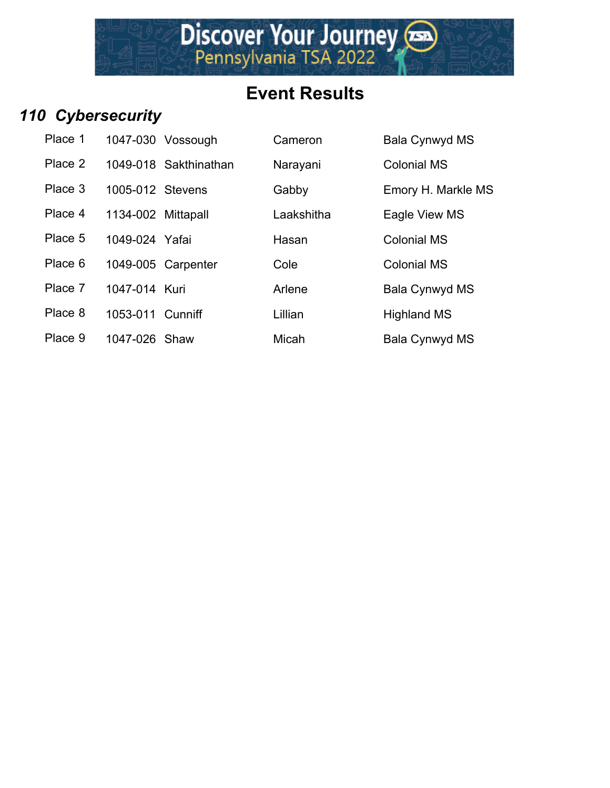

#### *110 Cybersecurity*

| Place 1 |                    | 1047-030 Vossough     |
|---------|--------------------|-----------------------|
| Place 2 |                    | 1049-018 Sakthinathar |
| Place 3 | 1005-012 Stevens   |                       |
| Place 4 | 1134-002 Mittapall |                       |
| Place 5 | 1049-024 Yafai     |                       |
| Place 6 |                    | 1049-005 Carpenter    |
|         |                    |                       |

n 2 1049 Narayani Colonial MS Gabby **Emory H. Markle MS** Laakshitha Eagle View MS

Hasan Colonial MS

Cameron Bala Cynwyd MS

Cole Colonial MS

Place 7 1047-014 Kuri **Arlene** Bala Cynwyd MS

Place 8 1053-011 Cunniff Lillian Lillian Highland MS

- 
- 
- Place 9 1047-026 Shaw Micah Micah Bala Cynwyd MS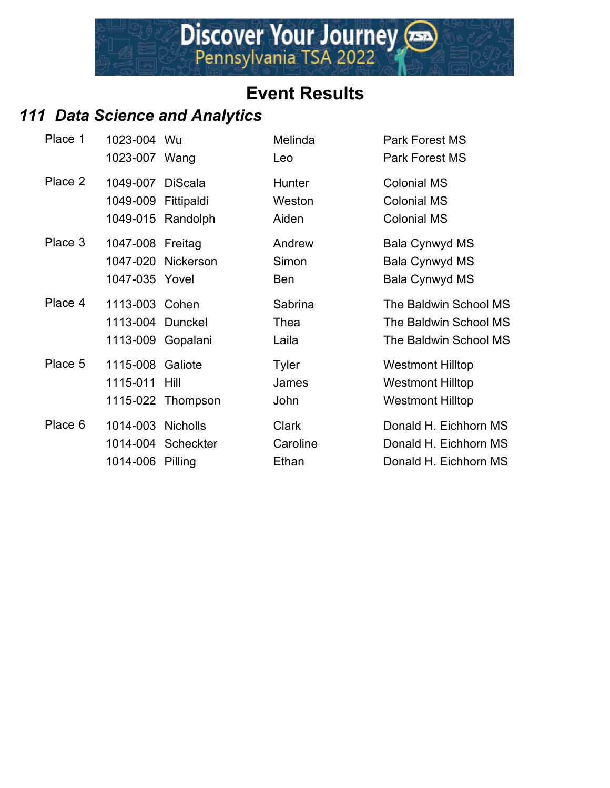#### *111 Data Science and Analytics*

| Place 1 | 1023-004 Wu<br>1023-007 Wang                            |                    | Melinda<br>Leo                    | Park Forest MS<br>Park Forest MS                                              |
|---------|---------------------------------------------------------|--------------------|-----------------------------------|-------------------------------------------------------------------------------|
| Place 2 | 1049-007 DiScala<br>1049-009 Fittipaldi                 | 1049-015 Randolph  | Hunter<br>Weston<br>Aiden         | <b>Colonial MS</b><br><b>Colonial MS</b><br><b>Colonial MS</b>                |
| Place 3 | 1047-008 Freitag<br>1047-035 Yovel                      | 1047-020 Nickerson | Andrew<br>Simon<br>Ben            | <b>Bala Cynwyd MS</b><br>Bala Cynwyd MS<br><b>Bala Cynwyd MS</b>              |
| Place 4 | 1113-003 Cohen<br>1113-004 Dunckel<br>1113-009 Gopalani |                    | Sabrina<br>Thea<br>Laila          | The Baldwin School MS<br>The Baldwin School MS<br>The Baldwin School MS       |
| Place 5 | 1115-008 Galiote<br>1115-011 Hill                       | 1115-022 Thompson  | <b>Tyler</b><br>James<br>John     | <b>Westmont Hilltop</b><br><b>Westmont Hilltop</b><br><b>Westmont Hilltop</b> |
| Place 6 | 1014-003 Nicholls<br>1014-006 Pilling                   | 1014-004 Scheckter | <b>Clark</b><br>Caroline<br>Ethan | Donald H. Eichhorn MS<br>Donald H. Eichhorn MS<br>Donald H. Eichhorn MS       |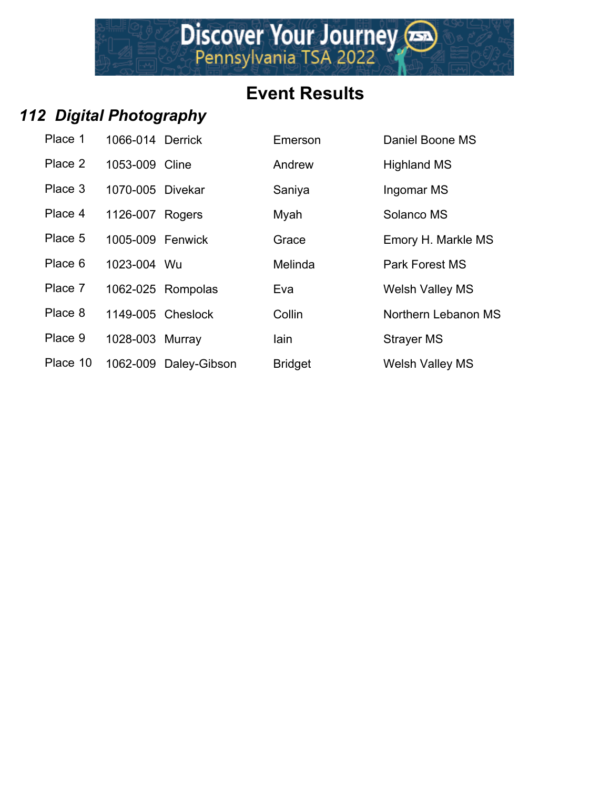Discover Your Journey

#### *112 Digital Photography*

| Place 1  | 1066-014 Derrick  |                       | Emerson        | Daniel Boone MS        |
|----------|-------------------|-----------------------|----------------|------------------------|
| Place 2  | 1053-009 Cline    |                       | Andrew         | <b>Highland MS</b>     |
| Place 3  | 1070-005 Divekar  |                       | Saniya         | Ingomar MS             |
| Place 4  | 1126-007 Rogers   |                       | Myah           | Solanco MS             |
| Place 5  | 1005-009 Fenwick  |                       | Grace          | Emory H. Markle        |
| Place 6  | 1023-004 Wu       |                       | Melinda        | Park Forest MS         |
| Place 7  |                   | 1062-025 Rompolas     | Eva            | <b>Welsh Valley MS</b> |
| Place 8  | 1149-005 Cheslock |                       | Collin         | Northern Lebano        |
| Place 9  | 1028-003 Murray   |                       | lain           | Strayer MS             |
| Place 10 |                   | 1062-009 Daley-Gibson | <b>Bridget</b> | <b>Welsh Valley MS</b> |

| Place 1  | 1066-014 Derrick |                       | Emerson        | Daniel Boone MS        |
|----------|------------------|-----------------------|----------------|------------------------|
| Place 2  | 1053-009 Cline   |                       | Andrew         | <b>Highland MS</b>     |
| Place 3  | 1070-005 Divekar |                       | Saniya         | Ingomar MS             |
| Place 4  | 1126-007 Rogers  |                       | Myah           | Solanco MS             |
| Place 5  | 1005-009 Fenwick |                       | Grace          | Emory H. Markle MS     |
| Place 6  | 1023-004 Wu      |                       | Melinda        | Park Forest MS         |
| Place 7  |                  | 1062-025 Rompolas     | Eva            | <b>Welsh Valley MS</b> |
| Place 8  |                  | 1149-005 Cheslock     | Collin         | Northern Lebanon MS    |
| Place 9  | 1028-003 Murray  |                       | lain           | <b>Strayer MS</b>      |
| Place 10 |                  | 1062-009 Daley-Gibson | <b>Bridget</b> | <b>Welsh Valley MS</b> |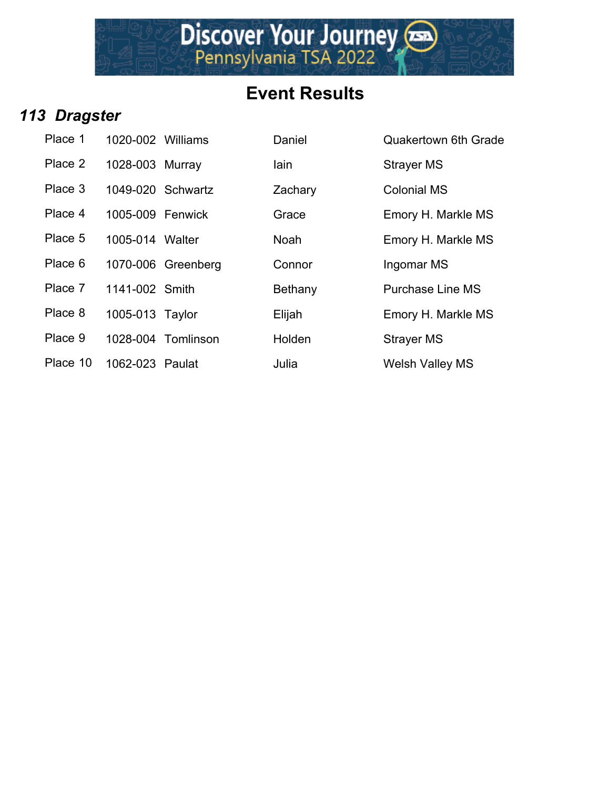# Discover Your Journey

## **Event Results**

#### *113 Dragster*

| Place 1  | 1020-002 Williams |                    | Daniel      | Quakertown          |
|----------|-------------------|--------------------|-------------|---------------------|
| Place 2  | 1028-003 Murray   |                    | lain        | Strayer MS          |
| Place 3  | 1049-020 Schwartz |                    | Zachary     | <b>Colonial MS</b>  |
| Place 4  | 1005-009 Fenwick  |                    | Grace       | Emory H. Ma         |
| Place 5  | 1005-014 Walter   |                    | <b>Noah</b> | Emory H. Ma         |
| Place 6  |                   | 1070-006 Greenberg | Connor      | Ingomar MS          |
| Place 7  | 1141-002 Smith    |                    | Bethany     | Purchase Li         |
| Place 8  | 1005-013 Taylor   |                    | Elijah      | Emory H. Ma         |
| Place 9  |                   | 1028-004 Tomlinson | Holden      | Strayer MS          |
| Place 10 | 1062-023 Paulat   |                    | Julia       | <b>Welsh Valley</b> |

| Place 1  | 1020-002 Williams |                    | Daniel      | <b>Quakertown 6th Grade</b> |
|----------|-------------------|--------------------|-------------|-----------------------------|
| Place 2  | 1028-003 Murray   |                    | lain        | <b>Strayer MS</b>           |
| Place 3  | 1049-020 Schwartz |                    | Zachary     | <b>Colonial MS</b>          |
| Place 4  | 1005-009 Fenwick  |                    | Grace       | Emory H. Markle MS          |
| Place 5  | 1005-014 Walter   |                    | <b>Noah</b> | Emory H. Markle MS          |
| Place 6  |                   | 1070-006 Greenberg | Connor      | Ingomar MS                  |
| Place 7  | 1141-002 Smith    |                    | Bethany     | <b>Purchase Line MS</b>     |
| Place 8  | 1005-013 Taylor   |                    | Elijah      | Emory H. Markle MS          |
| Place 9  |                   | 1028-004 Tomlinson | Holden      | <b>Strayer MS</b>           |
| Place 10 | 1062-023 Paulat   |                    | Julia       | <b>Welsh Valley MS</b>      |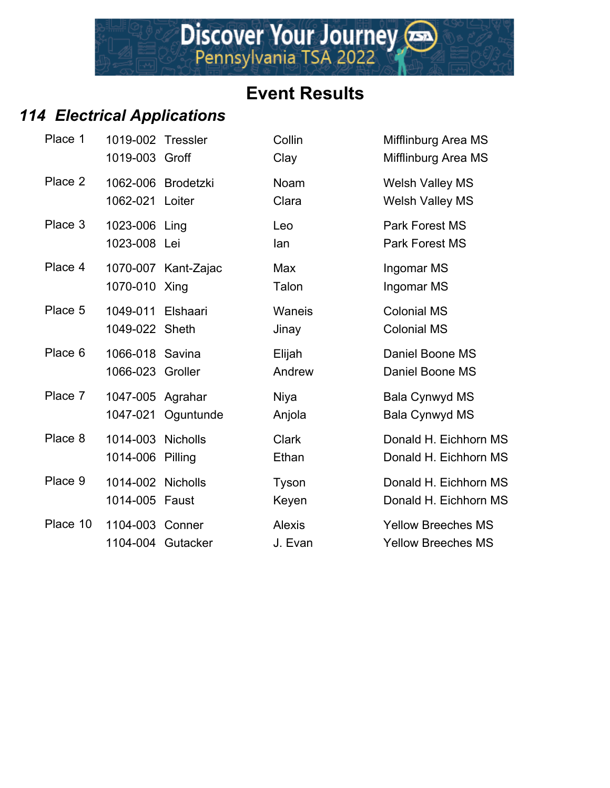## *114 Electrical Applications*

| Place 1  | 1019-002 Tressler<br>1019-003 Groff   |                     | Collin<br>Clay           | Mifflinburg Area MS<br>Mifflinburg Area MS             |
|----------|---------------------------------------|---------------------|--------------------------|--------------------------------------------------------|
| Place 2  | 1062-021 Loiter                       | 1062-006 Brodetzki  | Noam<br>Clara            | <b>Welsh Valley MS</b><br><b>Welsh Valley MS</b>       |
| Place 3  | 1023-006 Ling<br>1023-008 Lei         |                     | Leo<br>lan               | <b>Park Forest MS</b><br><b>Park Forest MS</b>         |
| Place 4  | 1070-010 Xing                         | 1070-007 Kant-Zajac | Max<br>Talon             | Ingomar MS<br>Ingomar MS                               |
| Place 5  | 1049-011<br>1049-022 Sheth            | Elshaari            | Waneis<br>Jinay          | <b>Colonial MS</b><br><b>Colonial MS</b>               |
| Place 6  | 1066-018 Savina<br>1066-023 Groller   |                     | Elijah<br>Andrew         | Daniel Boone MS<br>Daniel Boone MS                     |
| Place 7  | 1047-005 Agrahar                      | 1047-021 Oguntunde  | Niya<br>Anjola           | Bala Cynwyd MS<br><b>Bala Cynwyd MS</b>                |
| Place 8  | 1014-003 Nicholls<br>1014-006 Pilling |                     | <b>Clark</b><br>Ethan    | Donald H. Eichhorn MS<br>Donald H. Eichhorn MS         |
| Place 9  | 1014-002 Nicholls<br>1014-005 Faust   |                     | Tyson<br>Keyen           | Donald H. Eichhorn MS<br>Donald H. Eichhorn MS         |
| Place 10 | 1104-003 Conner                       | 1104-004 Gutacker   | <b>Alexis</b><br>J. Evan | <b>Yellow Breeches MS</b><br><b>Yellow Breeches MS</b> |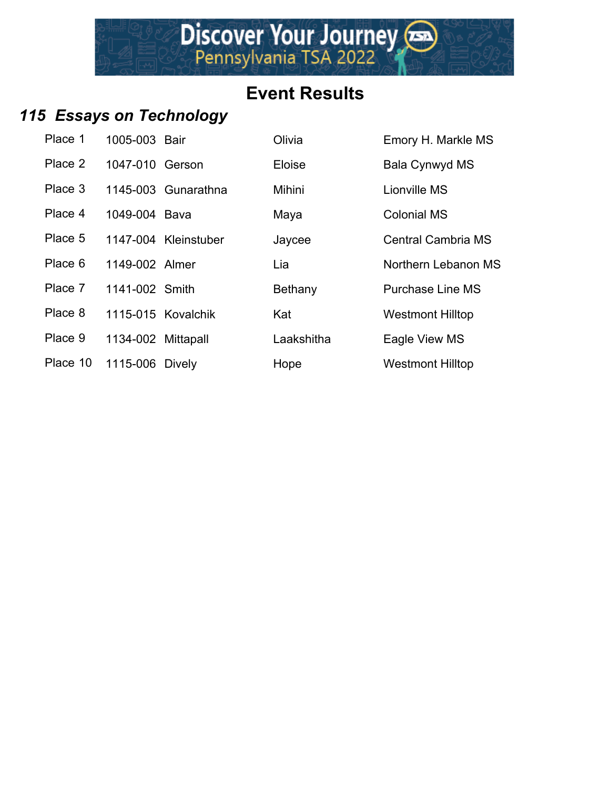### *115 Essays on Technology*

| Place 1  | 1005-003 Bair      |                      | Olivia     | Emory H. Markle MS        |
|----------|--------------------|----------------------|------------|---------------------------|
| Place 2  | 1047-010 Gerson    |                      | Eloise     | Bala Cynwyd MS            |
| Place 3  |                    | 1145-003 Gunarathna  | Mihini     | Lionville MS              |
| Place 4  | 1049-004 Bava      |                      | Maya       | <b>Colonial MS</b>        |
| Place 5  |                    | 1147-004 Kleinstuber | Jaycee     | <b>Central Cambria MS</b> |
| Place 6  | 1149-002 Almer     |                      | Lia        | Northern Lebanon MS       |
| Place 7  | 1141-002 Smith     |                      | Bethany    | <b>Purchase Line MS</b>   |
| Place 8  |                    | 1115-015 Kovalchik   | Kat        | <b>Westmont Hilltop</b>   |
| Place 9  | 1134-002 Mittapall |                      | Laakshitha | Eagle View MS             |
| Place 10 | 1115-006 Dively    |                      | Hope       | <b>Westmont Hilltop</b>   |

|    | Emory H. Markle MS        |
|----|---------------------------|
|    | Bala Cynwyd MS            |
|    | Lionville MS              |
|    | <b>Colonial MS</b>        |
|    | <b>Central Cambria MS</b> |
|    | Northern Lebanon MS       |
|    | <b>Purchase Line MS</b>   |
|    | <b>Westmont Hilltop</b>   |
| าล | Eagle View MS             |
|    | Westmont Hillton          |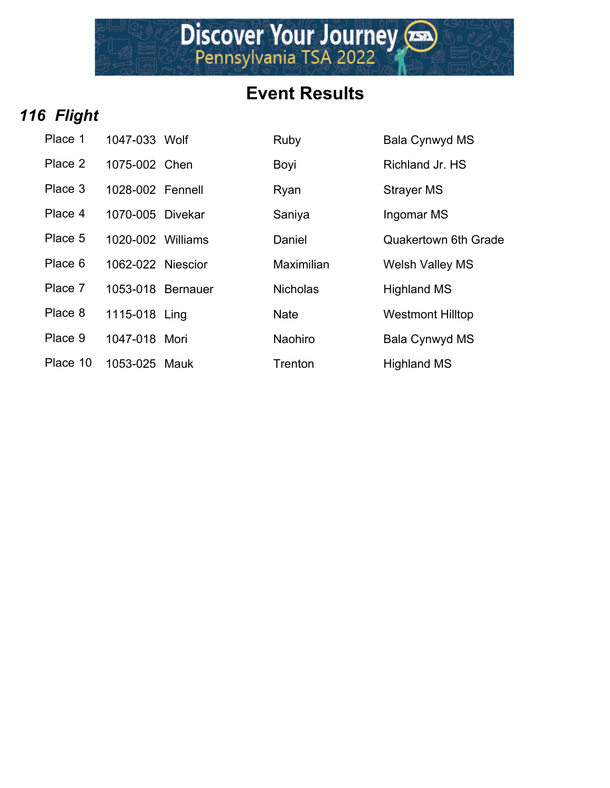Discover Your Journey

#### *116 Flight*

| Place 1  | 1047-033 Wolf     | Ruby            | Bala Cynwy         |
|----------|-------------------|-----------------|--------------------|
| Place 2  | 1075-002 Chen     | Boyi            | <b>Richland Jr</b> |
| Place 3  | 1028-002 Fennell  | Ryan            | <b>Strayer MS</b>  |
| Place 4  | 1070-005 Divekar  | Saniya          | Ingomar M          |
| Place 5  | 1020-002 Williams | Daniel          | Quakertow          |
| Place 6  | 1062-022 Niescior | Maximilian      | <b>Welsh Valle</b> |
| Place 7  | 1053-018 Bernauer | <b>Nicholas</b> | <b>Highland M</b>  |
| Place 8  | 1115-018 Ling     | <b>Nate</b>     | Westmont I         |
| Place 9  | 1047-018 Mori     | Naohiro         | Bala Cynwy         |
| Place 10 | 1053-025 Mauk     | Trenton         | <b>Highland M</b>  |

| Place 1  | 1047-033 Wolf     | Ruby            | Bala Cynwyd MS              |
|----------|-------------------|-----------------|-----------------------------|
| Place 2  | 1075-002 Chen     | Boyi            | Richland Jr. HS             |
| Place 3  | 1028-002 Fennell  | Ryan            | <b>Strayer MS</b>           |
| Place 4  | 1070-005 Divekar  | Saniya          | Ingomar MS                  |
| Place 5  | 1020-002 Williams | Daniel          | <b>Quakertown 6th Grade</b> |
| Place 6  | 1062-022 Niescior | Maximilian      | <b>Welsh Valley MS</b>      |
| Place 7  | 1053-018 Bernauer | <b>Nicholas</b> | <b>Highland MS</b>          |
| Place 8  | 1115-018 Ling     | <b>Nate</b>     | <b>Westmont Hilltop</b>     |
| Place 9  | 1047-018 Mori     | Naohiro         | <b>Bala Cynwyd MS</b>       |
| Place 10 | 1053-025 Mauk     | Trenton         | <b>Highland MS</b>          |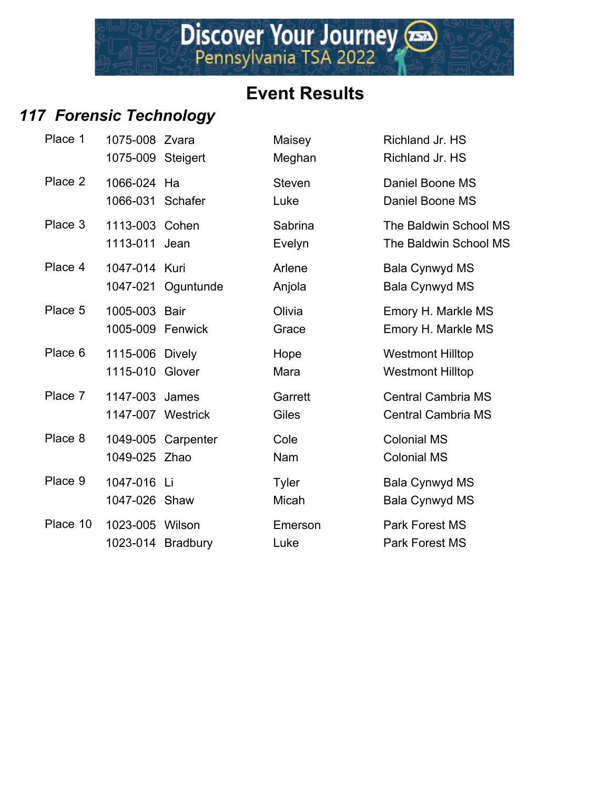#### *117 Forensic Technology*

| Place 1  | 1075-008 Zvara<br>1075-009 Steigert  |                    | Maisey<br>Meghan      | Richland Jr. HS<br>Richland Jr. HS                     |
|----------|--------------------------------------|--------------------|-----------------------|--------------------------------------------------------|
| Place 2  | 1066-024 Ha<br>1066-031 Schafer      |                    | <b>Steven</b><br>Luke | Daniel Boone MS<br>Daniel Boone MS                     |
| Place 3  | 1113-003 Cohen<br>1113-011 Jean      |                    | Sabrina<br>Evelyn     | The Baldwin School MS<br>The Baldwin School MS         |
| Place 4  | 1047-014 Kuri                        | 1047-021 Oguntunde | Arlene<br>Anjola      | <b>Bala Cynwyd MS</b><br>Bala Cynwyd MS                |
| Place 5  | 1005-003 Bair<br>1005-009 Fenwick    |                    | Olivia<br>Grace       | Emory H. Markle MS<br>Emory H. Markle MS               |
| Place 6  | 1115-006 Dively<br>1115-010 Glover   |                    | Hope<br>Mara          | <b>Westmont Hilltop</b><br><b>Westmont Hilltop</b>     |
| Place 7  | 1147-003 James<br>1147-007 Westrick  |                    | Garrett<br>Giles      | <b>Central Cambria MS</b><br><b>Central Cambria MS</b> |
| Place 8  | 1049-025 Zhao                        | 1049-005 Carpenter | Cole<br>Nam           | <b>Colonial MS</b><br><b>Colonial MS</b>               |
| Place 9  | 1047-016 Li<br>1047-026 Shaw         |                    | <b>Tyler</b><br>Micah | Bala Cynwyd MS<br>Bala Cynwyd MS                       |
| Place 10 | 1023-005 Wilson<br>1023-014 Bradbury |                    | Emerson<br>Luke       | <b>Park Forest MS</b><br><b>Park Forest MS</b>         |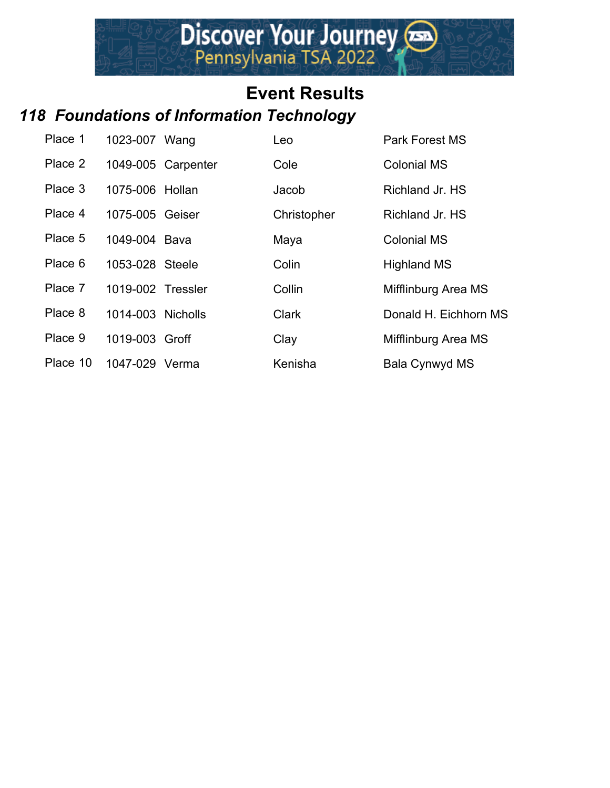#### *118 Foundations of Information Technology*

| Place 1  | 1023-007 Wang     |                    | Leo          | <b>Park Forest MS</b> |
|----------|-------------------|--------------------|--------------|-----------------------|
| Place 2  |                   | 1049-005 Carpenter | Cole         | <b>Colonial MS</b>    |
| Place 3  | 1075-006 Hollan   |                    | Jacob        | Richland Jr. HS       |
| Place 4  | 1075-005 Geiser   |                    | Christopher  | Richland Jr. HS       |
| Place 5  | 1049-004 Baya     |                    | Maya         | <b>Colonial MS</b>    |
| Place 6  | 1053-028 Steele   |                    | Colin        | <b>Highland MS</b>    |
| Place 7  | 1019-002 Tressler |                    | Collin       | Mifflinburg Area MS   |
| Place 8  | 1014-003 Nicholls |                    | <b>Clark</b> | Donald H. Eichhorn MS |
| Place 9  | 1019-003 Groff    |                    | Clay         | Mifflinburg Area MS   |
| Place 10 | 1047-029 Verma    |                    | Kenisha      | Bala Cynwyd MS        |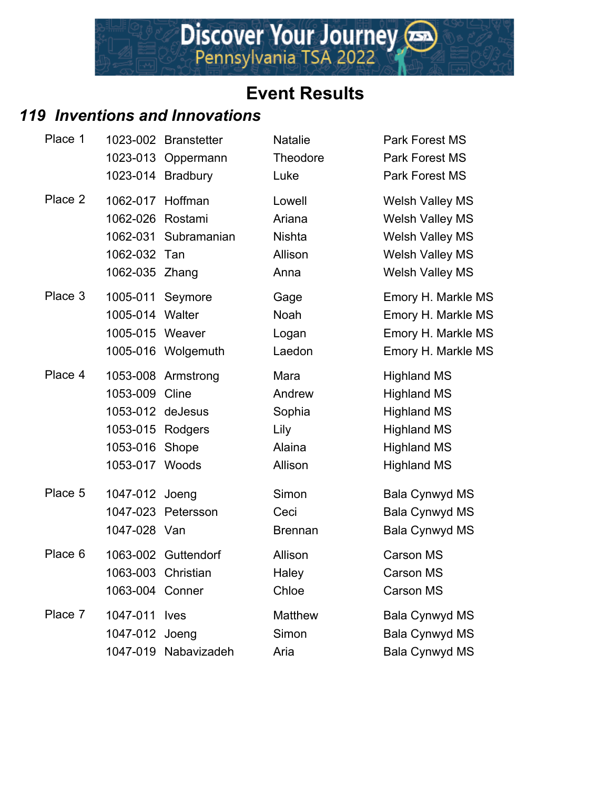#### *119 Inventions and Innovations*

| Place 1 |                                                                                            | 1023-002 Branstetter<br>1023-013 Oppermann<br>1023-014 Bradbury | <b>Natalie</b><br>Theodore<br>Luke                    | <b>Park Forest MS</b><br><b>Park Forest MS</b><br>Park Forest MS                                                                 |
|---------|--------------------------------------------------------------------------------------------|-----------------------------------------------------------------|-------------------------------------------------------|----------------------------------------------------------------------------------------------------------------------------------|
| Place 2 | 1062-017 Hoffman<br>1062-026<br>1062-031<br>1062-032<br>1062-035 Zhang                     | Rostami<br>Subramanian<br>Tan                                   | Lowell<br>Ariana<br><b>Nishta</b><br>Allison<br>Anna  | <b>Welsh Valley MS</b><br><b>Welsh Valley MS</b><br>Welsh Valley MS<br><b>Welsh Valley MS</b><br><b>Welsh Valley MS</b>          |
| Place 3 | 1005-011 Seymore<br>1005-014 Walter<br>1005-015 Weaver                                     | 1005-016 Wolgemuth                                              | Gage<br>Noah<br>Logan<br>Laedon                       | Emory H. Markle MS<br>Emory H. Markle MS<br>Emory H. Markle MS<br>Emory H. Markle MS                                             |
| Place 4 | 1053-009 Cline<br>1053-012 deJesus<br>1053-015 Rodgers<br>1053-016 Shope<br>1053-017 Woods | 1053-008 Armstrong                                              | Mara<br>Andrew<br>Sophia<br>Lily<br>Alaina<br>Allison | <b>Highland MS</b><br><b>Highland MS</b><br><b>Highland MS</b><br><b>Highland MS</b><br><b>Highland MS</b><br><b>Highland MS</b> |
| Place 5 | 1047-012 Joeng<br>1047-028 Van                                                             | 1047-023 Petersson                                              | Simon<br>Ceci<br><b>Brennan</b>                       | <b>Bala Cynwyd MS</b><br>Bala Cynwyd MS<br><b>Bala Cynwyd MS</b>                                                                 |
| Place 6 | 1063-003 Christian<br>1063-004 Conner                                                      | 1063-002 Guttendorf                                             | Allison<br>Haley<br>Chloe                             | <b>Carson MS</b><br><b>Carson MS</b><br><b>Carson MS</b>                                                                         |
| Place 7 | 1047-011 lves<br>1047-012 Joeng                                                            | 1047-019 Nabavizadeh                                            | Matthew<br>Simon<br>Aria                              | <b>Bala Cynwyd MS</b><br><b>Bala Cynwyd MS</b><br><b>Bala Cynwyd MS</b>                                                          |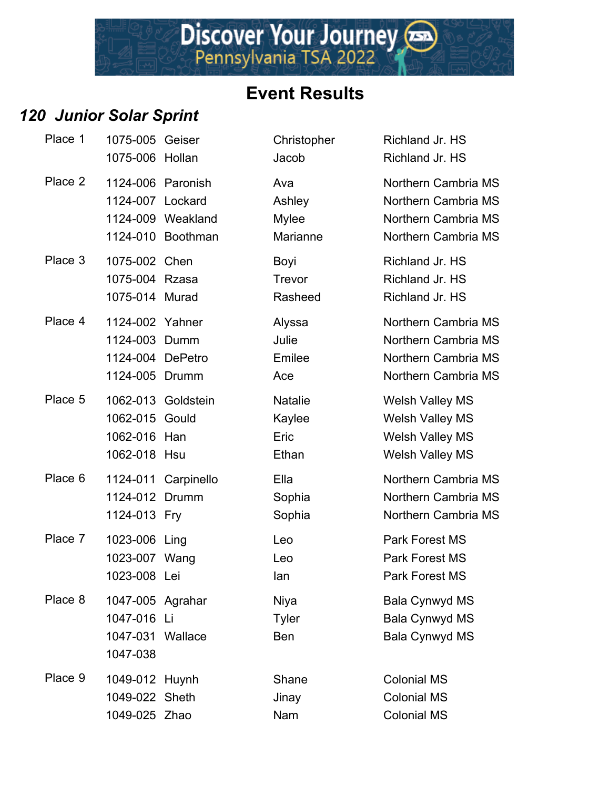Discover Your Journey

#### *120 Junior Solar Sprint*

| Place 1 | 1075-005 Geiser<br>1075-006 Hollan                                     |                                        | Christopher<br>Jacob                      | Richland Jr. HS<br>Richland Jr. HS                                                 |
|---------|------------------------------------------------------------------------|----------------------------------------|-------------------------------------------|------------------------------------------------------------------------------------|
| Place 2 | 1124-006 Paronish<br>1124-007 Lockard                                  | 1124-009 Weakland<br>1124-010 Boothman | Ava<br>Ashley<br><b>Mylee</b><br>Marianne | Northern Cambi<br>Northern Cambi<br>Northern Cambi<br>Northern Cambi               |
| Place 3 | 1075-002 Chen<br>1075-004 Rzasa<br>1075-014 Murad                      |                                        | Boyi<br>Trevor<br>Rasheed                 | Richland Jr. HS<br>Richland Jr. HS<br>Richland Jr. HS                              |
| Place 4 | 1124-002 Yahner<br>1124-003 Dumm<br>1124-004 DePetro<br>1124-005 Drumm |                                        | Alyssa<br>Julie<br>Emilee<br>Ace          | Northern Cambi<br>Northern Cambi<br>Northern Cambi<br>Northern Cambi               |
| Place 5 | 1062-015 Gould<br>1062-016 Han<br>1062-018 Hsu                         | 1062-013 Goldstein                     | <b>Natalie</b><br>Kaylee<br>Eric<br>Ethan | <b>Welsh Valley M</b><br>Welsh Valley M<br>Welsh Valley M<br><b>Welsh Valley M</b> |
| Place 6 | 1124-012 Drumm<br>1124-013 Fry                                         | 1124-011 Carpinello                    | Ella<br>Sophia<br>Sophia                  | Northern Cambi<br>Northern Cambi<br>Northern Cambi                                 |
| Place 7 | 1023-006 Ling<br>1023-007 Wang<br>1023-008 Lei                         |                                        | Leo<br>Leo<br>lan                         | <b>Park Forest MS</b><br><b>Park Forest MS</b><br>Park Forest MS                   |
| Place 8 | 1047-005 Agrahar<br>1047-016 Li<br>1047-031 Wallace<br>1047-038        |                                        | Niya<br><b>Tyler</b><br><b>Ben</b>        | Bala Cynwyd M<br>Bala Cynwyd M<br>Bala Cynwyd M                                    |
| Place 9 | 1049-012 Huynh<br>1049-022 Sheth<br>1049-025 Zhao                      |                                        | Shane<br>Jinay<br>Nam                     | <b>Colonial MS</b><br><b>Colonial MS</b><br><b>Colonial MS</b>                     |

| Place 1 | 1075-005<br>1075-006 Hollan                                       | Geiser                        | Christopher<br>Jacob                      | Richland Jr. HS<br>Richland Jr. HS                                                                   |
|---------|-------------------------------------------------------------------|-------------------------------|-------------------------------------------|------------------------------------------------------------------------------------------------------|
| Place 2 | 1124-006 Paronish<br>1124-007 Lockard<br>1124-010                 | 1124-009 Weakland<br>Boothman | Ava<br>Ashley<br><b>Mylee</b><br>Marianne | Northern Cambria MS<br>Northern Cambria MS<br>Northern Cambria MS<br>Northern Cambria MS             |
| Place 3 | 1075-002 Chen<br>1075-004 Rzasa<br>1075-014 Murad                 |                               | Boyi<br>Trevor<br>Rasheed                 | Richland Jr. HS<br>Richland Jr. HS<br>Richland Jr. HS                                                |
| Place 4 | 1124-002 Yahner<br>1124-003<br>1124-004 DePetro<br>1124-005 Drumm | Dumm                          | Alyssa<br>Julie<br>Emilee<br>Ace          | Northern Cambria MS<br>Northern Cambria MS<br>Northern Cambria MS<br>Northern Cambria MS             |
| Place 5 | 1062-013<br>1062-015 Gould<br>1062-016 Han<br>1062-018 Hsu        | Goldstein                     | <b>Natalie</b><br>Kaylee<br>Eric<br>Ethan | <b>Welsh Valley MS</b><br><b>Welsh Valley MS</b><br><b>Welsh Valley MS</b><br><b>Welsh Valley MS</b> |
| Place 6 | 1124-012<br>1124-013 Fry                                          | 1124-011 Carpinello<br>Drumm  | Ella<br>Sophia<br>Sophia                  | Northern Cambria MS<br>Northern Cambria MS<br>Northern Cambria MS                                    |
| Place 7 | 1023-006 Ling<br>1023-007 Wang<br>1023-008 Lei                    |                               | Leo<br>Leo<br>lan                         | Park Forest MS<br>Park Forest MS<br>Park Forest MS                                                   |
| Place 8 | 1047-005 Agrahar<br>1047-016 Li<br>1047-031<br>1047-038           | Wallace                       | Niya<br><b>Tyler</b><br><b>Ben</b>        | Bala Cynwyd MS<br><b>Bala Cynwyd MS</b><br><b>Bala Cynwyd MS</b>                                     |
| Place 9 | 1049-012 Huynh<br>1049-022 Sheth<br>1049-025 Zhao                 |                               | Shane<br>Jinay<br>Nam                     | <b>Colonial MS</b><br><b>Colonial MS</b><br><b>Colonial MS</b>                                       |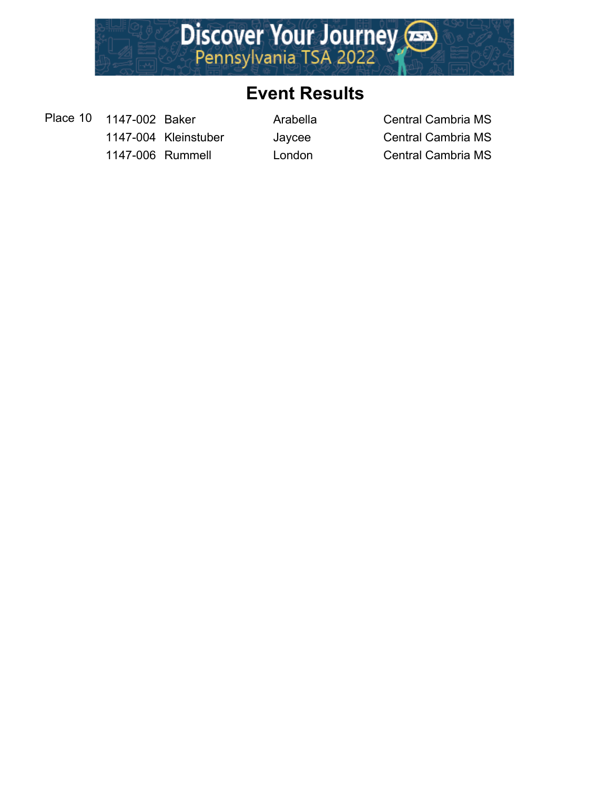

Place 10 1147-002 Baker Arabella Central Cambria MS

1147-004 Kleinstuber Jaycee Central Cambria MS 1147-006 Rummell London Central Cambria MS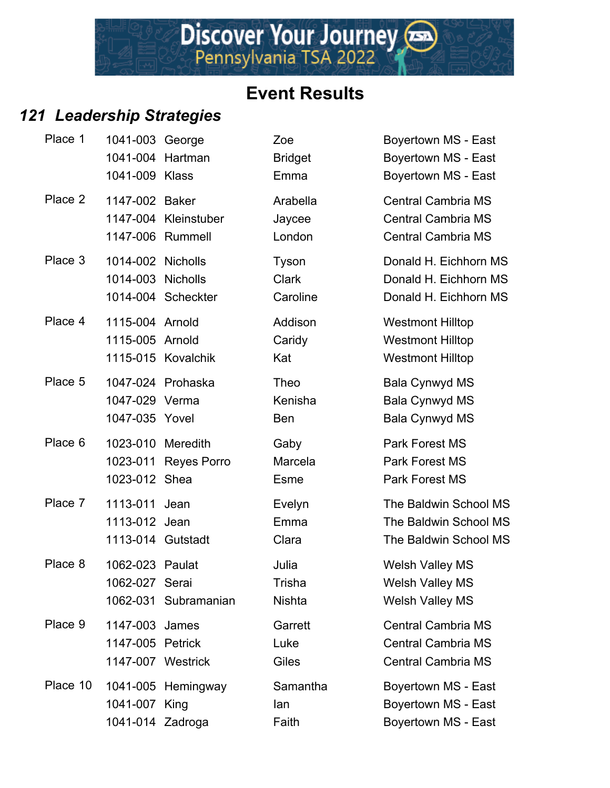Discover Your Journey

#### *121 Leadership Strategies*

| Place 1  | 1041-003 George<br>1041-009 Klass              | 1041-004 Hartman                          | Zoe<br><b>Bridget</b><br>Emma     | Boyertown MS - East<br>Boyertown MS - East<br>Boyertown MS - East                   |
|----------|------------------------------------------------|-------------------------------------------|-----------------------------------|-------------------------------------------------------------------------------------|
| Place 2  | 1147-002 Baker                                 | 1147-004 Kleinstuber<br>1147-006 Rummell  | Arabella<br>Jaycee<br>London      | <b>Central Cambria MS</b><br><b>Central Cambria MS</b><br><b>Central Cambria MS</b> |
| Place 3  | 1014-002 Nicholls<br>1014-003 Nicholls         | 1014-004 Scheckter                        | Tyson<br><b>Clark</b><br>Caroline | Donald H. Eichhorn MS<br>Donald H. Eichhorn MS<br>Donald H. Eichhorn MS             |
| Place 4  | 1115-004 Arnold<br>1115-005 Arnold             | 1115-015 Kovalchik                        | Addison<br>Caridy<br>Kat          | <b>Westmont Hilltop</b><br><b>Westmont Hilltop</b><br><b>Westmont Hilltop</b>       |
| Place 5  | 1047-029 Verma<br>1047-035 Yovel               | 1047-024 Prohaska                         | Theo<br>Kenisha<br><b>Ben</b>     | Bala Cynwyd MS<br><b>Bala Cynwyd MS</b><br>Bala Cynwyd MS                           |
| Place 6  | 1023-012 Shea                                  | 1023-010 Meredith<br>1023-011 Reyes Porro | Gaby<br>Marcela<br>Esme           | Park Forest MS<br><b>Park Forest MS</b><br><b>Park Forest MS</b>                    |
| Place 7  | 1113-011<br>1113-012 Jean<br>1113-014 Gutstadt | Jean                                      | Evelyn<br>Emma<br>Clara           | The Baldwin School MS<br>The Baldwin School MS<br>The Baldwin School MS             |
| Place 8  | 1062-023 Paulat<br>1062-027 Serai              | 1062-031 Subramanian                      | Julia<br>Trisha<br><b>Nishta</b>  | <b>Welsh Valley MS</b><br>Welsh Valley MS<br><b>Welsh Valley MS</b>                 |
| Place 9  | 1147-003 James<br>1147-005 Petrick             | 1147-007 Westrick                         | Garrett<br>Luke<br>Giles          | <b>Central Cambria MS</b><br><b>Central Cambria MS</b><br><b>Central Cambria MS</b> |
| Place 10 | 1041-007 King<br>1041-014 Zadroga              | 1041-005 Hemingway                        | Samantha<br>lan<br>Faith          | Boyertown MS - East<br>Boyertown MS - East<br>Boyertown MS - East                   |

| <b>Boyertown MS - East</b><br>Boyertown MS - East<br><b>Boyertown MS - East</b>     |
|-------------------------------------------------------------------------------------|
| <b>Central Cambria MS</b><br><b>Central Cambria MS</b><br><b>Central Cambria MS</b> |
| Donald H. Eichhorn MS<br>Donald H. Eichhorn MS<br>Donald H. Eichhorn MS             |
| <b>Westmont Hilltop</b><br><b>Westmont Hilltop</b><br><b>Westmont Hilltop</b>       |
| <b>Bala Cynwyd MS</b><br><b>Bala Cynwyd MS</b><br><b>Bala Cynwyd MS</b>             |
| <b>Park Forest MS</b><br><b>Park Forest MS</b><br><b>Park Forest MS</b>             |
| The Baldwin School MS<br>The Baldwin School MS<br>The Baldwin School MS             |
| <b>Welsh Valley MS</b><br>Welsh Valley MS<br><b>Welsh Valley MS</b>                 |
| <b>Central Cambria MS</b><br><b>Central Cambria MS</b><br><b>Central Cambria MS</b> |
| Boyertown MS - East<br>Boyertown MS - East<br><b>Boyertown MS - East</b>            |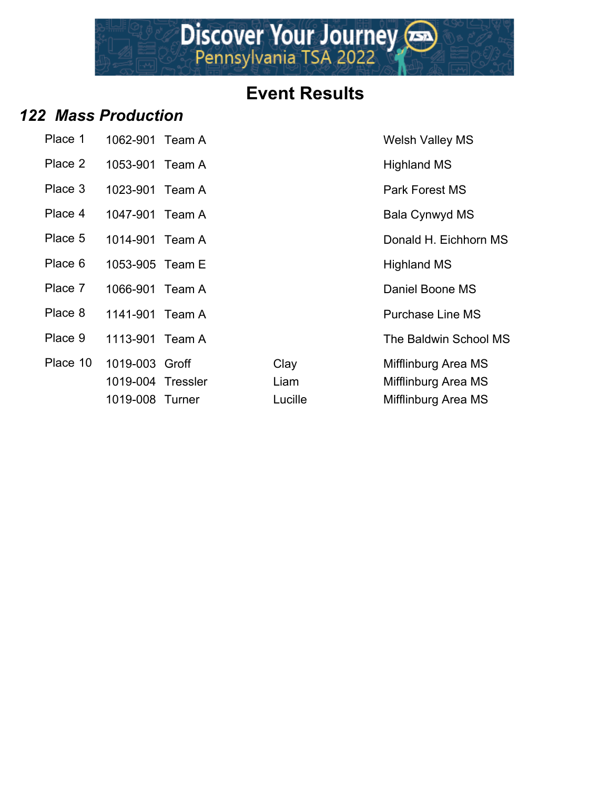

#### *122 Mass Production*

| Place 1  | 1062-901          | Team A |         | <b>Welsh Valley MS</b>  |
|----------|-------------------|--------|---------|-------------------------|
| Place 2  | 1053-901 Team A   |        |         | <b>Highland MS</b>      |
| Place 3  | 1023-901 Team A   |        |         | Park Forest MS          |
| Place 4  | 1047-901 Team A   |        |         | Bala Cynwyd MS          |
| Place 5  | 1014-901 Team A   |        |         | Donald H. Eichhorn      |
| Place 6  | 1053-905 Team E   |        |         | <b>Highland MS</b>      |
| Place 7  | 1066-901 Team A   |        |         | Daniel Boone MS         |
| Place 8  | 1141-901 Team A   |        |         | <b>Purchase Line MS</b> |
| Place 9  | 1113-901 Team A   |        |         | The Baldwin School      |
| Place 10 | 1019-003 Groff    |        | Clay    | Mifflinburg Area MS     |
|          | 1019-004 Tressler |        | Liam    | Mifflinburg Area MS     |
|          | 1019-008 Turner   |        | Lucille | Mifflinburg Area MS     |

**Welsh Valley MS** Highland MS Park Forest MS Bala Cynwyd MS Donald H. Eichhorn MS Highland MS Daniel Boone MS Purchase Line MS The Baldwin School MS Clay Mifflinburg Area MS Liam Mifflinburg Area MS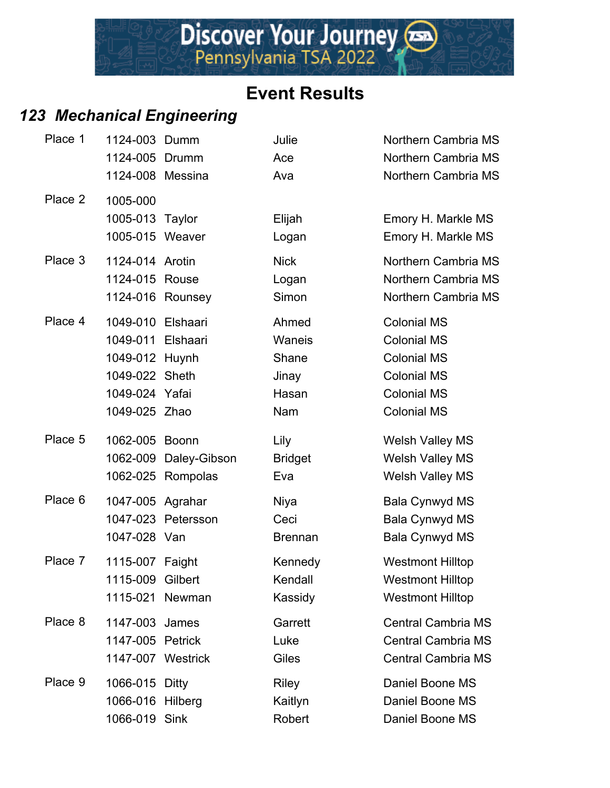## *123 Mechanical Engineering*

| Place 1 | 1124-003 Dumm     |                       | Julie          | Northern Cambria MS       |
|---------|-------------------|-----------------------|----------------|---------------------------|
|         | 1124-005 Drumm    |                       | Ace            | Northern Cambria MS       |
|         | 1124-008 Messina  |                       | Ava            | Northern Cambria MS       |
| Place 2 | 1005-000          |                       |                |                           |
|         | 1005-013 Taylor   |                       | Elijah         | Emory H. Markle MS        |
|         | 1005-015 Weaver   |                       | Logan          | Emory H. Markle MS        |
| Place 3 | 1124-014 Arotin   |                       | <b>Nick</b>    | Northern Cambria MS       |
|         | 1124-015 Rouse    |                       | Logan          | Northern Cambria MS       |
|         |                   | 1124-016 Rounsey      | Simon          | Northern Cambria MS       |
| Place 4 | 1049-010 Elshaari |                       | Ahmed          | <b>Colonial MS</b>        |
|         | 1049-011 Elshaari |                       | Waneis         | <b>Colonial MS</b>        |
|         | 1049-012 Huynh    |                       | Shane          | <b>Colonial MS</b>        |
|         | 1049-022 Sheth    |                       | Jinay          | <b>Colonial MS</b>        |
|         | 1049-024 Yafai    |                       | Hasan          | <b>Colonial MS</b>        |
|         | 1049-025 Zhao     |                       | Nam            | <b>Colonial MS</b>        |
| Place 5 | 1062-005 Boonn    |                       | Lily           | Welsh Valley MS           |
|         |                   | 1062-009 Daley-Gibson | <b>Bridget</b> | <b>Welsh Valley MS</b>    |
|         |                   | 1062-025 Rompolas     | Eva            | <b>Welsh Valley MS</b>    |
| Place 6 | 1047-005 Agrahar  |                       | Niya           | <b>Bala Cynwyd MS</b>     |
|         |                   | 1047-023 Petersson    | Ceci           | <b>Bala Cynwyd MS</b>     |
|         | 1047-028 Van      |                       | <b>Brennan</b> | <b>Bala Cynwyd MS</b>     |
| Place 7 | 1115-007 Faight   |                       | Kennedy        | <b>Westmont Hilltop</b>   |
|         | 1115-009 Gilbert  |                       | Kendall        | <b>Westmont Hilltop</b>   |
|         |                   | 1115-021 Newman       | Kassidy        | <b>Westmont Hilltop</b>   |
| Place 8 | 1147-003 James    |                       | Garrett        | <b>Central Cambria MS</b> |
|         | 1147-005 Petrick  |                       | Luke           | <b>Central Cambria MS</b> |
|         | 1147-007 Westrick |                       | Giles          | <b>Central Cambria MS</b> |
| Place 9 | 1066-015 Ditty    |                       | <b>Riley</b>   | Daniel Boone MS           |
|         | 1066-016          | Hilberg               | Kaitlyn        | Daniel Boone MS           |
|         | 1066-019 Sink     |                       | Robert         | Daniel Boone MS           |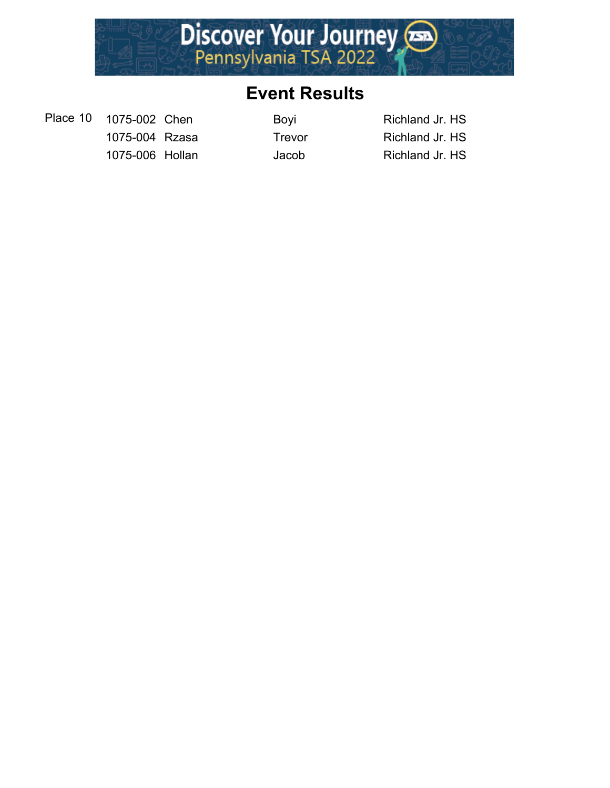

Place 10 1075-002 Chen Boyi Boyi Richland Jr. HS 1075-004 Rzasa Trevor Richland Jr. HS 1075-006 Hollan Jacob Richland Jr. HS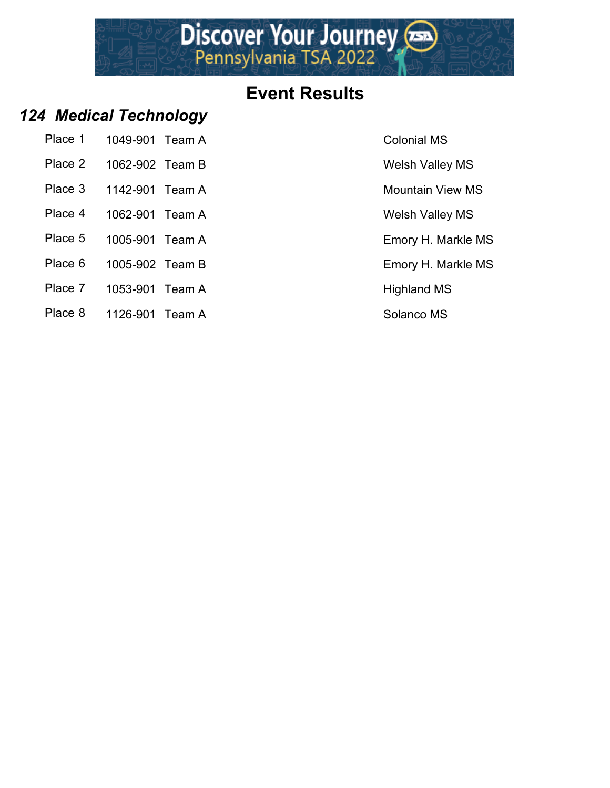# Discover Your Journey

#### **Event Results**

#### *124 Medical Technology*

| Place 1 | 1049-901 Team A |  |
|---------|-----------------|--|
| Place 2 | 1062-902 Team B |  |

- Place 3 1142-901 Team A Mountain View MS
- Place 4 1062-901 Team A Welsh Valley MS
- Place 5 1005-901 Team A Emory H. Markle MS
- Place 6 1005-902 Team B Emory H. Markle MS
- Place 7 1053-901 Team A Highland MS
- Place 8 1126-901 Team A Solanco MS

Colonial MS

Welsh Valley MS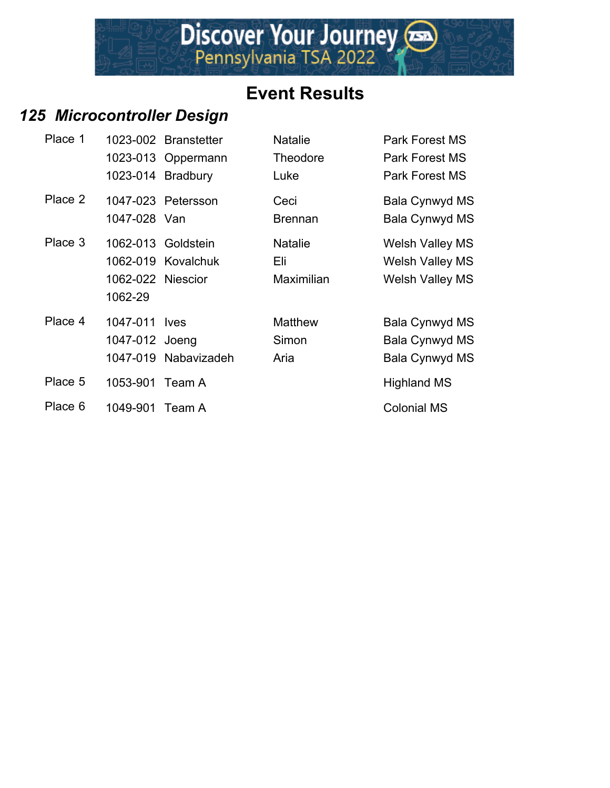#### *125 Microcontroller Design*

| Place 1 |                   | 1023-002 Branstetter | <b>Natalie</b>    | <b>Park Forest MS</b>  |
|---------|-------------------|----------------------|-------------------|------------------------|
|         |                   | 1023-013 Oppermann   | <b>Theodore</b>   | <b>Park Forest MS</b>  |
|         |                   | 1023-014 Bradbury    | Luke              | <b>Park Forest MS</b>  |
| Place 2 |                   | 1047-023 Petersson   | Ceci              | Bala Cynwyd MS         |
|         | 1047-028 Van      |                      | <b>Brennan</b>    | Bala Cynwyd MS         |
| Place 3 |                   | 1062-013 Goldstein   | <b>Natalie</b>    | <b>Welsh Valley MS</b> |
|         |                   | 1062-019 Kovalchuk   | Eli               | <b>Welsh Valley MS</b> |
|         | 1062-022 Niescior |                      | <b>Maximilian</b> | <b>Welsh Valley MS</b> |
|         | 1062-29           |                      |                   |                        |
| Place 4 | 1047-011 lyes     |                      | <b>Matthew</b>    | Bala Cynwyd MS         |
|         | 1047-012 Joeng    |                      | Simon             | Bala Cynwyd MS         |
|         |                   | 1047-019 Nabavizadeh | Aria              | Bala Cynwyd MS         |
| Place 5 | 1053-901 Team A   |                      |                   | <b>Highland MS</b>     |
| Place 6 | 1049-901 Team A   |                      |                   | <b>Colonial MS</b>     |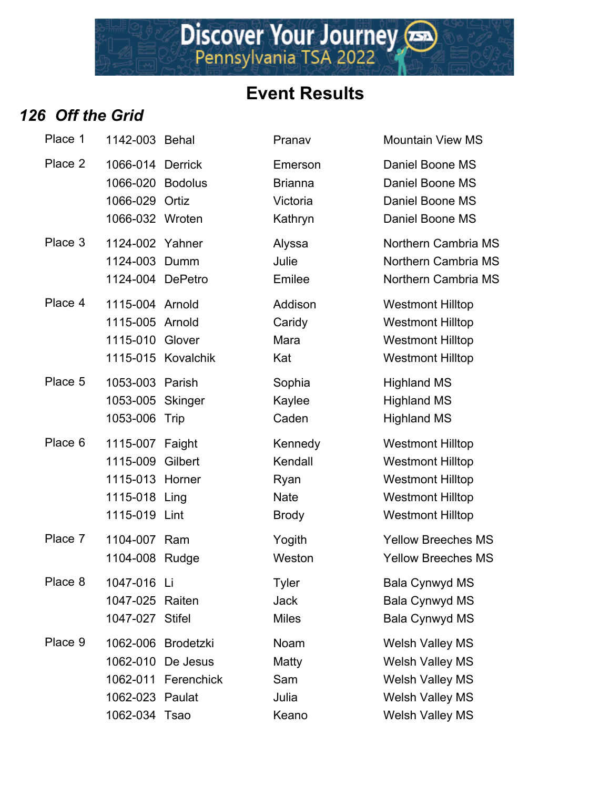Discover Your Journey

#### *126 Off the Grid*

| Place 1 | 1142-003 Behal                                                                           |                                                                | Pranav                                                    | <b>Mountain View MS</b>                                                                                                             |
|---------|------------------------------------------------------------------------------------------|----------------------------------------------------------------|-----------------------------------------------------------|-------------------------------------------------------------------------------------------------------------------------------------|
| Place 2 | 1066-014 Derrick<br>1066-020 Bodolus<br>1066-029 Ortiz<br>1066-032 Wroten                |                                                                | Emerson<br><b>Brianna</b><br>Victoria<br>Kathryn          | Daniel Boone MS<br>Daniel Boone MS<br>Daniel Boone MS<br>Daniel Boone MS                                                            |
| Place 3 | 1124-002 Yahner<br>1124-003 Dumm<br>1124-004 DePetro                                     |                                                                | Alyssa<br>Julie<br>Emilee                                 | Northern Cambria I<br>Northern Cambria I<br>Northern Cambria I                                                                      |
| Place 4 | 1115-004 Arnold<br>1115-005 Arnold<br>1115-010 Glover                                    | 1115-015 Kovalchik                                             | Addison<br>Caridy<br>Mara<br>Kat                          | <b>Westmont Hilltop</b><br><b>Westmont Hilltop</b><br><b>Westmont Hilltop</b><br><b>Westmont Hilltop</b>                            |
| Place 5 | 1053-003 Parish<br>1053-005 Skinger<br>1053-006 Trip                                     |                                                                | Sophia<br>Kaylee<br>Caden                                 | <b>Highland MS</b><br><b>Highland MS</b><br><b>Highland MS</b>                                                                      |
| Place 6 | 1115-007 Faight<br>1115-009 Gilbert<br>1115-013 Horner<br>1115-018 Ling<br>1115-019 Lint |                                                                | Kennedy<br>Kendall<br>Ryan<br><b>Nate</b><br><b>Brody</b> | <b>Westmont Hilltop</b><br><b>Westmont Hilltop</b><br><b>Westmont Hilltop</b><br><b>Westmont Hilltop</b><br><b>Westmont Hilltop</b> |
| Place 7 | 1104-007 Ram<br>1104-008 Rudge                                                           |                                                                | Yogith<br>Weston                                          | <b>Yellow Breeches M</b><br><b>Yellow Breeches M</b>                                                                                |
| Place 8 | 1047-016 Li<br>1047-025 Raiten<br>1047-027 Stifel                                        |                                                                | <b>Tyler</b><br><b>Jack</b><br><b>Miles</b>               | <b>Bala Cynwyd MS</b><br><b>Bala Cynwyd MS</b><br><b>Bala Cynwyd MS</b>                                                             |
| Place 9 | 1062-023 Paulat<br>1062-034 Tsao                                                         | 1062-006 Brodetzki<br>1062-010 De Jesus<br>1062-011 Ferenchick | Noam<br>Matty<br>Sam<br>Julia<br>Keano                    | <b>Welsh Valley MS</b><br>Welsh Valley MS<br><b>Welsh Valley MS</b><br><b>Welsh Valley MS</b><br><b>Welsh Valley MS</b>             |

In Cambria MS In Cambria MS In Cambria MS

**Breeches MS** Breeches MS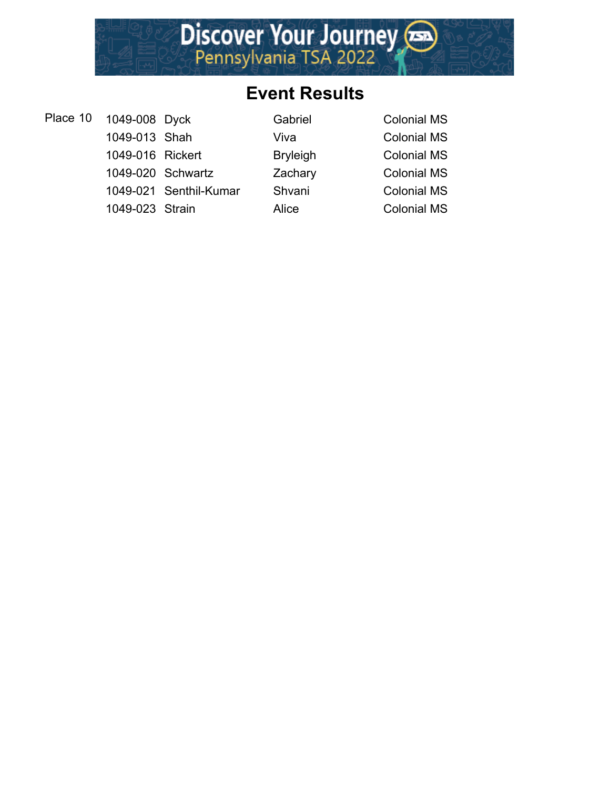

| Place 10 1049-008 Dyck |                        | Gabriel         | <b>Colonial MS</b> |
|------------------------|------------------------|-----------------|--------------------|
| 1049-013 Shah          |                        | Viva            | <b>Colonial MS</b> |
| 1049-016 Rickert       |                        | <b>Bryleigh</b> | <b>Colonial MS</b> |
| 1049-020 Schwartz      |                        | Zachary         | <b>Colonial MS</b> |
|                        | 1049-021 Senthil-Kumar | Shvani          | <b>Colonial MS</b> |
| 1049-023 Strain        |                        | Alice           | <b>Colonial MS</b> |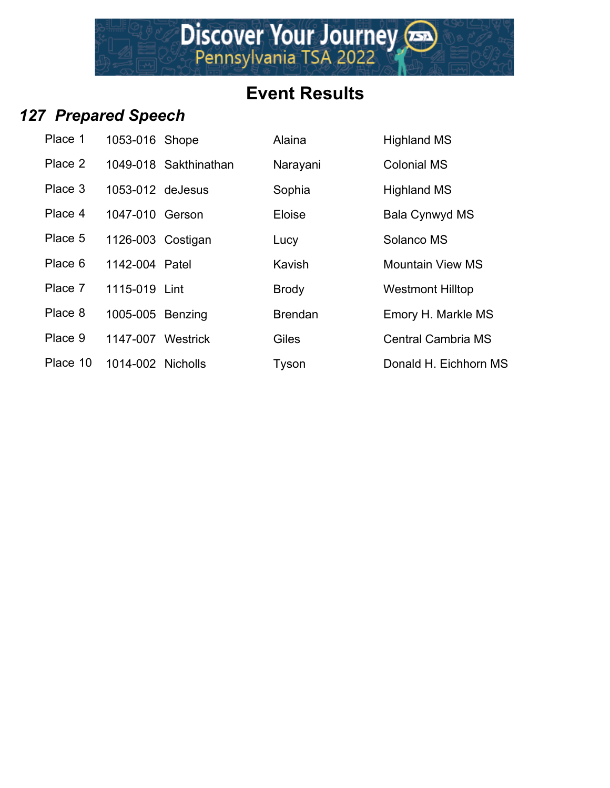Discover Your Journey

## *127 Prepared Speech*

| Place 1  | 1053-016 Shope    |                       | Alaina         | <b>Highland MS</b>        |
|----------|-------------------|-----------------------|----------------|---------------------------|
| Place 2  |                   | 1049-018 Sakthinathan | Narayani       | <b>Colonial MS</b>        |
| Place 3  | 1053-012 deJesus  |                       | Sophia         | <b>Highland MS</b>        |
| Place 4  | 1047-010 Gerson   |                       | Eloise         | Bala Cynwyd MS            |
| Place 5  | 1126-003 Costigan |                       | Lucy           | Solanco MS                |
| Place 6  | 1142-004 Patel    |                       | Kavish         | <b>Mountain View MS</b>   |
| Place 7  | 1115-019 Lint     |                       | <b>Brody</b>   | <b>Westmont Hilltop</b>   |
| Place 8  | 1005-005 Benzing  |                       | <b>Brendan</b> | Emory H. Markle MS        |
| Place 9  | 1147-007 Westrick |                       | <b>Giles</b>   | <b>Central Cambria MS</b> |
| Place 10 | 1014-002 Nicholls |                       | Tvson          | Donald H. Eichhorn I      |

|            | 8-016 Shope        | Alaina         | <b>Highland MS</b>        |
|------------|--------------------|----------------|---------------------------|
|            | 0-018 Sakthinathan | Narayani       | <b>Colonial MS</b>        |
|            | 8-012 deJesus      | Sophia         | <b>Highland MS</b>        |
|            | '-010 Gerson       | Eloise         | Bala Cynwyd MS            |
|            | i-003 Costigan     | Lucy           | Solanco MS                |
|            | -004 Patel         | Kavish         | <b>Mountain View MS</b>   |
| 5-019 Lint |                    | <b>Brody</b>   | <b>Westmont Hilltop</b>   |
|            | 6-005 Benzing      | <b>Brendan</b> | Emory H. Markle MS        |
|            | '-007 Westrick     | Giles          | <b>Central Cambria MS</b> |
|            | -002 Nicholls      | Tyson          | Donald H. Eichhorn MS     |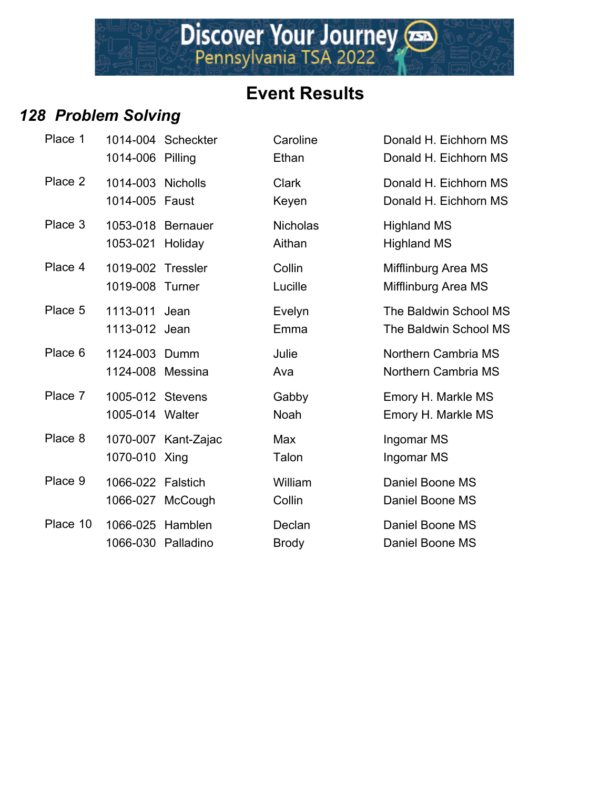

#### *128 Problem Solving*

| Place 1  | 1014-006 Pilling                    | 1014-004 Scheckter  | Caroline<br>Ethan         | Donald H. Eichhorn MS<br>Donald H. Eichhorn MS |
|----------|-------------------------------------|---------------------|---------------------------|------------------------------------------------|
| Place 2  | 1014-003 Nicholls<br>1014-005 Faust |                     | <b>Clark</b><br>Keyen     | Donald H. Eichhorn MS<br>Donald H. Eichhorn MS |
| Place 3  | 1053-018<br>1053-021                | Bernauer<br>Holiday | <b>Nicholas</b><br>Aithan | <b>Highland MS</b><br><b>Highland MS</b>       |
| Place 4  | 1019-002 Tressler<br>1019-008       | Turner              | Collin<br>Lucille         | Mifflinburg Area MS<br>Mifflinburg Area MS     |
| Place 5  | 1113-011<br>1113-012 Jean           | Jean                | Evelyn<br>Emma            | The Baldwin School MS<br>The Baldwin School MS |
| Place 6  | 1124-003 Dumm<br>1124-008 Messina   |                     | Julie<br>Ava              | Northern Cambria MS<br>Northern Cambria MS     |
| Place 7  | 1005-012 Stevens<br>1005-014 Walter |                     | Gabby<br>Noah             | Emory H. Markle MS<br>Emory H. Markle MS       |
| Place 8  | 1070-010 Xing                       | 1070-007 Kant-Zajac | Max<br>Talon              | Ingomar MS<br>Ingomar MS                       |
| Place 9  | 1066-022 Falstich                   | 1066-027 McCough    | William<br>Collin         | Daniel Boone MS<br>Daniel Boone MS             |
| Place 10 | 1066-025<br>1066-030 Palladino      | Hamblen             | Declan<br><b>Brody</b>    | Daniel Boone MS<br>Daniel Boone MS             |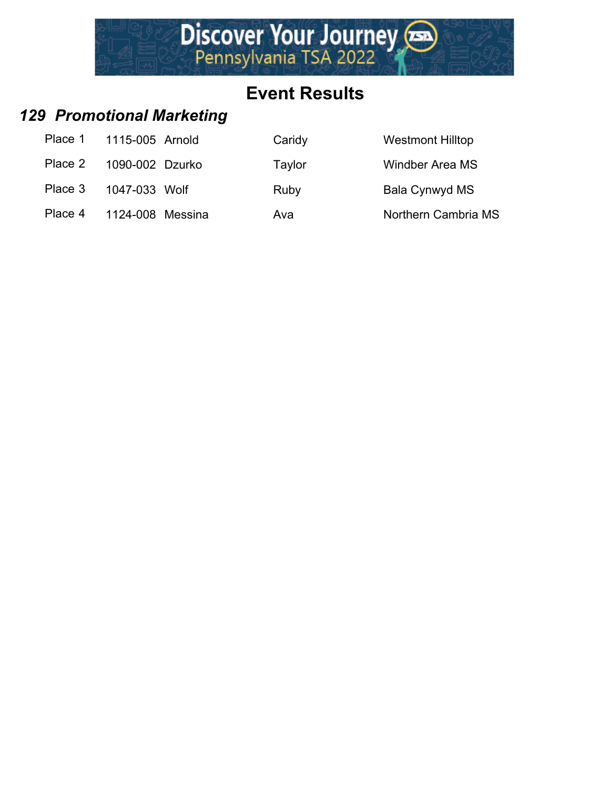

#### *129 Promotional Marketing*

| Place 1 | 1115-005 Arnold  | Caridy | <b>Westmont Hilltop</b> |
|---------|------------------|--------|-------------------------|
| Place 2 | 1090-002 Dzurko  | Taylor | <b>Windber Area MS</b>  |
| Place 3 | 1047-033 Wolf    | Ruby   | Bala Cynwyd MS          |
| Place 4 | 1124-008 Messina | Ava    | Northern Cambria MS     |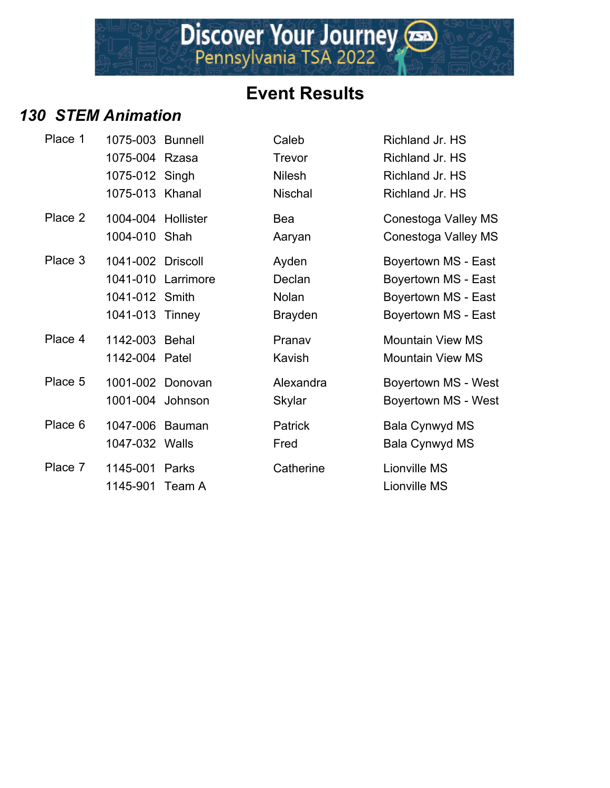Discover Your Journey

#### *130 STEM Animation*

| Place 1 | 1075-003 Bunnell   |                    | Caleb          | Richland Jr. HS         |
|---------|--------------------|--------------------|----------------|-------------------------|
|         | 1075-004 Rzasa     |                    | Trevor         | Richland Jr. HS         |
|         | 1075-012 Singh     |                    | <b>Nilesh</b>  | Richland Jr. HS         |
|         | 1075-013 Khanal    |                    | <b>Nischal</b> | Richland Jr. HS         |
| Place 2 | 1004-004 Hollister |                    | Bea            | Conestoga Valley MS     |
|         | 1004-010 Shah      |                    | Aaryan         | Conestoga Valley MS     |
| Place 3 | 1041-002 Driscoll  |                    | Ayden          | Boyertown MS - East     |
|         |                    | 1041-010 Larrimore | Declan         | Boyertown MS - East     |
|         | 1041-012 Smith     |                    | Nolan          | Boyertown MS - East     |
|         | 1041-013 Tinney    |                    | <b>Brayden</b> | Boyertown MS - East     |
| Place 4 | 1142-003 Behal     |                    | Pranav         | <b>Mountain View MS</b> |
|         | 1142-004 Patel     |                    | Kavish         | <b>Mountain View MS</b> |
| Place 5 | 1001-002 Donovan   |                    | Alexandra      | Boyertown MS - West     |
|         | 1001-004 Johnson   |                    | <b>Skylar</b>  | Boyertown MS - West     |
| Place 6 | 1047-006 Bauman    |                    | <b>Patrick</b> | <b>Bala Cynwyd MS</b>   |
|         | 1047-032 Walls     |                    | Fred           | <b>Bala Cynwyd MS</b>   |
| Place 7 | 1145-001           | Parks              | Catherine      | Lionville MS            |
|         | 1145-901 Team A    |                    |                | Lionville MS            |
|         |                    |                    |                |                         |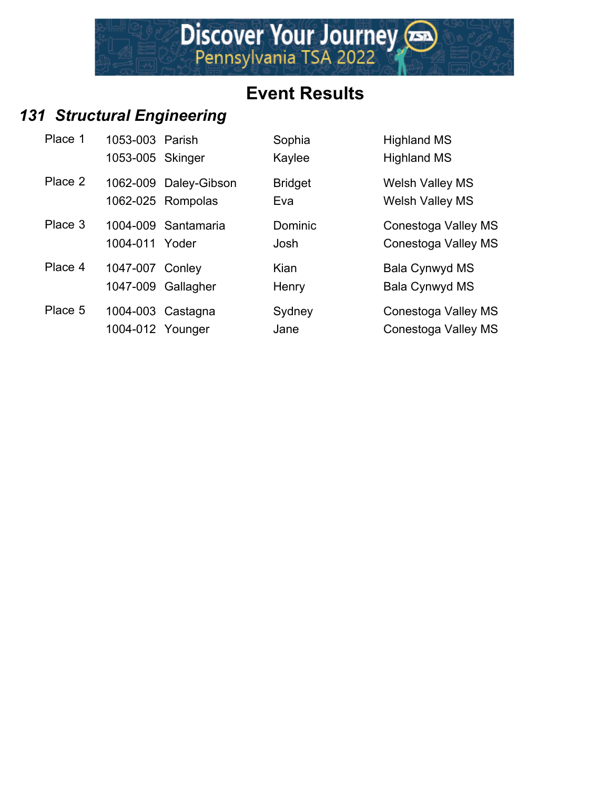## *131 Structural Engineering*

| Place 1 | 1053-003 Parish<br>1053-005 Skinger |                                            | Sophia<br>Kaylee      | <b>Highland MS</b><br><b>Highland MS</b>         |
|---------|-------------------------------------|--------------------------------------------|-----------------------|--------------------------------------------------|
| Place 2 |                                     | 1062-009 Daley-Gibson<br>1062-025 Rompolas | <b>Bridget</b><br>Eva | <b>Welsh Valley MS</b><br><b>Welsh Valley MS</b> |
| Place 3 | 1004-011 Yoder                      | 1004-009 Santamaria                        | Dominic<br>Josh       | Conestoga Valley MS<br>Conestoga Valley MS       |
| Place 4 | 1047-007 Conley                     | 1047-009 Gallagher                         | Kian<br>Henry         | Bala Cynwyd MS<br>Bala Cynwyd MS                 |
| Place 5 | 1004-012 Younger                    | 1004-003 Castagna                          | Sydney<br>Jane        | Conestoga Valley MS<br>Conestoga Valley MS       |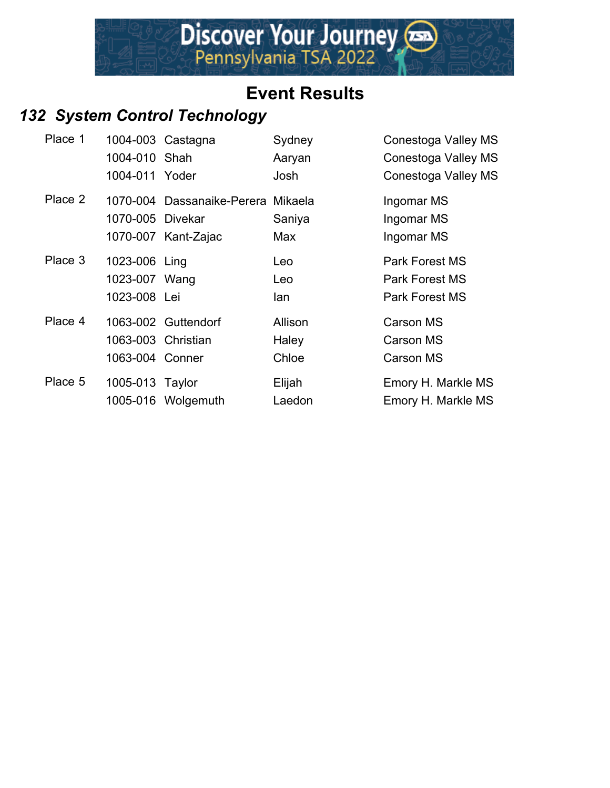

#### *132 System Control Technology*

| Place 1 |                    | 1004-003 Castagna                  | Sydney  | Conestoga Valley MS   |
|---------|--------------------|------------------------------------|---------|-----------------------|
|         | 1004-010 Shah      |                                    | Aaryan  | Conestoga Valley MS   |
|         | 1004-011 Yoder     |                                    | Josh    | Conestoga Valley MS   |
| Place 2 |                    | 1070-004 Dassanaike-Perera Mikaela |         | Ingomar MS            |
|         | 1070-005 Divekar   |                                    | Saniya  | Ingomar MS            |
|         |                    | 1070-007 Kant-Zajac                | Max     | Ingomar MS            |
| Place 3 | 1023-006 Ling      |                                    | Leo     | <b>Park Forest MS</b> |
|         | 1023-007 Wang      |                                    | Leo     | <b>Park Forest MS</b> |
|         | 1023-008 Lei       |                                    | lan     | Park Forest MS        |
| Place 4 |                    | 1063-002 Guttendorf                | Allison | <b>Carson MS</b>      |
|         | 1063-003 Christian |                                    | Haley   | <b>Carson MS</b>      |
|         | 1063-004 Conner    |                                    | Chloe   | <b>Carson MS</b>      |
| Place 5 | 1005-013 Taylor    |                                    | Elijah  | Emory H. Markle MS    |
|         |                    | 1005-016 Wolgemuth                 | Laedon  | Emory H. Markle MS    |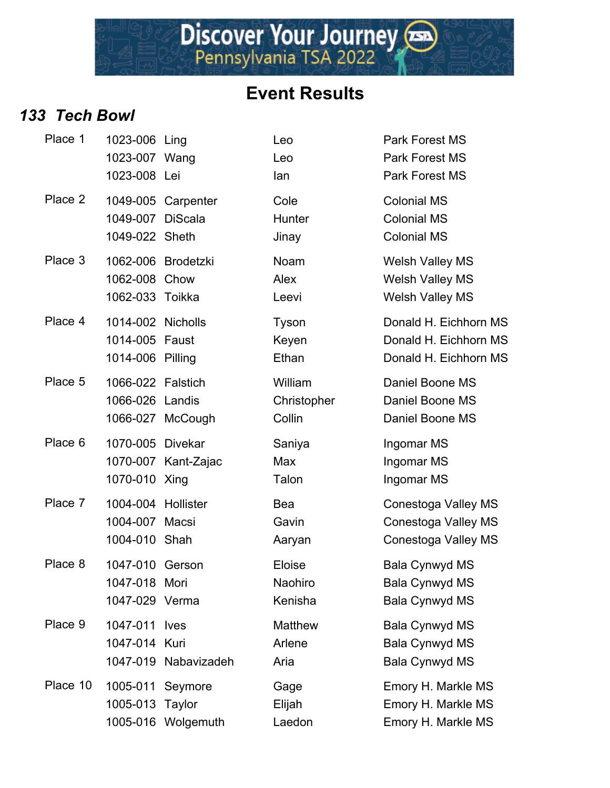Discover Your Journey

#### *133 Tech Bowl*

| Place 1  | 1023-006 Ling<br>1023-007 Wang<br>1023-008 Lei          |                              | Leo<br>Leo<br>lan                | <b>Park Forest MS</b><br><b>Park Forest MS</b><br>Park Forest MS           |
|----------|---------------------------------------------------------|------------------------------|----------------------------------|----------------------------------------------------------------------------|
| Place 2  | 1049-007 DiScala<br>1049-022 Sheth                      | 1049-005 Carpenter           | Cole<br>Hunter<br>Jinay          | <b>Colonial MS</b><br><b>Colonial MS</b><br><b>Colonial MS</b>             |
| Place 3  | 1062-008<br>1062-033 Toikka                             | 1062-006 Brodetzki<br>Chow   | Noam<br>Alex<br>Leevi            | <b>Welsh Valley MS</b><br><b>Welsh Valley MS</b><br><b>Welsh Valley MS</b> |
| Place 4  | 1014-002 Nicholls<br>1014-005 Faust<br>1014-006 Pilling |                              | Tyson<br>Keyen<br>Ethan          | Donald H. Eichhorn MS<br>Donald H. Eichhorn MS<br>Donald H. Eichhorn MS    |
| Place 5  | 1066-022 Falstich<br>1066-026 Landis                    | 1066-027 McCough             | William<br>Christopher<br>Collin | Daniel Boone MS<br>Daniel Boone MS<br>Daniel Boone MS                      |
| Place 6  | 1070-005 Divekar<br>1070-010 Xing                       | 1070-007 Kant-Zajac          | Saniya<br>Max<br>Talon           | Ingomar MS<br>Ingomar MS<br>Ingomar MS                                     |
| Place 7  | 1004-004 Hollister<br>1004-007 Macsi<br>1004-010 Shah   |                              | Bea<br>Gavin<br>Aaryan           | Conestoga Valley MS<br><b>Conestoga Valley MS</b><br>Conestoga Valley MS   |
| Place 8  | 1047-010 Gerson<br>1047-018 Mori<br>1047-029 Verma      |                              | Eloise<br>Naohiro<br>Kenisha     | <b>Bala Cynwyd MS</b><br><b>Bala Cynwyd MS</b><br><b>Bala Cynwyd MS</b>    |
| Place 9  | 1047-011 lves<br>1047-014 Kuri                          | 1047-019 Nabavizadeh         | Matthew<br>Arlene<br>Aria        | <b>Bala Cynwyd MS</b><br>Bala Cynwyd MS<br><b>Bala Cynwyd MS</b>           |
| Place 10 | 1005-011 Seymore<br>1005-013                            | Taylor<br>1005-016 Wolgemuth | Gage<br>Elijah<br>Laedon         | Emory H. Markle MS<br>Emory H. Markle MS<br>Emory H. Markle MS             |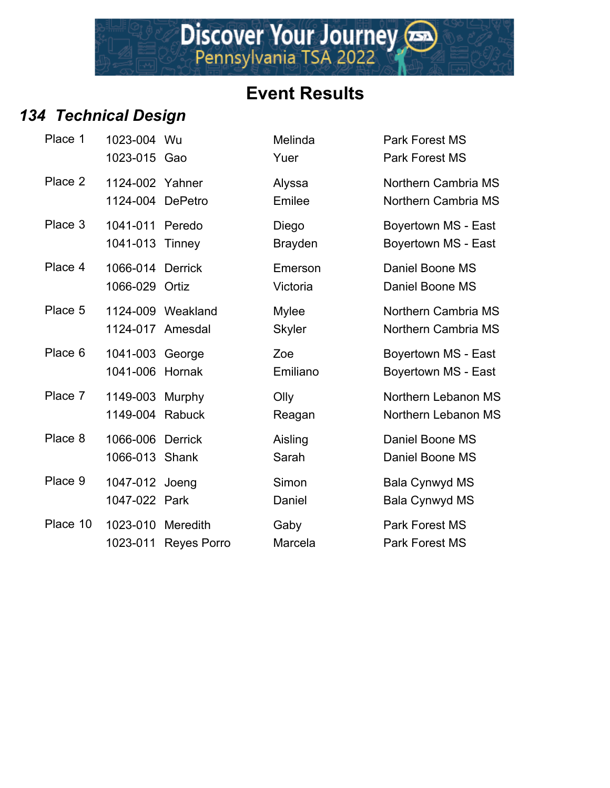#### *134 Technical Design*

| Place 1  | 1023-004 Wu<br>1023-015 Gao         |                      | Melinda<br>Yuer               | Park Forest MS<br>Park Forest MS            |
|----------|-------------------------------------|----------------------|-------------------------------|---------------------------------------------|
| Place 2  | 1124-002 Yahner<br>1124-004 DePetro |                      | Alyssa<br>Emilee              | Northern Cambria<br>Northern Cambria        |
| Place 3  | 1041-011 Peredo<br>1041-013 Tinney  |                      | Diego<br><b>Brayden</b>       | Boyertown MS - E<br>Boyertown MS - E        |
| Place 4  | 1066-014 Derrick<br>1066-029 Ortiz  |                      | Emerson<br>Victoria           | Daniel Boone MS<br>Daniel Boone MS          |
| Place 5  | 1124-017 Amesdal                    | 1124-009 Weakland    | <b>Mylee</b><br><b>Skyler</b> | Northern Cambria<br><b>Northern Cambria</b> |
| Place 6  | 1041-003 George<br>1041-006 Hornak  |                      | Zoe<br>Emiliano               | Boyertown MS - E<br>Boyertown MS - E        |
| Place 7  | 1149-003 Murphy<br>1149-004 Rabuck  |                      | Olly<br>Reagan                | Northern Lebanor<br>Northern Lebanor        |
| Place 8  | 1066-006 Derrick<br>1066-013 Shank  |                      | Aisling<br>Sarah              | Daniel Boone MS<br>Daniel Boone MS          |
| Place 9  | 1047-012 Joeng<br>1047-022 Park     |                      | Simon<br>Daniel               | <b>Bala Cynwyd MS</b><br>Bala Cynwyd MS     |
| Place 10 | 1023-010 Meredith                   | 1023-011 Reyes Porro | Gaby<br>Marcela               | Park Forest MS<br><b>Park Forest MS</b>     |

| cai Design       |                |                       |
|------------------|----------------|-----------------------|
| 1023-004 Wu      | Melinda        | Park Forest MS        |
| 1023-015 Gao     | Yuer           | <b>Park Forest MS</b> |
| 1124-002 Yahner  | Alyssa         | Northern Cambria MS   |
| 1124-004 DePetro | Emilee         | Northern Cambria MS   |
| 1041-011 Peredo  | Diego          | Boyertown MS - East   |
| 1041-013 Tinney  | <b>Brayden</b> | Boyertown MS - East   |
| 1066-014 Derrick | Emerson        | Daniel Boone MS       |
| 1066-029 Ortiz   | Victoria       | Daniel Boone MS       |

Mylee Northern Cambria MS Skyler **Northern Cambria MS** 

Zoe Boyertown MS - East Emiliano Boyertown MS - East

**Place 7 1149 Murphy Northern Lebanon MS** Reagan Northern Lebanon MS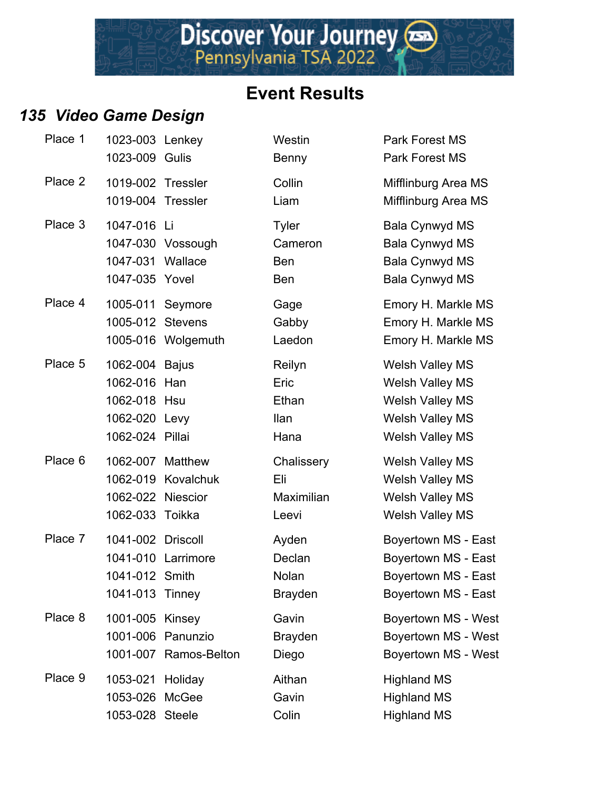#### *135 Video Game Design*

| Place 1 | 1023-003 Lenkey<br>1023-009 Gulis                                              |                                            | Westin<br>Benny                                     | Park Forest M<br>Park Forest M                                                                                  |
|---------|--------------------------------------------------------------------------------|--------------------------------------------|-----------------------------------------------------|-----------------------------------------------------------------------------------------------------------------|
| Place 2 | 1019-002 Tressler<br>1019-004 Tressler                                         |                                            | Collin<br>Liam                                      | Mifflinburg Ar<br>Mifflinburg Ar                                                                                |
| Place 3 | 1047-016 Li<br>1047-031 Wallace<br>1047-035 Yovel                              | 1047-030 Vossough                          | <b>Tyler</b><br>Cameron<br><b>Ben</b><br><b>Ben</b> | Bala Cynwyd<br><b>Bala Cynwyd</b><br>Bala Cynwyd<br><b>Bala Cynwyd</b>                                          |
| Place 4 | 1005-011 Seymore<br>1005-012 Stevens                                           | 1005-016 Wolgemuth                         | Gage<br>Gabby<br>Laedon                             | Emory H. Ma<br>Emory H. Ma<br>Emory H. Ma                                                                       |
| Place 5 | 1062-004 Bajus<br>1062-016<br>1062-018 Hsu<br>1062-020 Levy<br>1062-024 Pillai | Han                                        | Reilyn<br>Eric<br>Ethan<br><b>Ilan</b><br>Hana      | <b>Welsh Valley</b><br><b>Welsh Valley</b><br><b>Welsh Valley</b><br><b>Welsh Valley</b><br><b>Welsh Valley</b> |
| Place 6 | 1062-007 Matthew<br>1062-022 Niescior<br>1062-033 Toikka                       | 1062-019 Kovalchuk                         | Chalissery<br>Eli<br>Maximilian<br>Leevi            | <b>Welsh Valley</b><br><b>Welsh Valley</b><br><b>Welsh Valley</b><br><b>Welsh Valley</b>                        |
| Place 7 | 1041-002 Driscoll<br>1041-012 Smith<br>1041-013 Tinney                         | 1041-010 Larrimore                         | Ayden<br>Declan<br>Nolan<br><b>Brayden</b>          | <b>Boyertown M</b><br>Boyertown M<br><b>Boyertown M</b><br><b>Boyertown M</b>                                   |
| Place 8 | 1001-005 Kinsey                                                                | 1001-006 Panunzio<br>1001-007 Ramos-Belton | Gavin<br><b>Brayden</b><br>Diego                    | <b>Boyertown M</b><br><b>Boyertown M</b><br>Boyertown M                                                         |
| Place 9 | 1053-021 Holiday<br>1053-026<br>1053-028 Steele                                | McGee                                      | Aithan<br>Gavin<br>Colin                            | <b>Highland MS</b><br><b>Highland MS</b><br><b>Highland MS</b>                                                  |

Westin **Park Forest MS 1023-009 Benny Park Forest MS** Collin Mifflinburg Area MS Liam Mifflinburg Area MS Tyler **3 1047-1047-016 Bala Cynwyd MS** Cameron Bala Cynwyd MS 1047-031 Bala Cynwyd MS 1047-035 Bala Cynwyd MS Gage **Emory H. Markle MS** Gabby **Emory H. Markle MS** Laedon Emory H. Markle MS Reilyn Welsh Valley MS Eric Welsh Valley MS Ethan Welsh Valley MS 11an Welsh Valley MS Hana Welsh Valley MS Chalissery Welsh Valley MS Eli Welsh Valley MS Maximilian Welsh Valley MS Leevi Welsh Valley MS Ayden Boyertown MS - East Declan Boyertown MS - East Nolan Boyertown MS - East Brayden Boyertown MS - East Gavin Boyertown MS - West Brayden Boyertown MS - West 1001-001 Port Contains Diego Boyertown MS - West Aithan Highland MS Gavin Highland MS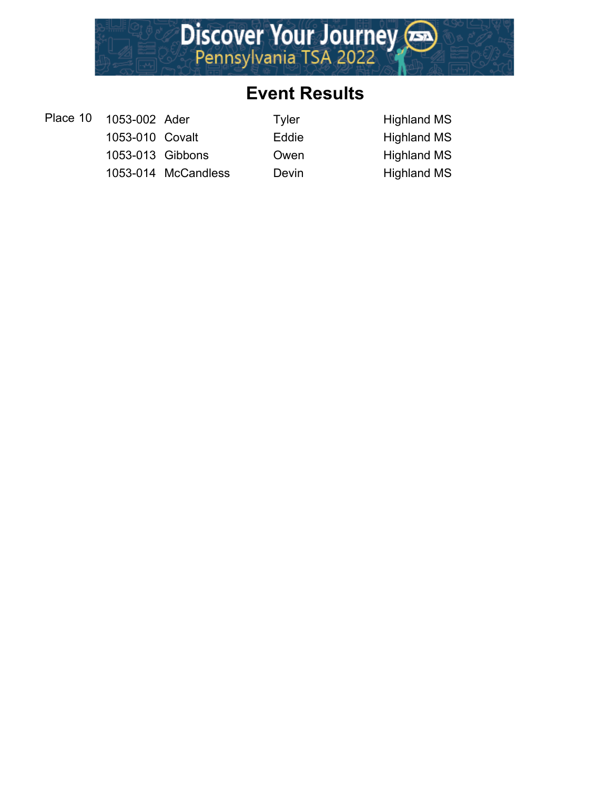

- Place 10 1053-002 Ader Tyler Tyler Highland MS
	- 1053-010 Covalt **Eddie** Highland MS 1053-013 Gibbons Owen Highland MS
	- 1053-014 McCandless Devin Highland MS
-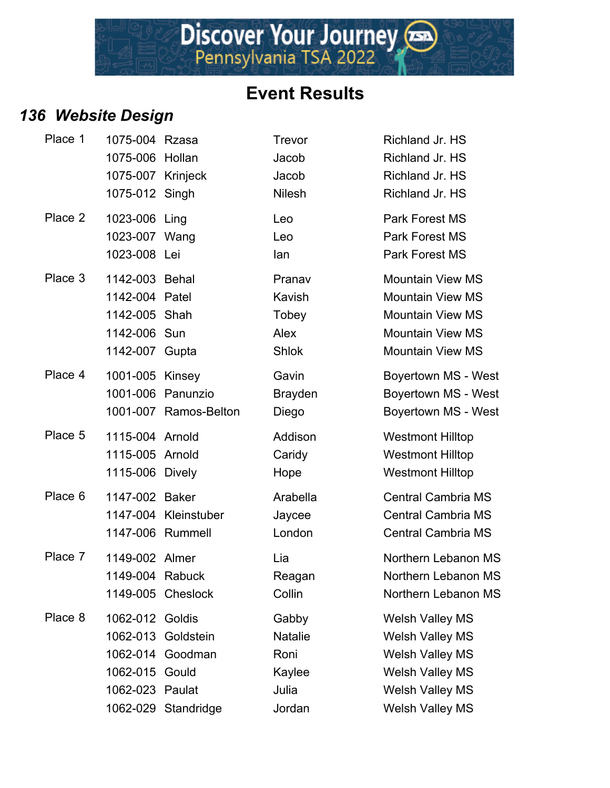## *136 Website Design*

| <b>Event Results</b> |  |
|----------------------|--|
|                      |  |

| Place 1 | 1075-004 Rzasa<br>1075-006 Hollan |                       | Trevor<br>Jacob | Richland Jr. HS<br>Richland Jr. HS |
|---------|-----------------------------------|-----------------------|-----------------|------------------------------------|
|         | 1075-007 Krinjeck                 |                       | Jacob           | Richland Jr. HS                    |
|         | 1075-012 Singh                    |                       | <b>Nilesh</b>   | Richland Jr. HS                    |
| Place 2 | 1023-006 Ling                     |                       | Leo             | <b>Park Forest MS</b>              |
|         | 1023-007 Wang                     |                       | Leo             | <b>Park Forest MS</b>              |
|         | 1023-008 Lei                      |                       | lan             | <b>Park Forest MS</b>              |
| Place 3 | 1142-003 Behal                    |                       | Pranav          | <b>Mountain View MS</b>            |
|         | 1142-004 Patel                    |                       | Kavish          | <b>Mountain View MS</b>            |
|         | 1142-005 Shah                     |                       | Tobey           | <b>Mountain View MS</b>            |
|         | 1142-006 Sun                      |                       | Alex            | <b>Mountain View MS</b>            |
|         | 1142-007 Gupta                    |                       | <b>Shlok</b>    | <b>Mountain View MS</b>            |
| Place 4 | 1001-005 Kinsey                   |                       | Gavin           | Boyertown MS - West                |
|         |                                   | 1001-006 Panunzio     | <b>Brayden</b>  | Boyertown MS - West                |
|         |                                   | 1001-007 Ramos-Belton | Diego           | Boyertown MS - West                |
| Place 5 | 1115-004 Arnold                   |                       | Addison         | <b>Westmont Hilltop</b>            |
|         | 1115-005 Arnold                   |                       | Caridy          | <b>Westmont Hilltop</b>            |
|         | 1115-006 Dively                   |                       | Hope            | <b>Westmont Hilltop</b>            |
| Place 6 | 1147-002 Baker                    |                       | Arabella        | <b>Central Cambria MS</b>          |
|         |                                   | 1147-004 Kleinstuber  | Jaycee          | <b>Central Cambria MS</b>          |
|         |                                   | 1147-006 Rummell      | London          | <b>Central Cambria MS</b>          |
| Place 7 | 1149-002 Almer                    |                       | Lia             | Northern Lebanon MS                |
|         | 1149-004 Rabuck                   |                       | Reagan          | Northern Lebanon MS                |
|         |                                   | 1149-005 Cheslock     | Collin          | Northern Lebanon MS                |
| Place 8 | 1062-012 Goldis                   |                       | Gabby           | <b>Welsh Valley MS</b>             |
|         |                                   | 1062-013 Goldstein    | <b>Natalie</b>  | <b>Welsh Valley MS</b>             |
|         |                                   | 1062-014 Goodman      | Roni            | <b>Welsh Valley MS</b>             |
|         | 1062-015 Gould                    |                       | Kaylee          | <b>Welsh Valley MS</b>             |
|         | 1062-023 Paulat                   |                       | Julia           | <b>Welsh Valley MS</b>             |
|         |                                   | 1062-029 Standridge   | Jordan          | <b>Welsh Valley MS</b>             |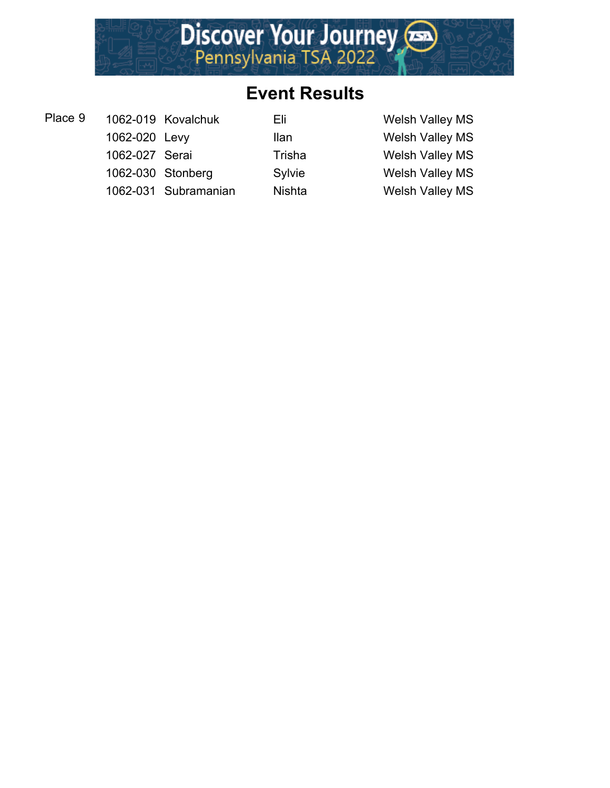

Place 9 1062-019 Kovalchuk Eli Eli Welsh Valley MS

1062-020 Levy Ilan Welsh Valley MS 1062-027 Serai Trisha Welsh Valley MS 1062-030 Stonberg Sylvie Welsh Valley MS

1062-031 Subramanian Nishta Welsh Valley MS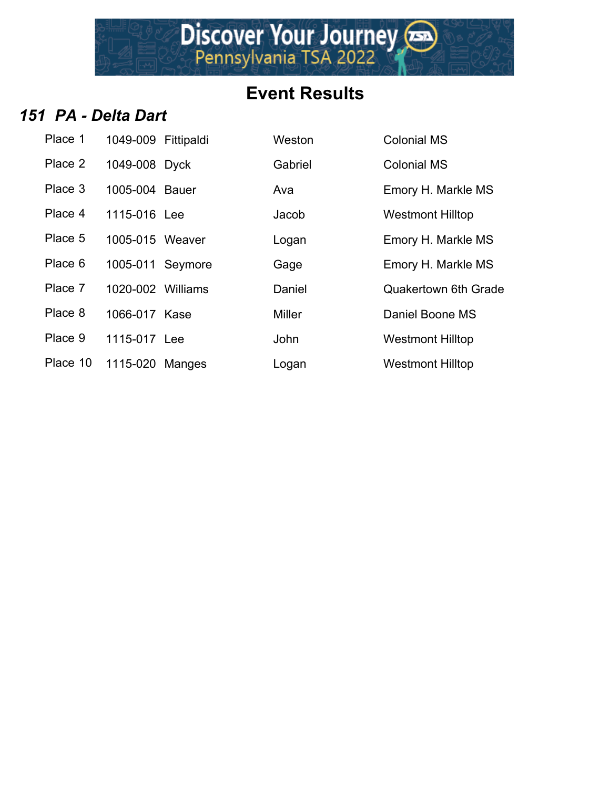

#### *151 PA - Delta Dart*

| Place 1  | 1049-009 Fittipaldi | Weston        | <b>Colonial MS</b>          |
|----------|---------------------|---------------|-----------------------------|
| Place 2  | 1049-008 Dyck       | Gabriel       | <b>Colonial MS</b>          |
| Place 3  | 1005-004 Bauer      | Ava           | Emory H. Markle MS          |
| Place 4  | 1115-016 Lee        | Jacob         | <b>Westmont Hilltop</b>     |
| Place 5  | 1005-015 Weaver     | Logan         | Emory H. Markle MS          |
| Place 6  | 1005-011 Seymore    | Gage          | Emory H. Markle MS          |
| Place 7  | 1020-002 Williams   | Daniel        | <b>Quakertown 6th Grade</b> |
| Place 8  | 1066-017 Kase       | <b>Miller</b> | Daniel Boone MS             |
| Place 9  | 1115-017 Lee        | <b>John</b>   | <b>Westmont Hilltop</b>     |
| Place 10 | 1115-020 Manges     | Logan         | <b>Westmont Hilltop</b>     |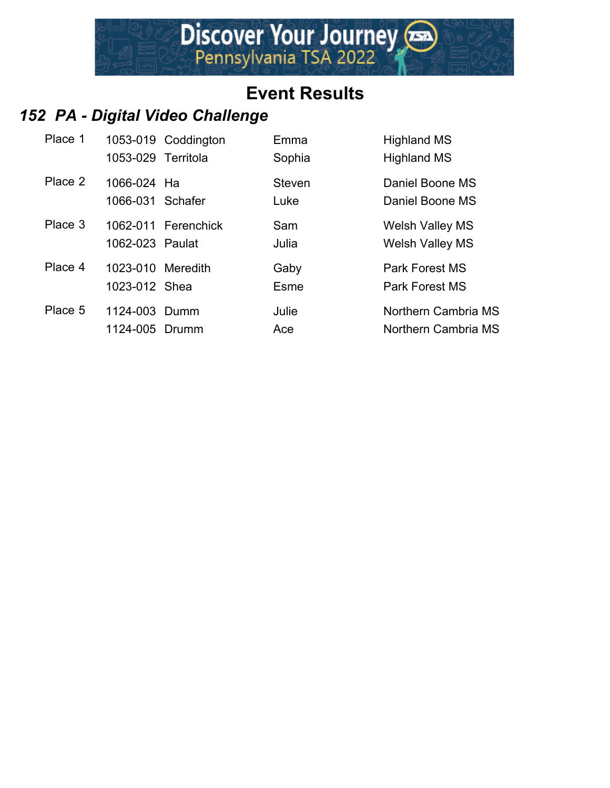

# *152 PA - Digital Video Challenge*

| Place 1 | 1053-029 Territola                 | 1053-019 Coddington | Emma<br>Sophia        | <b>Highland MS</b><br><b>Highland MS</b>         |
|---------|------------------------------------|---------------------|-----------------------|--------------------------------------------------|
| Place 2 | 1066-024 Ha<br>1066-031 Schafer    |                     | <b>Steven</b><br>Luke | Daniel Boone MS<br>Daniel Boone MS               |
| Place 3 | 1062-023 Paulat                    | 1062-011 Ferenchick | Sam<br>Julia          | <b>Welsh Valley MS</b><br><b>Welsh Valley MS</b> |
| Place 4 | 1023-010 Meredith<br>1023-012 Shea |                     | Gaby<br>Esme          | Park Forest MS<br>Park Forest MS                 |
| Place 5 | 1124-003 Dumm<br>1124-005 Drumm    |                     | Julie<br>Ace          | Northern Cambria MS<br>Northern Cambria MS       |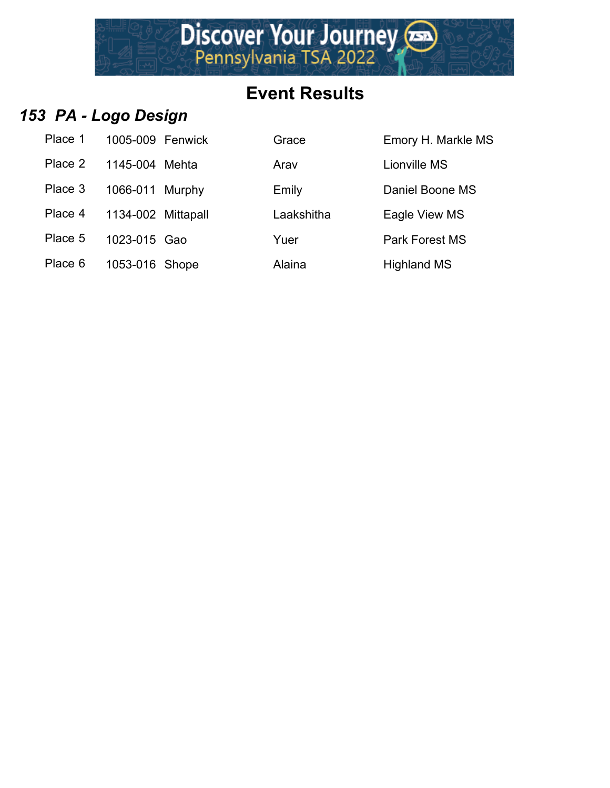

## *153 PA - Logo Design*

| Place 1 | 1005-009 Fenwick   | Grace      | Emory H. Ma        |
|---------|--------------------|------------|--------------------|
| Place 2 | 1145-004 Mehta     | Arav       | Lionville MS       |
| Place 3 | 1066-011 Murphy    | Emily      | Daniel Boone       |
| Place 4 | 1134-002 Mittapall | Laakshitha | Eagle View N       |
| Place 5 | 1023-015 Gao       | Yuer       | Park Forest N      |
| Place 6 | 1053-016 Shope     | Alaina     | <b>Highland MS</b> |

| Place 1 | 1005-009 Fenwick   | Grace      | Emory H. Markle MS    |
|---------|--------------------|------------|-----------------------|
| Place 2 | 1145-004 Mehta     | Arav       | <b>Lionville MS</b>   |
| Place 3 | 1066-011 Murphy    | Emily      | Daniel Boone MS       |
| Place 4 | 1134-002 Mittapall | Laakshitha | Eagle View MS         |
| Place 5 | 1023-015 Gao       | Yuer       | <b>Park Forest MS</b> |
| Place 6 | 1053-016 Shope     | Alaina     | <b>Highland MS</b>    |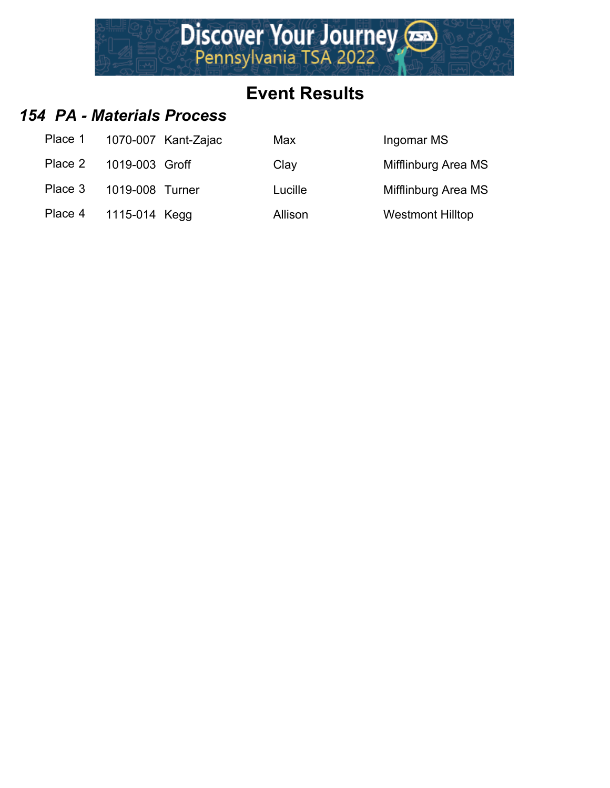

#### *154 PA - Materials Process*

| Place 1 | 1070-007 Kant-Zajac | Max     | Ingomar MS                 |
|---------|---------------------|---------|----------------------------|
| Place 2 | 1019-003 Groff      | Clay    | <b>Mifflinburg Area MS</b> |
| Place 3 | 1019-008 Turner     | Lucille | <b>Mifflinburg Area MS</b> |
| Place 4 | 1115-014 Kegg       | Allison | <b>Westmont Hilltop</b>    |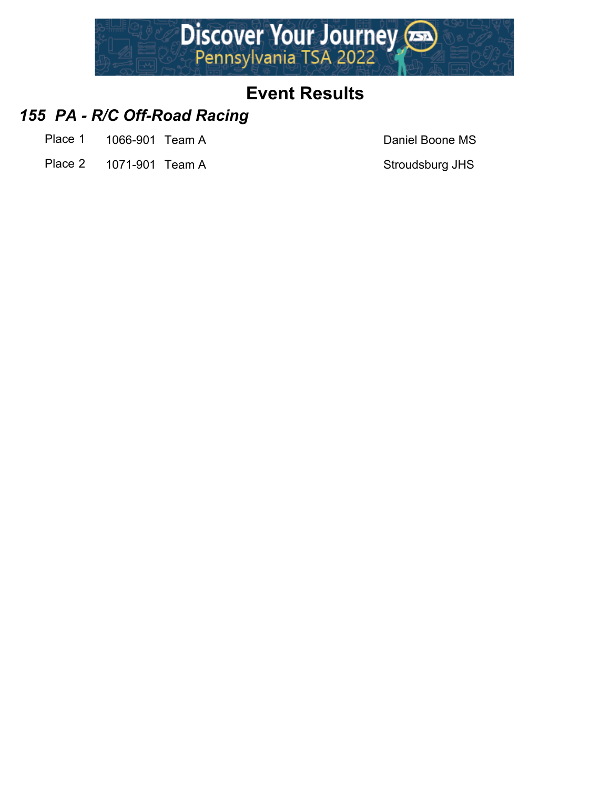

#### *155 PA - R/C Off-Road Racing*

- Place 1 1066-901 Team A Daniel Boone MS
- Place 2 1071-901 Team A Stroudsburg JHS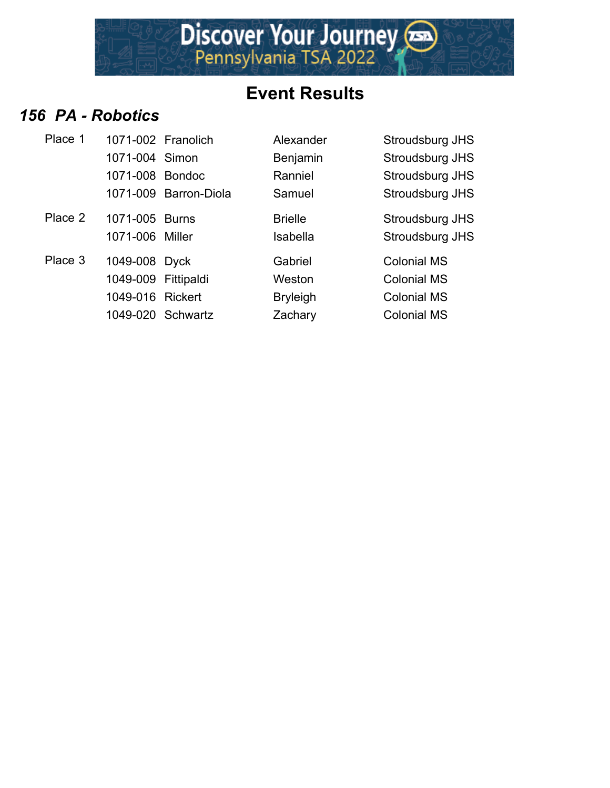

#### *156 PA - Robotics*

| Place 1 | 1071-002 Franolich  |                       | Alexander       | Stroudsburg JHS    |
|---------|---------------------|-----------------------|-----------------|--------------------|
|         | 1071-004 Simon      |                       | Benjamin        | Stroudsburg JHS    |
|         | 1071-008 Bondoc     |                       | Ranniel         | Stroudsburg JHS    |
|         |                     | 1071-009 Barron-Diola | Samuel          | Stroudsburg JHS    |
| Place 2 | 1071-005 Burns      |                       | <b>Brielle</b>  | Stroudsburg JHS    |
|         | 1071-006 Miller     |                       | Isabella        | Stroudsburg JHS    |
| Place 3 | 1049-008 Dyck       |                       | Gabriel         | <b>Colonial MS</b> |
|         | 1049-009 Fittipaldi |                       | Weston          | <b>Colonial MS</b> |
|         | 1049-016 Rickert    |                       | <b>Bryleigh</b> | <b>Colonial MS</b> |
|         |                     | 1049-020 Schwartz     | Zachary         | <b>Colonial MS</b> |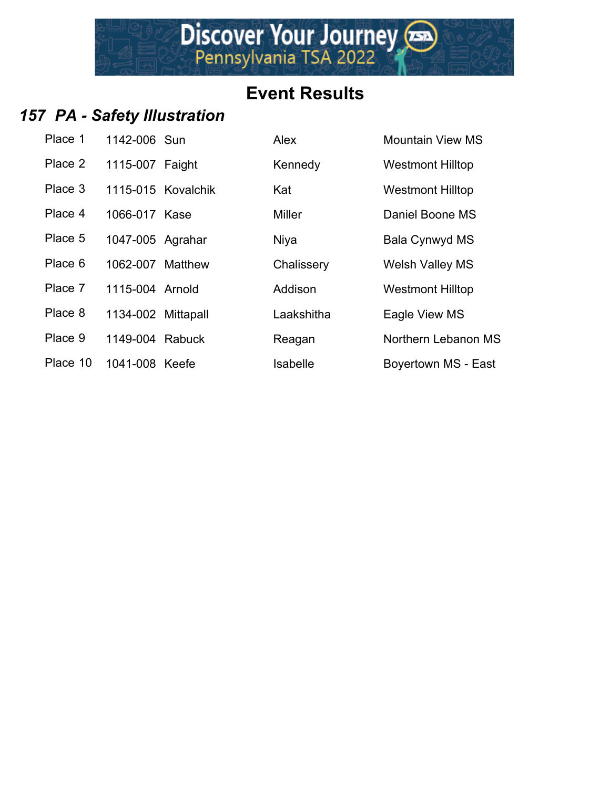## *157 PA - Safety Illustration*

| Place 1  | 1142-006 Sun       |  |
|----------|--------------------|--|
| Place 2  | 1115-007 Faight    |  |
| Place 3  | 1115-015 Kovalchik |  |
| Place 4  | 1066-017 Kase      |  |
| Place 5  | 1047-005 Agrahar   |  |
| Place 6  | 1062-007 Matthew   |  |
| Place 7  | 1115-004 Arnold    |  |
| Place 8  | 1134-002 Mittapall |  |
| Place 9  | 1149-004 Rabuck    |  |
| Place 10 | 1041-008 Keefe     |  |

| Place 1  | 1142-006 Sun       |                    | Alex          | <b>Mountain View MS</b> |
|----------|--------------------|--------------------|---------------|-------------------------|
| Place 2  | 1115-007 Faight    |                    | Kennedy       | <b>Westmont Hilltop</b> |
| Place 3  |                    | 1115-015 Kovalchik | Kat           | <b>Westmont Hilltop</b> |
| Place 4  | 1066-017 Kase      |                    | <b>Miller</b> | Daniel Boone MS         |
| Place 5  | 1047-005 Agrahar   |                    | Niya          | Bala Cynwyd MS          |
| Place 6  | 1062-007 Matthew   |                    | Chalissery    | <b>Welsh Valley MS</b>  |
| Place 7  | 1115-004 Arnold    |                    | Addison       | <b>Westmont Hilltop</b> |
| Place 8  | 1134-002 Mittapall |                    | Laakshitha    | Eagle View MS           |
| Place 9  | 1149-004 Rabuck    |                    | Reagan        | Northern Lebanon MS     |
| Place 10 | 1041-008 Keefe     |                    | Isabelle      | Boyertown MS - East     |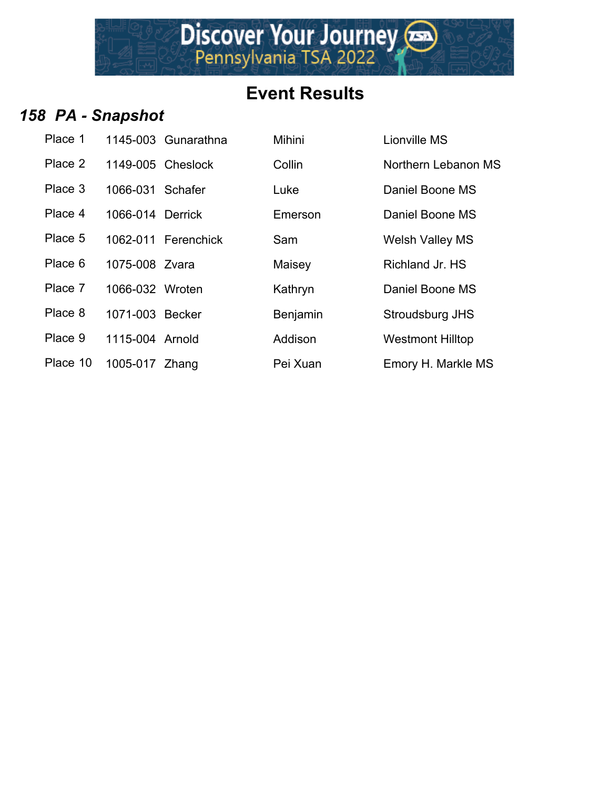

# *158 PA - Snapshot*

| Place 1  |                   | 1145-003 Gunarathna | Mihini   | <b>Lionville MS</b> |
|----------|-------------------|---------------------|----------|---------------------|
| Place 2  | 1149-005 Cheslock |                     | Collin   | Northern Lel        |
| Place 3  | 1066-031 Schafer  |                     | Luke     | Daniel Boon         |
| Place 4  | 1066-014 Derrick  |                     | Emerson  | Daniel Boon         |
| Place 5  |                   | 1062-011 Ferenchick | Sam      | <b>Welsh Valle</b>  |
| Place 6  | 1075-008 Zvara    |                     | Maisey   | Richland Jr.        |
| Place 7  | 1066-032 Wroten   |                     | Kathryn  | Daniel Boon         |
| Place 8  | 1071-003 Becker   |                     | Benjamin | Stroudsburg         |
| Place 9  | 1115-004 Arnold   |                     | Addison  | <b>Westmont H</b>   |
| Place 10 | 1005-017 Zhang    |                     | Pei Xuan | <b>Emory H. Ma</b>  |

| Place 1  |                   | 1145-003 Gunarathna | Mihini   | Lionville MS            |
|----------|-------------------|---------------------|----------|-------------------------|
| Place 2  | 1149-005 Cheslock |                     | Collin   | Northern Lebanon MS     |
| Place 3  | 1066-031 Schafer  |                     | Luke     | Daniel Boone MS         |
| Place 4  | 1066-014 Derrick  |                     | Emerson  | Daniel Boone MS         |
| Place 5  |                   | 1062-011 Ferenchick | Sam      | <b>Welsh Valley MS</b>  |
| Place 6  | 1075-008 Zvara    |                     | Maisey   | Richland Jr. HS         |
| Place 7  | 1066-032 Wroten   |                     | Kathryn  | Daniel Boone MS         |
| Place 8  | 1071-003 Becker   |                     | Benjamin | Stroudsburg JHS         |
| Place 9  | 1115-004 Arnold   |                     | Addison  | <b>Westmont Hilltop</b> |
| Place 10 | 1005-017 Zhang    |                     | Pei Xuan | Emory H. Markle MS      |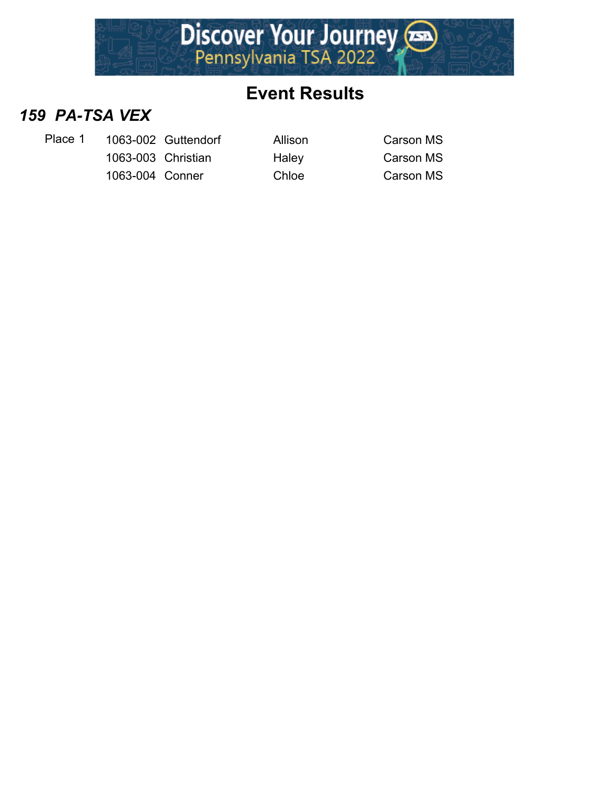

#### *159 PA-TSA VEX*

- Place 1 1063-002 Guttendorf Allison Carson MS
	- 1063-003 Christian Haley Carson MS 1063-004 Conner Chloe Christian Carson MS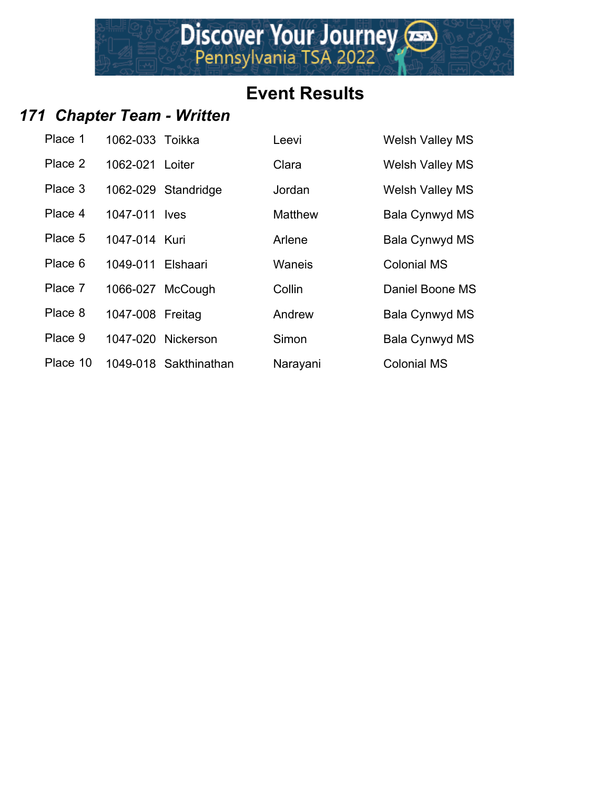Discover Your Journey

#### *171 Chapter Team - Written*

| Place 1  | 1062-033 Toikka   |                       | Leevi          | <b>Welsh Valley MS</b> |
|----------|-------------------|-----------------------|----------------|------------------------|
| Place 2  | 1062-021 Loiter   |                       | Clara          | <b>Welsh Valley MS</b> |
| Place 3  |                   | 1062-029 Standridge   | Jordan         | <b>Welsh Valley MS</b> |
| Place 4  | 1047-011 lves     |                       | <b>Matthew</b> | Bala Cynwyd MS         |
| Place 5  | 1047-014 Kuri     |                       | Arlene         | Bala Cynwyd MS         |
| Place 6  | 1049-011 Elshaari |                       | Waneis         | <b>Colonial MS</b>     |
| Place 7  |                   | 1066-027 McCough      | Collin         | Daniel Boone MS        |
| Place 8  | 1047-008 Freitag  |                       | Andrew         | Bala Cynwyd MS         |
| Place 9  |                   | 1047-020 Nickerson    | Simon          | Bala Cynwyd MS         |
| Place 10 |                   | 1049-018 Sakthinathan | Narayani       | <b>Colonial MS</b>     |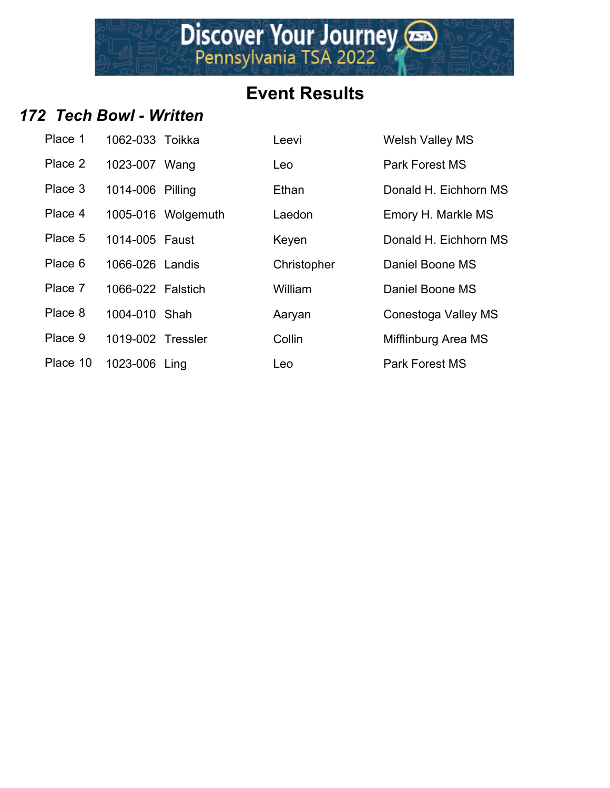Discover Your Journey

#### *172 Tech Bowl - Written*

| Place 1  | 1062-033 Toikka   |                   |
|----------|-------------------|-------------------|
| Place 2  | 1023-007 Wang     |                   |
| Place 3  | 1014-006 Pilling  |                   |
| Place 4  |                   | 1005-016 Wolgemut |
| Place 5  | 1014-005 Faust    |                   |
| Place 6  | 1066-026 Landis   |                   |
| Place 7  | 1066-022 Falstich |                   |
| Place 8  | 1004-010 Shah     |                   |
| Place 9  | 1019-002 Tressler |                   |
| Place 10 | 1023-006 Ling     |                   |

| Place 1  | 1062-033 Toikka   |                    | Leevi       | <b>Welsh Valley MS</b> |
|----------|-------------------|--------------------|-------------|------------------------|
| Place 2  | 1023-007 Wang     |                    | Leo         | Park Forest MS         |
| Place 3  | 1014-006 Pilling  |                    | Ethan       | Donald H. Eichhorn MS  |
| Place 4  |                   | 1005-016 Wolgemuth | Laedon      | Emory H. Markle MS     |
| Place 5  | 1014-005 Faust    |                    | Keyen       | Donald H. Eichhorn MS  |
| Place 6  | 1066-026 Landis   |                    | Christopher | Daniel Boone MS        |
| Place 7  | 1066-022 Falstich |                    | William     | Daniel Boone MS        |
| Place 8  | 1004-010 Shah     |                    | Aaryan      | Conestoga Valley MS    |
| Place 9  | 1019-002 Tressler |                    | Collin      | Mifflinburg Area MS    |
| Place 10 | 1023-006 Ling     |                    | Leo         | <b>Park Forest MS</b>  |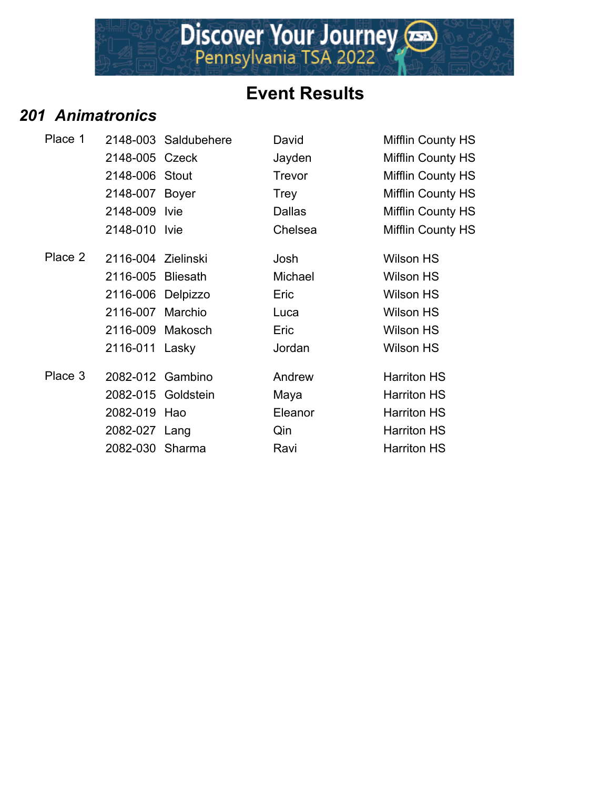

#### *201 Animatronics*

| Place 1 |                    | 2148-003 Saldubehere | David         | <b>Mifflin County HS</b> |
|---------|--------------------|----------------------|---------------|--------------------------|
|         | 2148-005 Czeck     |                      | Jayden        | <b>Mifflin County HS</b> |
|         | 2148-006 Stout     |                      | Trevor        | Mifflin County HS        |
|         | 2148-007 Boyer     |                      | Trey          | <b>Mifflin County HS</b> |
|         | 2148-009 Ivie      |                      | <b>Dallas</b> | <b>Mifflin County HS</b> |
|         | 2148-010 Ivie      |                      | Chelsea       | <b>Mifflin County HS</b> |
| Place 2 | 2116-004 Zielinski |                      | Josh          | <b>Wilson HS</b>         |
|         | 2116-005 Bliesath  |                      | Michael       | Wilson HS                |
|         | 2116-006 Delpizzo  |                      | Eric          | Wilson HS                |
|         | 2116-007 Marchio   |                      | Luca          | <b>Wilson HS</b>         |
|         | 2116-009 Makosch   |                      | Eric          | <b>Wilson HS</b>         |
|         | 2116-011 Lasky     |                      | Jordan        | <b>Wilson HS</b>         |
| Place 3 | 2082-012 Gambino   |                      | Andrew        | <b>Harriton HS</b>       |
|         |                    | 2082-015 Goldstein   | Maya          | <b>Harriton HS</b>       |
|         | 2082-019 Hao       |                      | Eleanor       | <b>Harriton HS</b>       |
|         | 2082-027 Lang      |                      | Qin           | <b>Harriton HS</b>       |
|         | 2082-030 Sharma    |                      | Ravi          | <b>Harriton HS</b>       |
|         |                    |                      |               |                          |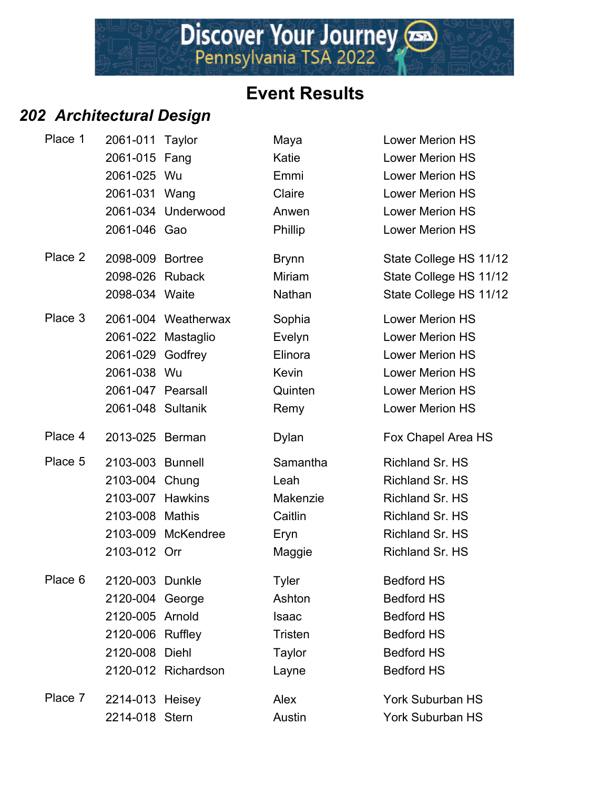## *202 Architectural Design*

| Place 1 | 2061-011 Taylor   |                     | Maya          | <b>Lower Merion HS</b>  |
|---------|-------------------|---------------------|---------------|-------------------------|
|         | 2061-015 Fang     |                     | Katie         | <b>Lower Merion HS</b>  |
|         | 2061-025 Wu       |                     | Emmi          | <b>Lower Merion HS</b>  |
|         | 2061-031 Wang     |                     | Claire        | <b>Lower Merion HS</b>  |
|         |                   | 2061-034 Underwood  | Anwen         | <b>Lower Merion HS</b>  |
|         | 2061-046 Gao      |                     | Phillip       | <b>Lower Merion HS</b>  |
| Place 2 | 2098-009 Bortree  |                     | <b>Brynn</b>  | State College HS 11/12  |
|         | 2098-026 Ruback   |                     | <b>Miriam</b> | State College HS 11/12  |
|         | 2098-034 Waite    |                     | Nathan        | State College HS 11/12  |
| Place 3 |                   | 2061-004 Weatherwax | Sophia        | <b>Lower Merion HS</b>  |
|         |                   | 2061-022 Mastaglio  | Evelyn        | <b>Lower Merion HS</b>  |
|         | 2061-029 Godfrey  |                     | Elinora       | <b>Lower Merion HS</b>  |
|         | 2061-038 Wu       |                     | Kevin         | <b>Lower Merion HS</b>  |
|         | 2061-047 Pearsall |                     | Quinten       | <b>Lower Merion HS</b>  |
|         | 2061-048 Sultanik |                     | Remy          | <b>Lower Merion HS</b>  |
| Place 4 | 2013-025 Berman   |                     | Dylan         | Fox Chapel Area HS      |
| Place 5 | 2103-003 Bunnell  |                     | Samantha      | <b>Richland Sr. HS</b>  |
|         | 2103-004 Chung    |                     | Leah          | <b>Richland Sr. HS</b>  |
|         | 2103-007 Hawkins  |                     | Makenzie      | <b>Richland Sr. HS</b>  |
|         | 2103-008 Mathis   |                     | Caitlin       | <b>Richland Sr. HS</b>  |
|         |                   | 2103-009 McKendree  | Eryn          | <b>Richland Sr. HS</b>  |
|         | 2103-012 Orr      |                     | Maggie        | Richland Sr. HS         |
| Place 6 | 2120-003 Dunkle   |                     | <b>Tyler</b>  | <b>Bedford HS</b>       |
|         | 2120-004 George   |                     | Ashton        | <b>Bedford HS</b>       |
|         | 2120-005 Arnold   |                     | <b>Isaac</b>  | <b>Bedford HS</b>       |
|         | 2120-006 Ruffley  |                     | Tristen       | <b>Bedford HS</b>       |
|         | 2120-008 Diehl    |                     | <b>Taylor</b> | <b>Bedford HS</b>       |
|         |                   | 2120-012 Richardson | Layne         | <b>Bedford HS</b>       |
| Place 7 | 2214-013 Heisey   |                     | Alex          | <b>York Suburban HS</b> |
|         | 2214-018 Stern    |                     | Austin        | York Suburban HS        |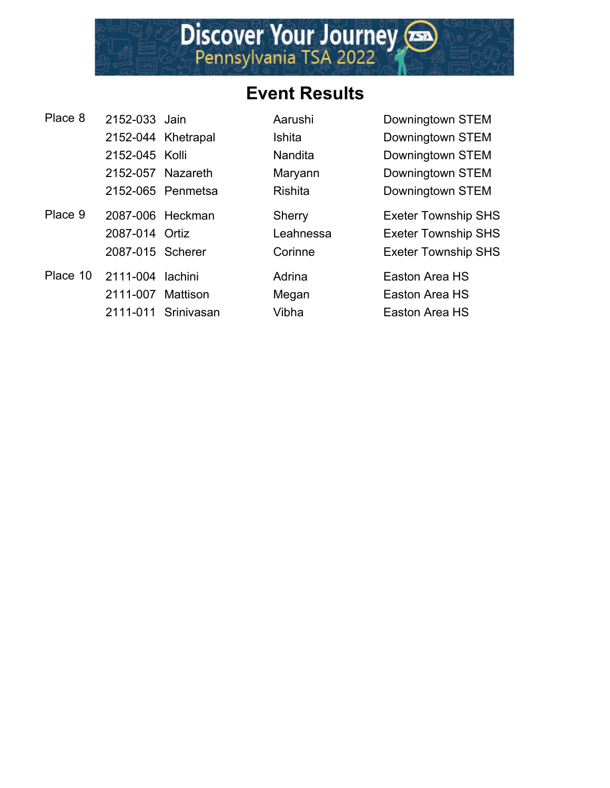

| Place 8  | 2152-033 Jain     |                     | Aarushi        | Downingtown STEM           |
|----------|-------------------|---------------------|----------------|----------------------------|
|          |                   | 2152-044 Khetrapal  | <b>Ishita</b>  | Downingtown STEM           |
|          | 2152-045 Kolli    |                     | <b>Nandita</b> | Downingtown STEM           |
|          | 2152-057 Nazareth |                     | Maryann        | Downingtown STEM           |
|          |                   | 2152-065 Penmetsa   | <b>Rishita</b> | Downingtown STEM           |
| Place 9  | 2087-006 Heckman  |                     | Sherry         | <b>Exeter Township SHS</b> |
|          | 2087-014 Ortiz    |                     | Leahnessa      | <b>Exeter Township SHS</b> |
|          | 2087-015 Scherer  |                     | Corinne        | <b>Exeter Township SHS</b> |
| Place 10 | 2111-004 lachini  |                     | Adrina         | Easton Area HS             |
|          | 2111-007 Mattison |                     | Megan          | Easton Area HS             |
|          |                   | 2111-011 Srinivasan | Vibha          | Easton Area HS             |
|          |                   |                     |                |                            |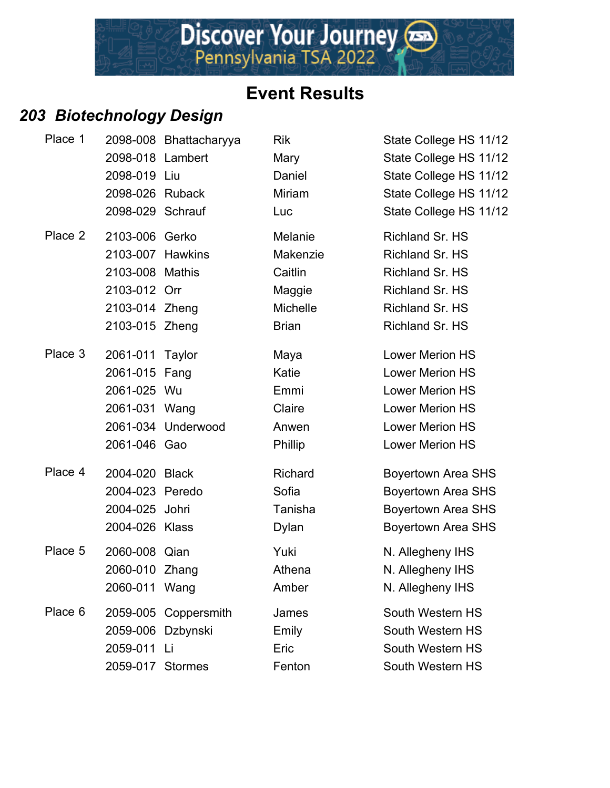## *203 Biotechnology Design*

| Place 1 |                   | 2098-008 Bhattacharyya | <b>Rik</b>      | State College HS 11/12    |
|---------|-------------------|------------------------|-----------------|---------------------------|
|         | 2098-018 Lambert  |                        | Mary            | State College HS 11/12    |
|         | 2098-019 Liu      |                        | Daniel          | State College HS 11/12    |
|         | 2098-026 Ruback   |                        | <b>Miriam</b>   | State College HS 11/12    |
|         | 2098-029 Schrauf  |                        | Luc             | State College HS 11/12    |
| Place 2 | 2103-006 Gerko    |                        | Melanie         | Richland Sr. HS           |
|         | 2103-007 Hawkins  |                        | Makenzie        | Richland Sr. HS           |
|         | 2103-008 Mathis   |                        | Caitlin         | Richland Sr. HS           |
|         | 2103-012 Orr      |                        | Maggie          | Richland Sr. HS           |
|         | 2103-014 Zheng    |                        | <b>Michelle</b> | Richland Sr. HS           |
|         | 2103-015 Zheng    |                        | <b>Brian</b>    | Richland Sr. HS           |
| Place 3 | 2061-011 Taylor   |                        | Maya            | <b>Lower Merion HS</b>    |
|         | 2061-015 Fang     |                        | Katie           | <b>Lower Merion HS</b>    |
|         | 2061-025 Wu       |                        | Emmi            | <b>Lower Merion HS</b>    |
|         | 2061-031 Wang     |                        | Claire          | <b>Lower Merion HS</b>    |
|         |                   | 2061-034 Underwood     | Anwen           | <b>Lower Merion HS</b>    |
|         | 2061-046 Gao      |                        | Phillip         | <b>Lower Merion HS</b>    |
| Place 4 | 2004-020 Black    |                        | Richard         | <b>Boyertown Area SHS</b> |
|         | 2004-023 Peredo   |                        | Sofia           | <b>Boyertown Area SHS</b> |
|         | 2004-025 Johri    |                        | Tanisha         | <b>Boyertown Area SHS</b> |
|         | 2004-026 Klass    |                        | <b>Dylan</b>    | <b>Boyertown Area SHS</b> |
| Place 5 | 2060-008 Qian     |                        | Yuki            | N. Allegheny IHS          |
|         | 2060-010 Zhang    |                        | Athena          | N. Allegheny IHS          |
|         | 2060-011 Wang     |                        | Amber           | N. Allegheny IHS          |
| Place 6 |                   | 2059-005 Coppersmith   | James           | South Western HS          |
|         | 2059-006 Dzbynski |                        | Emily           | South Western HS          |
|         | 2059-011          | -Li                    | Eric            | South Western HS          |
|         | 2059-017 Stormes  |                        | Fenton          | South Western HS          |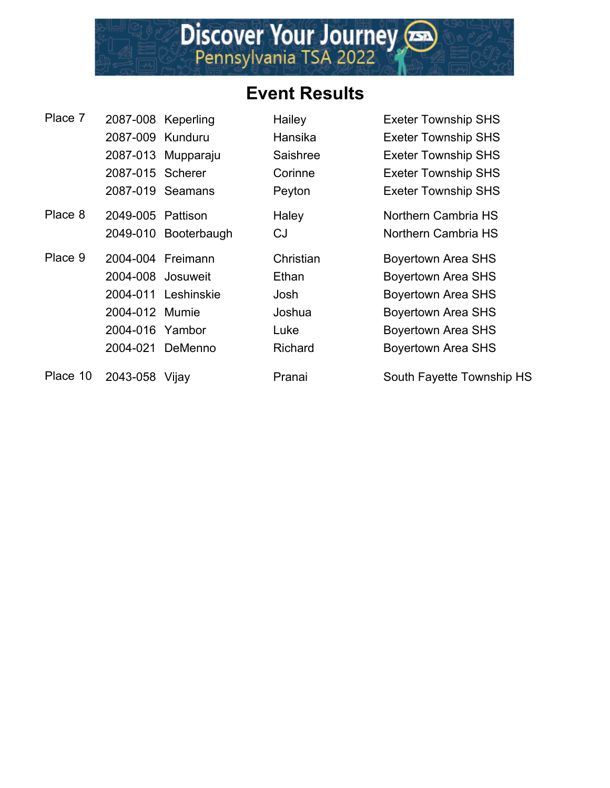

| Place 7  |                   | 2087-008 Keperling   | Hailey    | <b>Exeter Township SHS</b> |
|----------|-------------------|----------------------|-----------|----------------------------|
|          | 2087-009 Kunduru  |                      | Hansika   | <b>Exeter Township SHS</b> |
|          |                   | 2087-013 Mupparaju   | Saishree  | <b>Exeter Township SHS</b> |
|          | 2087-015 Scherer  |                      | Corinne   | <b>Exeter Township SHS</b> |
|          |                   | 2087-019 Seamans     | Peyton    | <b>Exeter Township SHS</b> |
| Place 8  | 2049-005 Pattison |                      | Haley     | Northern Cambria HS        |
|          |                   | 2049-010 Booterbaugh | CJ        | Northern Cambria HS        |
| Place 9  |                   | 2004-004 Freimann    | Christian | <b>Boyertown Area SHS</b>  |
|          | 2004-008 Josuweit |                      | Ethan     | <b>Boyertown Area SHS</b>  |
|          |                   | 2004-011 Leshinskie  | Josh      | <b>Boyertown Area SHS</b>  |
|          | 2004-012 Mumie    |                      | Joshua    | <b>Boyertown Area SHS</b>  |
|          | 2004-016 Yambor   |                      | Luke      | <b>Boyertown Area SHS</b>  |
|          |                   | 2004-021 DeMenno     | Richard   | <b>Boyertown Area SHS</b>  |
| Place 10 | 2043-058 Vijay    |                      | Pranai    | South Fayette Township HS  |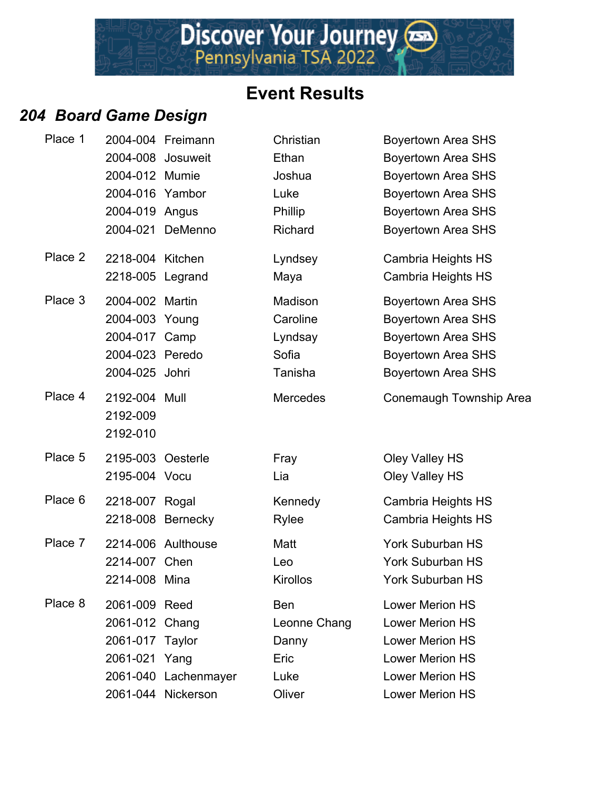#### *204 Board Game Design*

| Place 1 |                   | 2004-004 Freimann    | Christian       | <b>Boyertown Area SHS</b> |
|---------|-------------------|----------------------|-----------------|---------------------------|
|         |                   | 2004-008 Josuweit    | Ethan           | <b>Boyertown Area SHS</b> |
|         | 2004-012 Mumie    |                      | Joshua          | <b>Boyertown Area SHS</b> |
|         | 2004-016 Yambor   |                      | Luke            | <b>Boyertown Area SHS</b> |
|         | 2004-019 Angus    |                      | <b>Phillip</b>  | <b>Boyertown Area SHS</b> |
|         |                   | 2004-021 DeMenno     | Richard         | <b>Boyertown Area SHS</b> |
| Place 2 | 2218-004 Kitchen  |                      | Lyndsey         | Cambria Heights HS        |
|         | 2218-005 Legrand  |                      | Maya            | Cambria Heights HS        |
| Place 3 | 2004-002 Martin   |                      | Madison         | <b>Boyertown Area SHS</b> |
|         | 2004-003 Young    |                      | Caroline        | <b>Boyertown Area SHS</b> |
|         | 2004-017 Camp     |                      | Lyndsay         | <b>Boyertown Area SHS</b> |
|         | 2004-023 Peredo   |                      | Sofia           | <b>Boyertown Area SHS</b> |
|         | 2004-025 Johri    |                      | Tanisha         | Boyertown Area SHS        |
| Place 4 | 2192-004 Mull     |                      | <b>Mercedes</b> | Conemaugh Township Area   |
|         | 2192-009          |                      |                 |                           |
|         | 2192-010          |                      |                 |                           |
| Place 5 | 2195-003 Oesterle |                      | Fray            | Oley Valley HS            |
|         | 2195-004 Vocu     |                      | Lia             | Oley Valley HS            |
| Place 6 | 2218-007 Rogal    |                      | Kennedy         | Cambria Heights HS        |
|         |                   | 2218-008 Bernecky    | <b>Rylee</b>    | Cambria Heights HS        |
| Place 7 |                   | 2214-006 Aulthouse   | Matt            | York Suburban HS          |
|         | 2214-007 Chen     |                      | Leo             | York Suburban HS          |
|         | 2214-008 Mina     |                      | Kirollos        | York Suburban HS          |
| Place 8 | 2061-009 Reed     |                      | <b>Ben</b>      | <b>Lower Merion HS</b>    |
|         | 2061-012 Chang    |                      | Leonne Chang    | <b>Lower Merion HS</b>    |
|         | 2061-017 Taylor   |                      | Danny           | Lower Merion HS           |
|         | 2061-021 Yang     |                      | Eric            | <b>Lower Merion HS</b>    |
|         |                   | 2061-040 Lachenmayer | Luke            | <b>Lower Merion HS</b>    |
|         |                   | 2061-044 Nickerson   | Oliver          | <b>Lower Merion HS</b>    |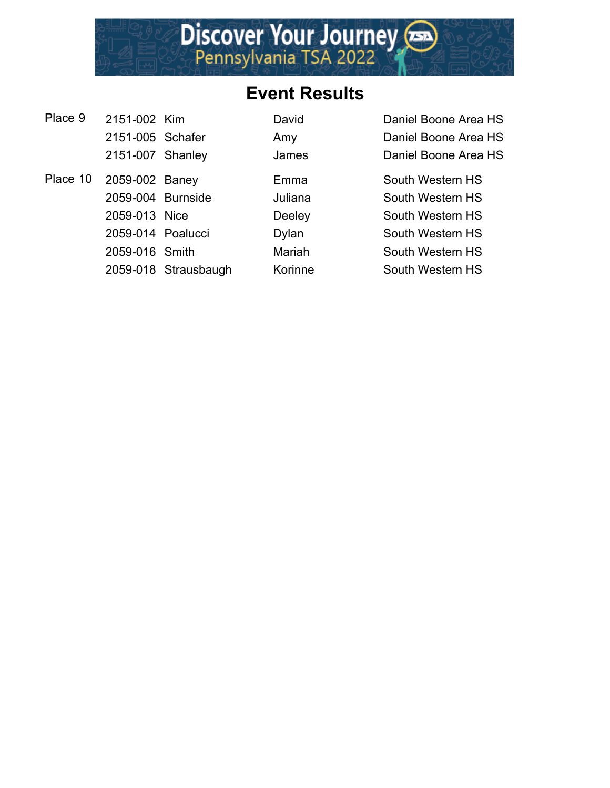# **Event Results**

| Place 9  | 2151-002 Kim      |                      | David        | Daniel Boone Area HS |
|----------|-------------------|----------------------|--------------|----------------------|
|          | 2151-005 Schafer  |                      | Amy          | Daniel Boone Area HS |
|          | 2151-007 Shanley  |                      | James        | Daniel Boone Area HS |
| Place 10 | 2059-002 Baney    |                      | Emma         | South Western HS     |
|          | 2059-004 Burnside |                      | Juliana      | South Western HS     |
|          | 2059-013 Nice     |                      | Deeley       | South Western HS     |
|          | 2059-014 Poalucci |                      | <b>Dylan</b> | South Western HS     |
|          | 2059-016 Smith    |                      | Mariah       | South Western HS     |
|          |                   | 2059-018 Strausbaugh | Korinne      | South Western HS     |
|          |                   |                      |              |                      |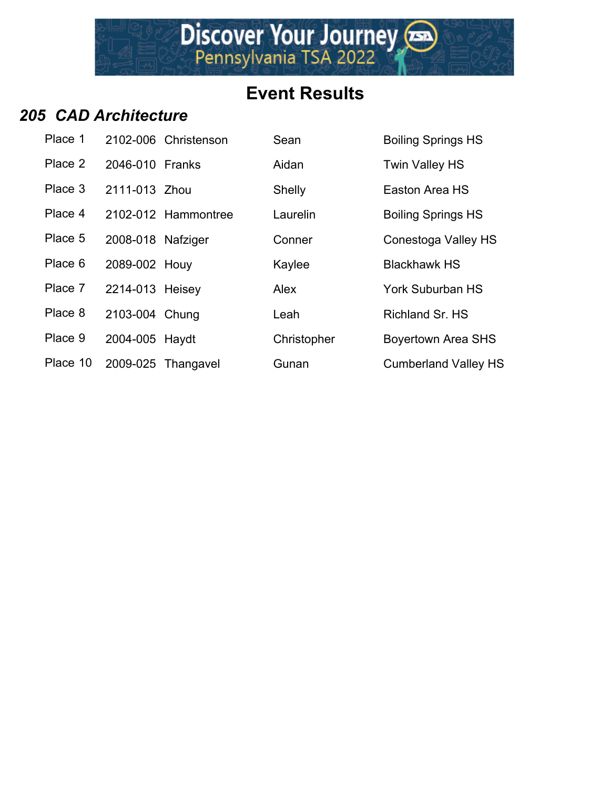# **Event Results**

#### *205 CAD Architecture*

| Place 1  |                   | 2102-006 Christenson | Sean        | <b>Boiling Springs I</b> |
|----------|-------------------|----------------------|-------------|--------------------------|
| Place 2  | 2046-010 Franks   |                      | Aidan       | Twin Valley HS           |
| Place 3  | 2111-013 Zhou     |                      | Shelly      | Easton Area HS           |
| Place 4  |                   | 2102-012 Hammontree  | Laurelin    | <b>Boiling Springs I</b> |
| Place 5  | 2008-018 Nafziger |                      | Conner      | Conestoga Valle          |
| Place 6  | 2089-002 Houy     |                      | Kaylee      | <b>Blackhawk HS</b>      |
| Place 7  | 2214-013 Heisey   |                      | Alex        | York Suburban I          |
| Place 8  | 2103-004 Chung    |                      | Leah        | Richland Sr. HS          |
| Place 9  | 2004-005 Haydt    |                      | Christopher | <b>Boyertown Area</b>    |
| Place 10 |                   | 2009-025 Thangavel   | Gunan       | Cumberland Val           |

| Place 1  |                   | 2102-006 Christenson | Sean        | <b>Boiling Springs HS</b>   |
|----------|-------------------|----------------------|-------------|-----------------------------|
| Place 2  | 2046-010 Franks   |                      | Aidan       | <b>Twin Valley HS</b>       |
| Place 3  | 2111-013 Zhou     |                      | Shelly      | Easton Area HS              |
| Place 4  |                   | 2102-012 Hammontree  | Laurelin    | <b>Boiling Springs HS</b>   |
| Place 5  | 2008-018 Nafziger |                      | Conner      | Conestoga Valley HS         |
| Place 6  | 2089-002 Houy     |                      | Kaylee      | <b>Blackhawk HS</b>         |
| Place 7  | 2214-013 Heisey   |                      | <b>Alex</b> | <b>York Suburban HS</b>     |
| Place 8  | 2103-004 Chung    |                      | Leah        | Richland Sr. HS             |
| Place 9  | 2004-005 Haydt    |                      | Christopher | <b>Boyertown Area SHS</b>   |
| Place 10 |                   | 2009-025 Thangavel   | Gunan       | <b>Cumberland Valley HS</b> |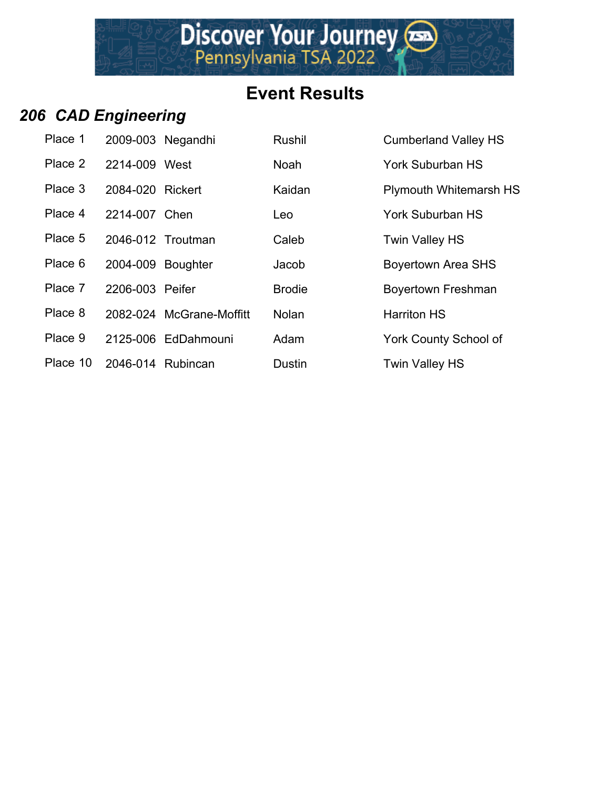# **Event Results**

# *206 CAD Engineering*

| Place 1  |                   | 2009-003 Negandhi        | <b>Rushil</b> | <b>Cumberland Valley HS</b>   |
|----------|-------------------|--------------------------|---------------|-------------------------------|
| Place 2  | 2214-009 West     |                          | <b>Noah</b>   | <b>York Suburban HS</b>       |
| Place 3  | 2084-020 Rickert  |                          | Kaidan        | <b>Plymouth Whitemarsh HS</b> |
| Place 4  | 2214-007 Chen     |                          | Leo           | <b>York Suburban HS</b>       |
| Place 5  |                   | 2046-012 Troutman        | Caleb         | <b>Twin Valley HS</b>         |
| Place 6  | 2004-009 Boughter |                          | Jacob         | <b>Boyertown Area SHS</b>     |
| Place 7  | 2206-003 Peifer   |                          | <b>Brodie</b> | Boyertown Freshman            |
| Place 8  |                   | 2082-024 McGrane-Moffitt | <b>Nolan</b>  | <b>Harriton HS</b>            |
| Place 9  |                   | 2125-006 EdDahmouni      | Adam          | <b>York County School of</b>  |
| Place 10 | 2046-014 Rubincan |                          | <b>Dustin</b> | <b>Twin Valley HS</b>         |
|          |                   |                          |               |                               |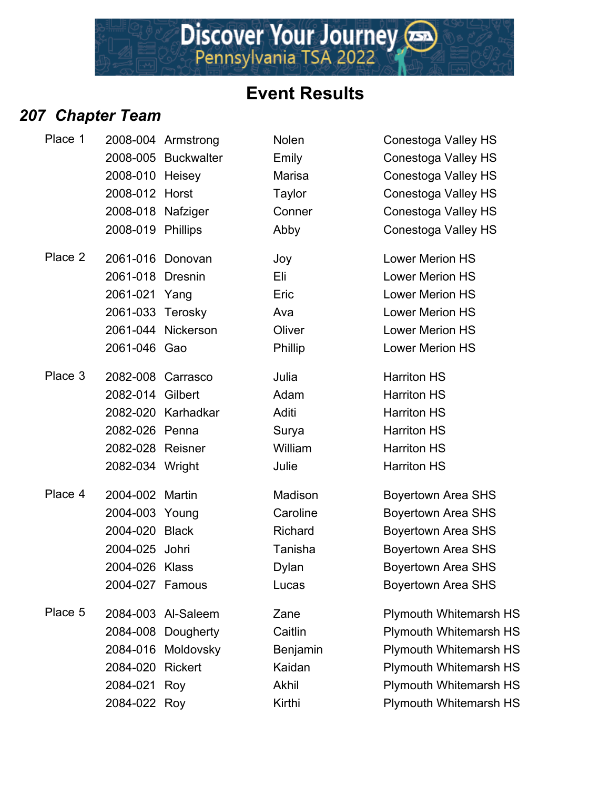## *207 Chapter Team*

| Place 1 |                   | 2008-004 Armstrong  | Nolen         | Conestoga Valley HS           |
|---------|-------------------|---------------------|---------------|-------------------------------|
|         |                   | 2008-005 Buckwalter | Emily         | Conestoga Valley HS           |
|         | 2008-010 Heisey   |                     | Marisa        | Conestoga Valley HS           |
|         | 2008-012 Horst    |                     | <b>Taylor</b> | Conestoga Valley HS           |
|         | 2008-018 Nafziger |                     | Conner        | Conestoga Valley HS           |
|         | 2008-019 Phillips |                     | Abby          | Conestoga Valley HS           |
| Place 2 |                   | 2061-016 Donovan    | Joy           | <b>Lower Merion HS</b>        |
|         | 2061-018 Dresnin  |                     | Eli           | <b>Lower Merion HS</b>        |
|         | 2061-021 Yang     |                     | Eric          | <b>Lower Merion HS</b>        |
|         | 2061-033 Terosky  |                     | Ava           | <b>Lower Merion HS</b>        |
|         |                   | 2061-044 Nickerson  | Oliver        | <b>Lower Merion HS</b>        |
|         | 2061-046 Gao      |                     | Phillip       | <b>Lower Merion HS</b>        |
| Place 3 |                   | 2082-008 Carrasco   | Julia         | <b>Harriton HS</b>            |
|         | 2082-014 Gilbert  |                     | Adam          | <b>Harriton HS</b>            |
|         |                   | 2082-020 Karhadkar  | Aditi         | <b>Harriton HS</b>            |
|         | 2082-026 Penna    |                     | Surya         | <b>Harriton HS</b>            |
|         | 2082-028 Reisner  |                     | William       | <b>Harriton HS</b>            |
|         | 2082-034 Wright   |                     | Julie         | <b>Harriton HS</b>            |
| Place 4 | 2004-002 Martin   |                     | Madison       | <b>Boyertown Area SHS</b>     |
|         | 2004-003 Young    |                     | Caroline      | <b>Boyertown Area SHS</b>     |
|         | 2004-020 Black    |                     | Richard       | <b>Boyertown Area SHS</b>     |
|         | 2004-025 Johri    |                     | Tanisha       | <b>Boyertown Area SHS</b>     |
|         | 2004-026 Klass    |                     | Dylan         | <b>Boyertown Area SHS</b>     |
|         | 2004-027 Famous   |                     | Lucas         | <b>Boyertown Area SHS</b>     |
| Place 5 |                   | 2084-003 Al-Saleem  | Zane          | <b>Plymouth Whitemarsh HS</b> |
|         |                   | 2084-008 Dougherty  | Caitlin       | <b>Plymouth Whitemarsh HS</b> |
|         |                   | 2084-016 Moldovsky  | Benjamin      | <b>Plymouth Whitemarsh HS</b> |
|         | 2084-020 Rickert  |                     | Kaidan        | <b>Plymouth Whitemarsh HS</b> |
|         | 2084-021 Roy      |                     | Akhil         | Plymouth Whitemarsh HS        |
|         | 2084-022 Roy      |                     | Kirthi        | <b>Plymouth Whitemarsh HS</b> |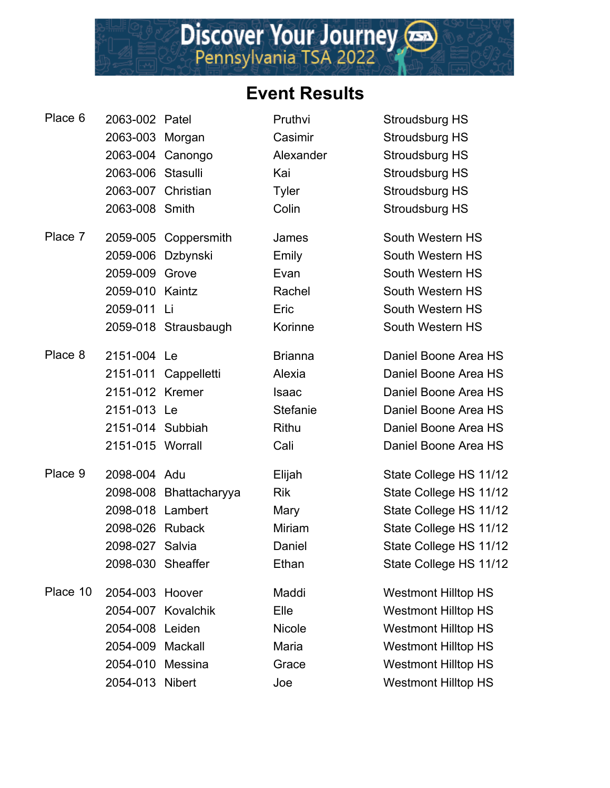| Place 6  | 2063-002 Patel     |                        | Pruthvi        | Stroudsburg HS             |
|----------|--------------------|------------------------|----------------|----------------------------|
|          | 2063-003 Morgan    |                        | Casimir        | Stroudsburg HS             |
|          |                    | 2063-004 Canongo       | Alexander      | Stroudsburg HS             |
|          | 2063-006 Stasulli  |                        | Kai            | Stroudsburg HS             |
|          | 2063-007 Christian |                        | <b>Tyler</b>   | Stroudsburg HS             |
|          | 2063-008 Smith     |                        | Colin          | Stroudsburg HS             |
| Place 7  |                    | 2059-005 Coppersmith   | James          | South Western HS           |
|          | 2059-006 Dzbynski  |                        | Emily          | South Western HS           |
|          | 2059-009 Grove     |                        | Evan           | South Western HS           |
|          | 2059-010 Kaintz    |                        | Rachel         | South Western HS           |
|          | 2059-011           | - Li                   | Eric           | South Western HS           |
|          |                    | 2059-018 Strausbaugh   | Korinne        | South Western HS           |
| Place 8  | 2151-004 Le        |                        | <b>Brianna</b> | Daniel Boone Area HS       |
|          |                    | 2151-011 Cappelletti   | Alexia         | Daniel Boone Area HS       |
|          | 2151-012 Kremer    |                        | <b>Isaac</b>   | Daniel Boone Area HS       |
|          | 2151-013 Le        |                        | Stefanie       | Daniel Boone Area HS       |
|          | 2151-014 Subbiah   |                        | <b>Rithu</b>   | Daniel Boone Area HS       |
|          | 2151-015 Worrall   |                        | Cali           | Daniel Boone Area HS       |
| Place 9  | 2098-004 Adu       |                        | Elijah         | State College HS 11/12     |
|          |                    | 2098-008 Bhattacharyya | <b>Rik</b>     | State College HS 11/12     |
|          | 2098-018 Lambert   |                        | Mary           | State College HS 11/12     |
|          | 2098-026 Ruback    |                        | Miriam         | State College HS 11/12     |
|          | 2098-027 Salvia    |                        | Daniel         | State College HS 11/12     |
|          | 2098-030 Sheaffer  |                        | Ethan          | State College HS 11/12     |
| Place 10 | 2054-003 Hoover    |                        | Maddi          | <b>Westmont Hilltop HS</b> |
|          |                    | 2054-007 Kovalchik     | Elle           | <b>Westmont Hilltop HS</b> |
|          | 2054-008 Leiden    |                        | <b>Nicole</b>  | <b>Westmont Hilltop HS</b> |
|          | 2054-009 Mackall   |                        | Maria          | <b>Westmont Hilltop HS</b> |
|          | 2054-010 Messina   |                        | Grace          | <b>Westmont Hilltop HS</b> |
|          | 2054-013 Nibert    |                        | Joe            | <b>Westmont Hilltop HS</b> |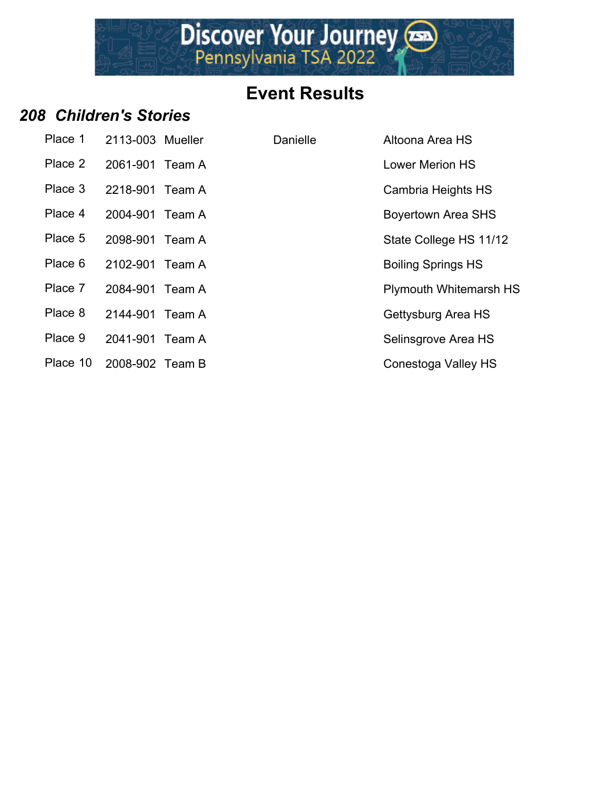

#### *208 Children's Stories*

| Place 1  | 2113-003 Mueller | Danielle | Altoona Area HS               |
|----------|------------------|----------|-------------------------------|
| Place 2  | 2061-901 Team A  |          | <b>Lower Merion HS</b>        |
| Place 3  | 2218-901 Team A  |          | Cambria Heights HS            |
| Place 4  | 2004-901 Team A  |          | <b>Boyertown Area SHS</b>     |
| Place 5  | 2098-901 Team A  |          | State College HS 11/12        |
| Place 6  | 2102-901 Team A  |          | <b>Boiling Springs HS</b>     |
| Place 7  | 2084-901 Team A  |          | <b>Plymouth Whitemarsh HS</b> |
| Place 8  | 2144-901 Team A  |          | Gettysburg Area HS            |
| Place 9  | 2041-901 Team A  |          | Selinsgrove Area HS           |
| Place 10 | 2008-902 Team B  |          | Conestoga Valley HS           |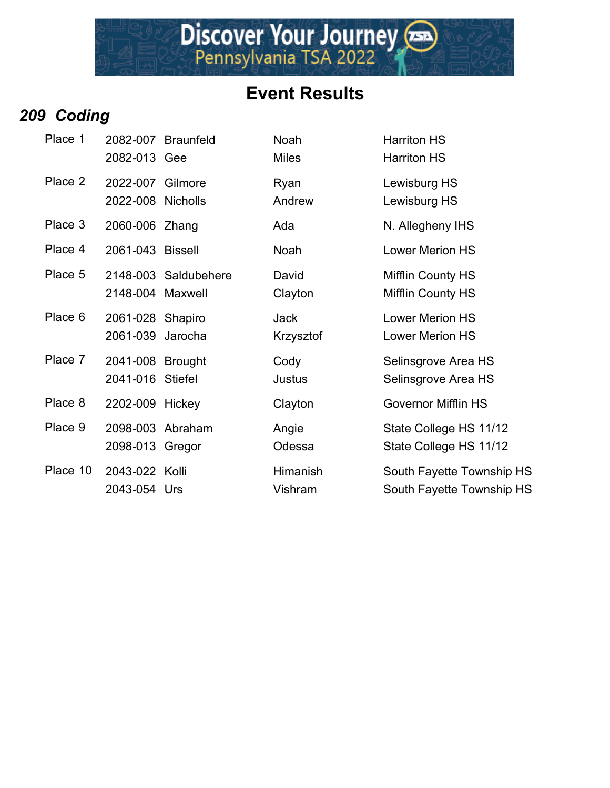## *209 Coding*

| Place 1  | 2082-013 Gee                          | 2082-007 Braunfeld   | Noah<br><b>Miles</b>     | <b>Harriton HS</b><br><b>Harriton HS</b>               |
|----------|---------------------------------------|----------------------|--------------------------|--------------------------------------------------------|
| Place 2  | 2022-007 Gilmore<br>2022-008 Nicholls |                      | Ryan<br>Andrew           | Lewisburg HS<br>Lewisburg HS                           |
| Place 3  | 2060-006 Zhang                        |                      | Ada                      | N. Allegheny IHS                                       |
| Place 4  | 2061-043 Bissell                      |                      | Noah                     | <b>Lower Merion HS</b>                                 |
| Place 5  | 2148-004 Maxwell                      | 2148-003 Saldubehere | David<br>Clayton         | <b>Mifflin County HS</b><br><b>Mifflin County HS</b>   |
| Place 6  | 2061-028 Shapiro<br>2061-039 Jarocha  |                      | <b>Jack</b><br>Krzysztof | <b>Lower Merion HS</b><br><b>Lower Merion HS</b>       |
| Place 7  | 2041-008 Brought<br>2041-016 Stiefel  |                      | Cody<br>Justus           | Selinsgrove Area HS<br>Selinsgrove Area HS             |
| Place 8  | 2202-009 Hickey                       |                      | Clayton                  | <b>Governor Mifflin HS</b>                             |
| Place 9  | 2098-003 Abraham<br>2098-013 Gregor   |                      | Angie<br>Odessa          | State College HS 11/12<br>State College HS 11/12       |
| Place 10 | 2043-022 Kolli<br>2043-054 Urs        |                      | Himanish<br>Vishram      | South Fayette Township HS<br>South Fayette Township HS |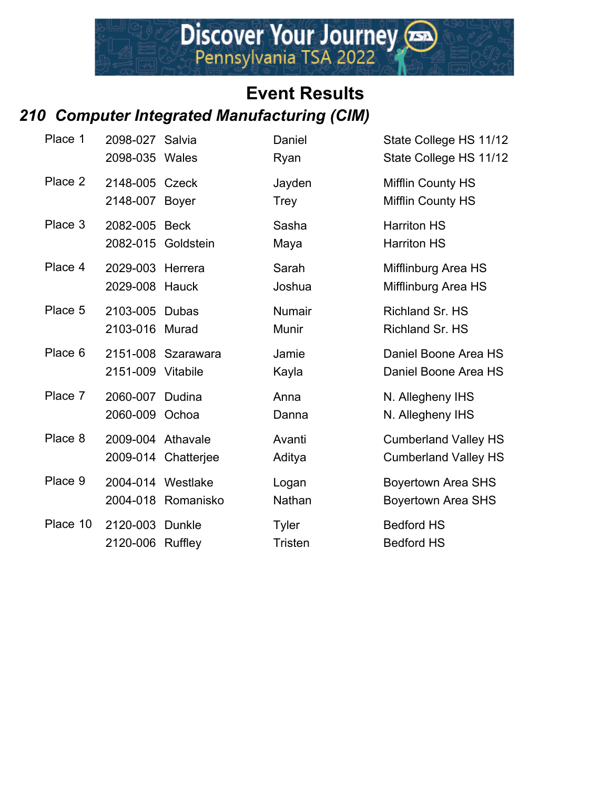## **Event Results** *210 Computer Integrated Manufacturing (CIM)*

| Place 1  | 2098-027 Salvia<br>2098-035 Wales   |                     | Daniel<br>Ryan                 | State College HS 11/12<br>State College HS 11/12           |
|----------|-------------------------------------|---------------------|--------------------------------|------------------------------------------------------------|
| Place 2  | 2148-005 Czeck<br>2148-007 Boyer    |                     | Jayden<br>Trey                 | <b>Mifflin County HS</b><br>Mifflin County HS              |
| Place 3  | 2082-005 Beck<br>2082-015 Goldstein |                     | Sasha<br>Maya                  | <b>Harriton HS</b><br><b>Harriton HS</b>                   |
| Place 4  | 2029-003 Herrera<br>2029-008 Hauck  |                     | Sarah<br>Joshua                | Mifflinburg Area HS<br>Mifflinburg Area HS                 |
| Place 5  | 2103-005 Dubas<br>2103-016 Murad    |                     | <b>Numair</b><br>Munir         | Richland Sr. HS<br>Richland Sr. HS                         |
| Place 6  | 2151-009 Vitabile                   | 2151-008 Szarawara  | Jamie<br>Kayla                 | Daniel Boone Area HS<br>Daniel Boone Area HS               |
| Place 7  | 2060-007 Dudina<br>2060-009 Ochoa   |                     | Anna<br>Danna                  | N. Allegheny IHS<br>N. Allegheny IHS                       |
| Place 8  | 2009-004 Athavale                   | 2009-014 Chatterjee | Avanti<br>Aditya               | <b>Cumberland Valley HS</b><br><b>Cumberland Valley HS</b> |
| Place 9  | 2004-014 Westlake                   | 2004-018 Romanisko  | Logan<br>Nathan                | <b>Boyertown Area SHS</b><br><b>Boyertown Area SHS</b>     |
| Place 10 | 2120-003 Dunkle<br>2120-006 Ruffley |                     | <b>Tyler</b><br><b>Tristen</b> | <b>Bedford HS</b><br><b>Bedford HS</b>                     |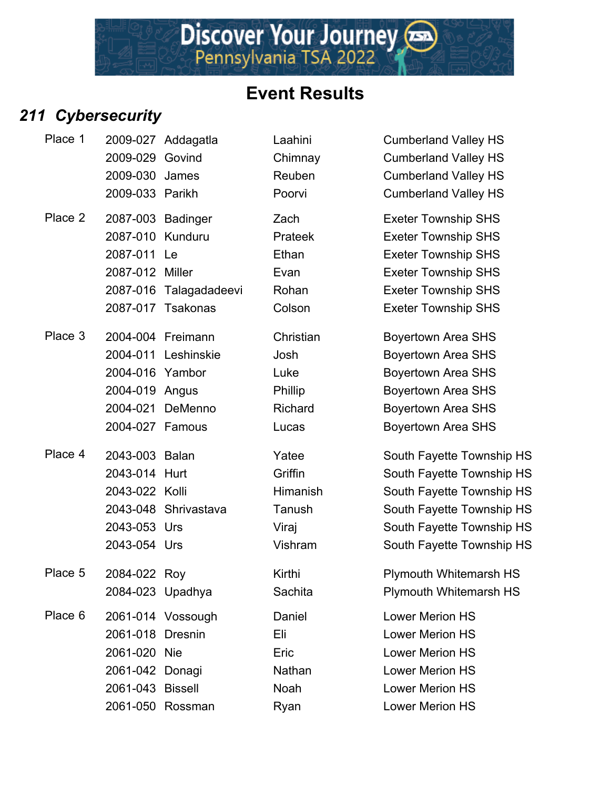

# *211 Cybersecurity*

| Place 1 |                   | 2009-027 Addagatla     | Laahini        | <b>Cumberland Valley HS</b>   |
|---------|-------------------|------------------------|----------------|-------------------------------|
|         | 2009-029 Govind   |                        | Chimnay        | <b>Cumberland Valley HS</b>   |
|         | 2009-030 James    |                        | Reuben         | <b>Cumberland Valley HS</b>   |
|         | 2009-033 Parikh   |                        | Poorvi         | <b>Cumberland Valley HS</b>   |
| Place 2 | 2087-003 Badinger |                        | Zach           | <b>Exeter Township SHS</b>    |
|         | 2087-010 Kunduru  |                        | <b>Prateek</b> | <b>Exeter Township SHS</b>    |
|         | 2087-011 Le       |                        | Ethan          | <b>Exeter Township SHS</b>    |
|         | 2087-012 Miller   |                        | Evan           | <b>Exeter Township SHS</b>    |
|         |                   | 2087-016 Talagadadeevi | Rohan          | <b>Exeter Township SHS</b>    |
|         |                   | 2087-017 Tsakonas      | Colson         | <b>Exeter Township SHS</b>    |
| Place 3 |                   | 2004-004 Freimann      | Christian      | <b>Boyertown Area SHS</b>     |
|         |                   | 2004-011 Leshinskie    | Josh           | <b>Boyertown Area SHS</b>     |
|         | 2004-016 Yambor   |                        | Luke           | <b>Boyertown Area SHS</b>     |
|         | 2004-019 Angus    |                        | Phillip        | <b>Boyertown Area SHS</b>     |
|         |                   | 2004-021 DeMenno       | Richard        | <b>Boyertown Area SHS</b>     |
|         | 2004-027 Famous   |                        | Lucas          | <b>Boyertown Area SHS</b>     |
| Place 4 | 2043-003 Balan    |                        | Yatee          | South Fayette Township HS     |
|         | 2043-014 Hurt     |                        | Griffin        | South Fayette Township HS     |
|         | 2043-022 Kolli    |                        | Himanish       | South Fayette Township HS     |
|         |                   | 2043-048 Shrivastava   | Tanush         | South Fayette Township HS     |
|         | 2043-053 Urs      |                        | Viraj          | South Fayette Township HS     |
|         | 2043-054 Urs      |                        | Vishram        | South Fayette Township HS     |
| Place 5 | 2084-022 Roy      |                        | Kirthi         | <b>Plymouth Whitemarsh HS</b> |
|         | 2084-023 Upadhya  |                        | Sachita        | <b>Plymouth Whitemarsh HS</b> |
| Place 6 |                   | 2061-014 Vossough      | Daniel         | <b>Lower Merion HS</b>        |
|         | 2061-018 Dresnin  |                        | Eli            | <b>Lower Merion HS</b>        |
|         | 2061-020 Nie      |                        | Eric           | <b>Lower Merion HS</b>        |
|         | 2061-042 Donagi   |                        | Nathan         | <b>Lower Merion HS</b>        |
|         | 2061-043 Bissell  |                        | Noah           | <b>Lower Merion HS</b>        |
|         |                   | 2061-050 Rossman       | Ryan           | <b>Lower Merion HS</b>        |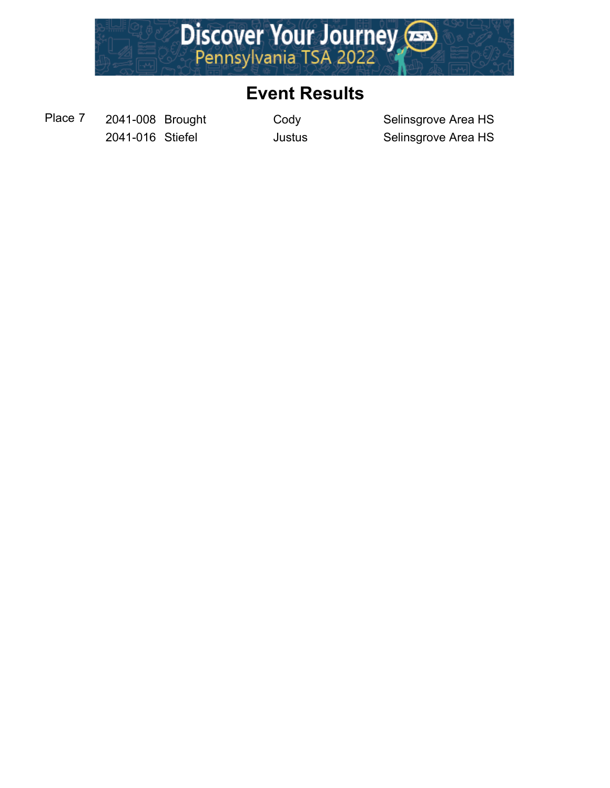

Place 7 2041-008 Brought Cody Selinsgrove Area HS

2041-016 Stiefel **Justus** Justus Selinsgrove Area HS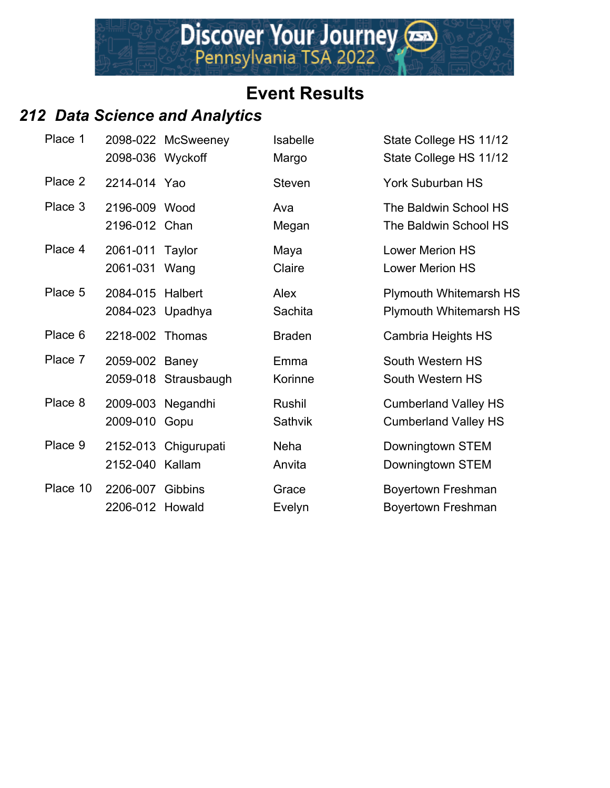## *212 Data Science and Analytics*

| Place 1  | 2098-036 Wyckoff                     | 2098-022 McSweeney        | Isabelle<br>Margo | State College HS 11/12<br>State College HS 11/12           |
|----------|--------------------------------------|---------------------------|-------------------|------------------------------------------------------------|
| Place 2  | 2214-014 Yao                         |                           | <b>Steven</b>     | York Suburban HS                                           |
| Place 3  | 2196-009 Wood<br>2196-012 Chan       |                           | Ava<br>Megan      | The Baldwin School HS<br>The Baldwin School HS             |
| Place 4  | 2061-011 Taylor<br>2061-031 Wang     |                           | Maya<br>Claire    | <b>Lower Merion HS</b><br><b>Lower Merion HS</b>           |
| Place 5  | 2084-015 Halbert<br>2084-023 Upadhya |                           | Alex<br>Sachita   | <b>Plymouth Whitemarsh HS</b><br>Plymouth Whitemarsh HS    |
| Place 6  | 2218-002 Thomas                      |                           | <b>Braden</b>     | Cambria Heights HS                                         |
| Place 7  | 2059-002 Baney                       | 2059-018 Strausbaugh      | Emma<br>Korinne   | South Western HS<br>South Western HS                       |
| Place 8  | 2009-010                             | 2009-003 Negandhi<br>Gopu | Rushil<br>Sathvik | <b>Cumberland Valley HS</b><br><b>Cumberland Valley HS</b> |
| Place 9  | 2152-040 Kallam                      | 2152-013 Chigurupati      | Neha<br>Anvita    | Downingtown STEM<br>Downingtown STEM                       |
| Place 10 | 2206-007<br>2206-012 Howald          | Gibbins                   | Grace<br>Evelyn   | Boyertown Freshman<br>Boyertown Freshman                   |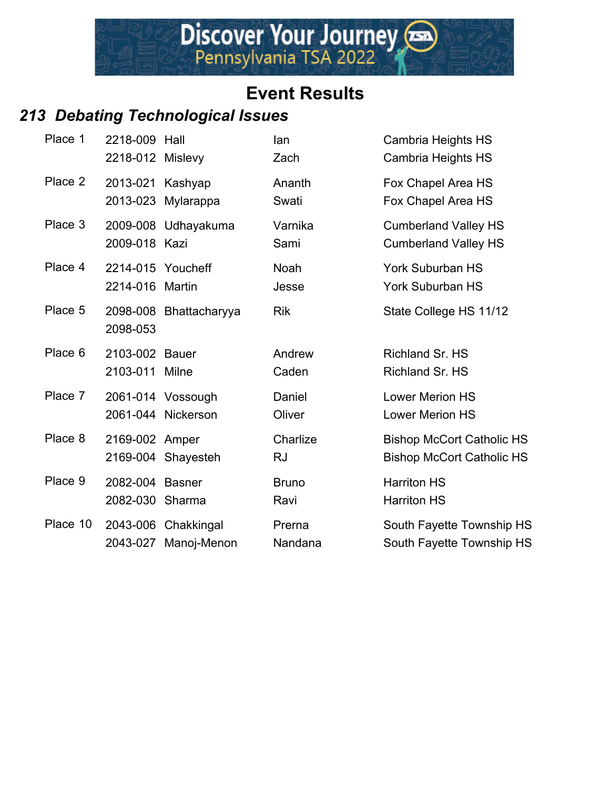# *213 Debating Technological Issues*

| Place 1  | 2218-009 Hall<br>2218-012 Mislevy    |                                         | lan<br>Zach           | Cambria Heights HS<br>Cambria Heights HS                             |
|----------|--------------------------------------|-----------------------------------------|-----------------------|----------------------------------------------------------------------|
| Place 2  | 2013-021 Kashyap<br>2013-023         | Mylarappa                               | Ananth<br>Swati       | Fox Chapel Area HS<br>Fox Chapel Area HS                             |
| Place 3  | 2009-018 Kazi                        | 2009-008 Udhayakuma                     | Varnika<br>Sami       | <b>Cumberland Valley HS</b><br><b>Cumberland Valley HS</b>           |
| Place 4  | 2214-015 Youcheff<br>2214-016 Martin |                                         | <b>Noah</b><br>Jesse  | <b>York Suburban HS</b><br><b>York Suburban HS</b>                   |
| Place 5  | 2098-053                             | 2098-008 Bhattacharyya                  | <b>Rik</b>            | State College HS 11/12                                               |
| Place 6  | 2103-002 Bauer<br>2103-011 Milne     |                                         | Andrew<br>Caden       | Richland Sr. HS<br>Richland Sr. HS                                   |
| Place 7  |                                      | 2061-014 Vossough<br>2061-044 Nickerson | Daniel<br>Oliver      | Lower Merion HS<br>Lower Merion HS                                   |
| Place 8  | 2169-002 Amper                       | 2169-004 Shayesteh                      | Charlize<br><b>RJ</b> | <b>Bishop McCort Catholic HS</b><br><b>Bishop McCort Catholic HS</b> |
| Place 9  | 2082-004 Basner<br>2082-030 Sharma   |                                         | <b>Bruno</b><br>Ravi  | <b>Harriton HS</b><br><b>Harriton HS</b>                             |
| Place 10 | 2043-027                             | 2043-006 Chakkingal<br>Manoj-Menon      | Prerna<br>Nandana     | South Fayette Township HS<br>South Fayette Township HS               |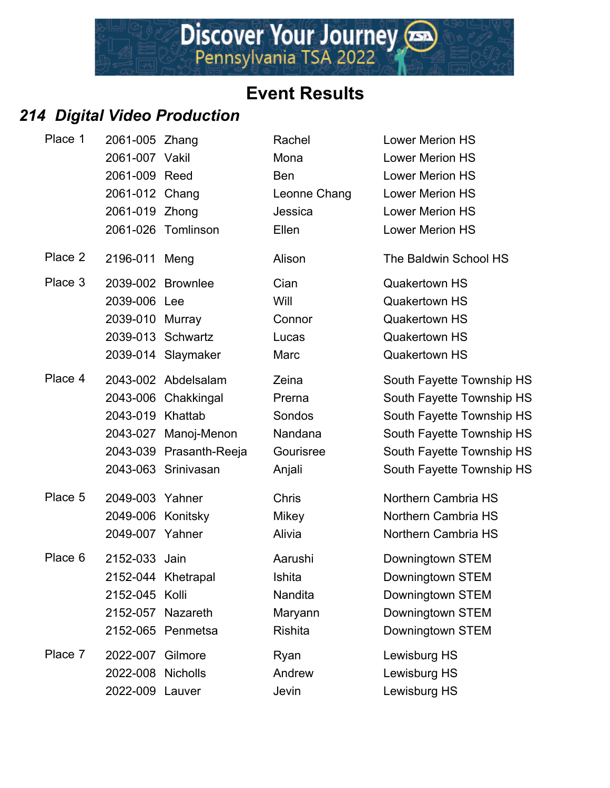# *214 Digital Video Production*

| Place 1 | 2061-005 Zhang    |                         | Rachel       | <b>Lower Merion HS</b>    |
|---------|-------------------|-------------------------|--------------|---------------------------|
|         | 2061-007 Vakil    |                         | Mona         | <b>Lower Merion HS</b>    |
|         | 2061-009 Reed     |                         | <b>Ben</b>   | <b>Lower Merion HS</b>    |
|         | 2061-012 Chang    |                         | Leonne Chang | <b>Lower Merion HS</b>    |
|         | 2061-019 Zhong    |                         | Jessica      | <b>Lower Merion HS</b>    |
|         |                   | 2061-026 Tomlinson      | Ellen        | <b>Lower Merion HS</b>    |
| Place 2 | 2196-011 Meng     |                         | Alison       | The Baldwin School HS     |
| Place 3 |                   | 2039-002 Brownlee       | Cian         | <b>Quakertown HS</b>      |
|         | 2039-006 Lee      |                         | Will         | <b>Quakertown HS</b>      |
|         | 2039-010 Murray   |                         | Connor       | <b>Quakertown HS</b>      |
|         |                   | 2039-013 Schwartz       | Lucas        | <b>Quakertown HS</b>      |
|         |                   | 2039-014 Slaymaker      | Marc         | <b>Quakertown HS</b>      |
| Place 4 |                   | 2043-002 Abdelsalam     | Zeina        | South Fayette Township HS |
|         |                   | 2043-006 Chakkingal     | Prerna       | South Fayette Township HS |
|         | 2043-019 Khattab  |                         | Sondos       | South Fayette Township HS |
|         |                   | 2043-027 Manoj-Menon    | Nandana      | South Fayette Township HS |
|         |                   | 2043-039 Prasanth-Reeja | Gourisree    | South Fayette Township HS |
|         |                   | 2043-063 Srinivasan     | Anjali       | South Fayette Township HS |
| Place 5 | 2049-003 Yahner   |                         | <b>Chris</b> | Northern Cambria HS       |
|         | 2049-006 Konitsky |                         | <b>Mikey</b> | Northern Cambria HS       |
|         | 2049-007 Yahner   |                         | Alivia       | Northern Cambria HS       |
| Place 6 | 2152-033 Jain     |                         | Aarushi      | Downingtown STEM          |
|         |                   | 2152-044 Khetrapal      | Ishita       | Downingtown STEM          |
|         | 2152-045 Kolli    |                         | Nandita      | Downingtown STEM          |
|         |                   | 2152-057 Nazareth       | Maryann      | Downingtown STEM          |
|         |                   | 2152-065 Penmetsa       | Rishita      | Downingtown STEM          |
| Place 7 | 2022-007 Gilmore  |                         | Ryan         | Lewisburg HS              |
|         | 2022-008 Nicholls |                         | Andrew       | Lewisburg HS              |
|         | 2022-009 Lauver   |                         | Jevin        | Lewisburg HS              |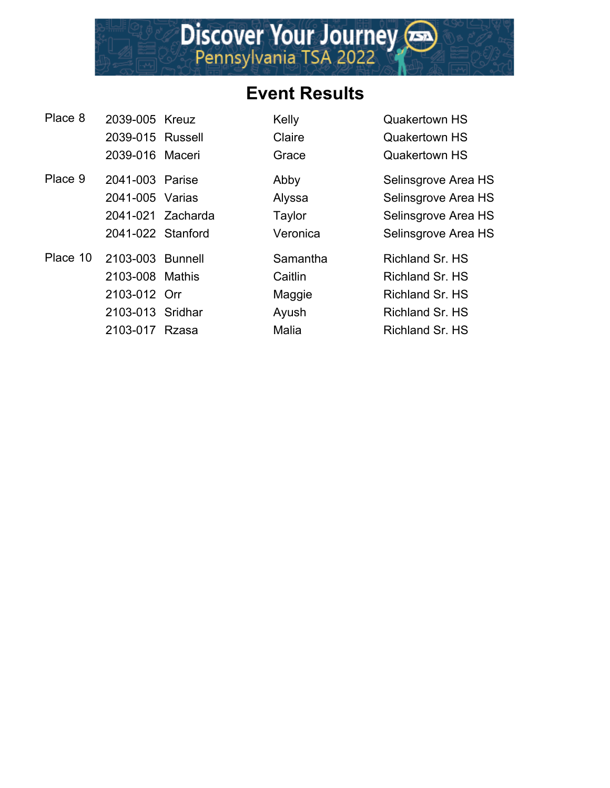#### **Event Results**

**Place 8 2034 Kelly Constraining Cuakertown HS** 

| Place 8 | 2039-005 Kreuz            |  |
|---------|---------------------------|--|
|         | 2039-015 Russell          |  |
|         | 2039-016 Maceri           |  |
| Place 9 | 2041-003 Parise           |  |
|         | 2041-005 Varias           |  |
|         | 2041-021 Zacharda         |  |
|         | 2041-022 Stanford         |  |
|         | Place 10 2103-003 Bunnell |  |
|         | 2103-008 Mathis           |  |
|         | 2103-012 Orr              |  |
|         | 2103-013 Sridhar          |  |
|         | 2103-017 Rzasa            |  |

**2039-01-2039-01-2039-01-2039-01-2039** Russell Claire

Grace Quakertown HS Abby **Selinsgrove Area HS** Alyssa Selinsgrove Area HS Taylor Selinsgrove Area HS Veronica Selinsgrove Area HS Samantha Richland Sr. HS

2103-008 Mathis Caitlin Richland Sr. HS Maggie Richland Sr. HS Ayush Richland Sr. HS Malia Richland Sr. HS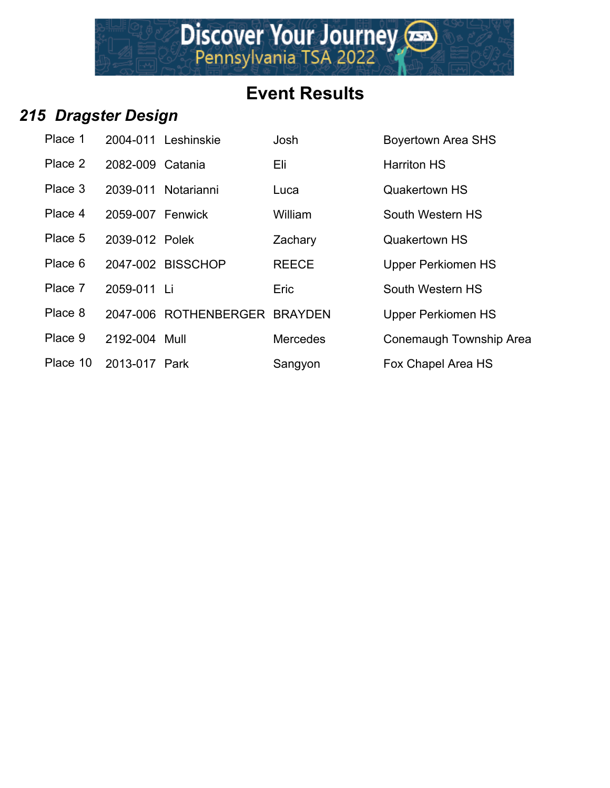Discover Your Journey

#### *215 Dragster Design*

| Place 1  |                  | 2004-011 Leshinskie           | Josh            | <b>Boyertown Area SHS</b> |
|----------|------------------|-------------------------------|-----------------|---------------------------|
| Place 2  | 2082-009 Catania |                               | Eli             | <b>Harriton HS</b>        |
| Place 3  |                  | 2039-011 Notarianni           | Luca            | <b>Quakertown HS</b>      |
| Place 4  | 2059-007 Fenwick |                               | William         | South Western HS          |
| Place 5  | 2039-012 Polek   |                               | Zachary         | <b>Quakertown HS</b>      |
| Place 6  |                  | 2047-002 BISSCHOP             | <b>REECE</b>    | <b>Upper Perkiomen HS</b> |
| Place 7  | 2059-011 Li      |                               | Eric            | South Western HS          |
| Place 8  |                  | 2047-006 ROTHENBERGER BRAYDEN |                 | <b>Upper Perkiomen HS</b> |
| Place 9  | 2192-004 Mull    |                               | <b>Mercedes</b> | <b>Conemaugh Townsh</b>   |
| Place 10 | 2013-017 Park    |                               | Sangyon         | <b>Fox Chapel Area HS</b> |

Boyertown Area SHS Harriton HS **Quakertown HS** South Western HS **Quakertown HS** Upper Perkiomen HS **South Western HS** Upper Perkiomen HS Conemaugh Township Area HS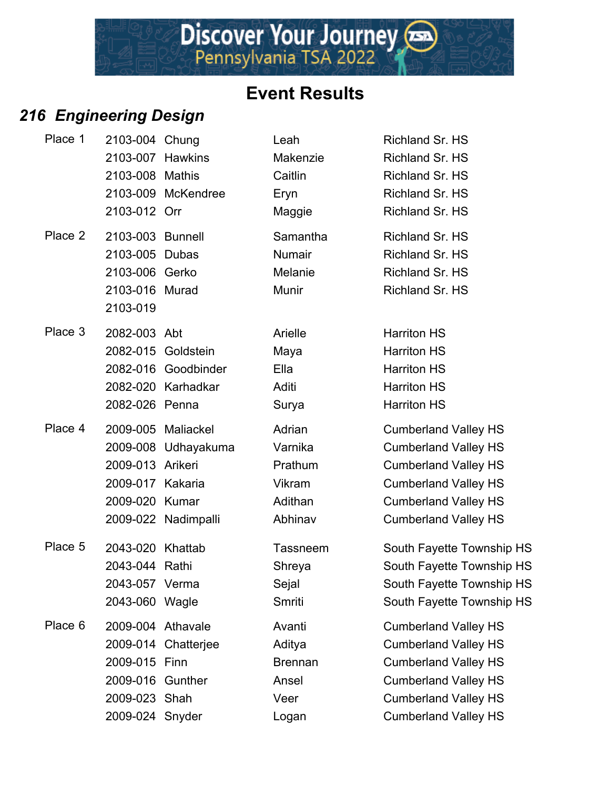## *216 Engineering Design*

| Place 1 | 2103-004 Chung    |                     | Leah            | Richland Sr. HS             |
|---------|-------------------|---------------------|-----------------|-----------------------------|
|         | 2103-007 Hawkins  |                     | Makenzie        | Richland Sr. HS             |
|         | 2103-008 Mathis   |                     | Caitlin         | Richland Sr. HS             |
|         |                   | 2103-009 McKendree  | Eryn            | Richland Sr. HS             |
|         | 2103-012 Orr      |                     | Maggie          | Richland Sr. HS             |
| Place 2 | 2103-003 Bunnell  |                     | Samantha        | Richland Sr. HS             |
|         | 2103-005 Dubas    |                     | <b>Numair</b>   | Richland Sr. HS             |
|         | 2103-006 Gerko    |                     | Melanie         | Richland Sr. HS             |
|         | 2103-016 Murad    |                     | Munir           | Richland Sr. HS             |
|         | 2103-019          |                     |                 |                             |
| Place 3 | 2082-003 Abt      |                     | Arielle         | <b>Harriton HS</b>          |
|         |                   | 2082-015 Goldstein  | Maya            | <b>Harriton HS</b>          |
|         |                   | 2082-016 Goodbinder | Ella            | <b>Harriton HS</b>          |
|         |                   | 2082-020 Karhadkar  | Aditi           | <b>Harriton HS</b>          |
|         | 2082-026 Penna    |                     | Surya           | <b>Harriton HS</b>          |
| Place 4 |                   | 2009-005 Maliackel  | Adrian          | <b>Cumberland Valley HS</b> |
|         |                   | 2009-008 Udhayakuma | Varnika         | <b>Cumberland Valley HS</b> |
|         | 2009-013 Arikeri  |                     | Prathum         | <b>Cumberland Valley HS</b> |
|         | 2009-017 Kakaria  |                     | Vikram          | <b>Cumberland Valley HS</b> |
|         | 2009-020 Kumar    |                     | Adithan         | <b>Cumberland Valley HS</b> |
|         |                   | 2009-022 Nadimpalli | Abhinav         | <b>Cumberland Valley HS</b> |
| Place 5 | 2043-020 Khattab  |                     | <b>Tassneem</b> | South Fayette Township HS   |
|         | 2043-044 Rathi    |                     | Shreya          | South Fayette Township HS   |
|         | 2043-057 Verma    |                     | Sejal           | South Fayette Township HS   |
|         | 2043-060 Wagle    |                     | Smriti          | South Fayette Township HS   |
| Place 6 | 2009-004 Athavale |                     | Avanti          | <b>Cumberland Valley HS</b> |
|         |                   | 2009-014 Chatterjee | Aditya          | <b>Cumberland Valley HS</b> |
|         | 2009-015 Finn     |                     | <b>Brennan</b>  | <b>Cumberland Valley HS</b> |
|         | 2009-016 Gunther  |                     | Ansel           | <b>Cumberland Valley HS</b> |
|         | 2009-023 Shah     |                     | Veer            | <b>Cumberland Valley HS</b> |
|         | 2009-024 Snyder   |                     | Logan           | <b>Cumberland Valley HS</b> |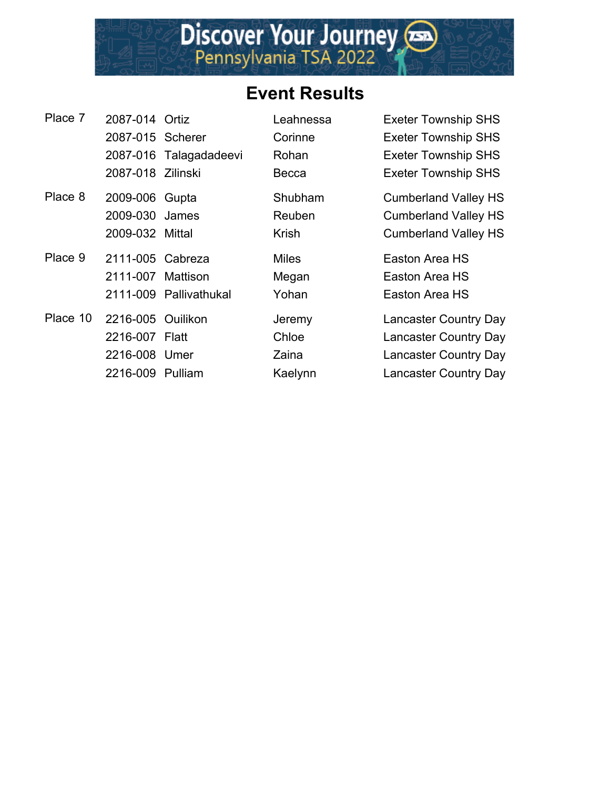

| Place 7  | 2087-014 Ortiz    |                        | Leahnessa    | <b>Exeter Township SHS</b>   |
|----------|-------------------|------------------------|--------------|------------------------------|
|          | 2087-015 Scherer  |                        | Corinne      | <b>Exeter Township SHS</b>   |
|          |                   | 2087-016 Talagadadeevi | Rohan        | <b>Exeter Township SHS</b>   |
|          | 2087-018 Zilinski |                        | Becca        | <b>Exeter Township SHS</b>   |
| Place 8  | 2009-006 Gupta    |                        | Shubham      | <b>Cumberland Valley HS</b>  |
|          | 2009-030 James    |                        | Reuben       | <b>Cumberland Valley HS</b>  |
|          | 2009-032 Mittal   |                        | <b>Krish</b> | <b>Cumberland Valley HS</b>  |
| Place 9  | 2111-005 Cabreza  |                        | <b>Miles</b> | Easton Area HS               |
|          | 2111-007          | Mattison               | Megan        | Easton Area HS               |
|          |                   | 2111-009 Pallivathukal | Yohan        | Easton Area HS               |
| Place 10 | 2216-005 Ouilikon |                        | Jeremy       | <b>Lancaster Country Day</b> |
|          | 2216-007 Flatt    |                        | Chloe        | <b>Lancaster Country Day</b> |
|          | 2216-008 Umer     |                        | Zaina        | <b>Lancaster Country Day</b> |
|          | 2216-009 Pulliam  |                        | Kaelynn      | <b>Lancaster Country Day</b> |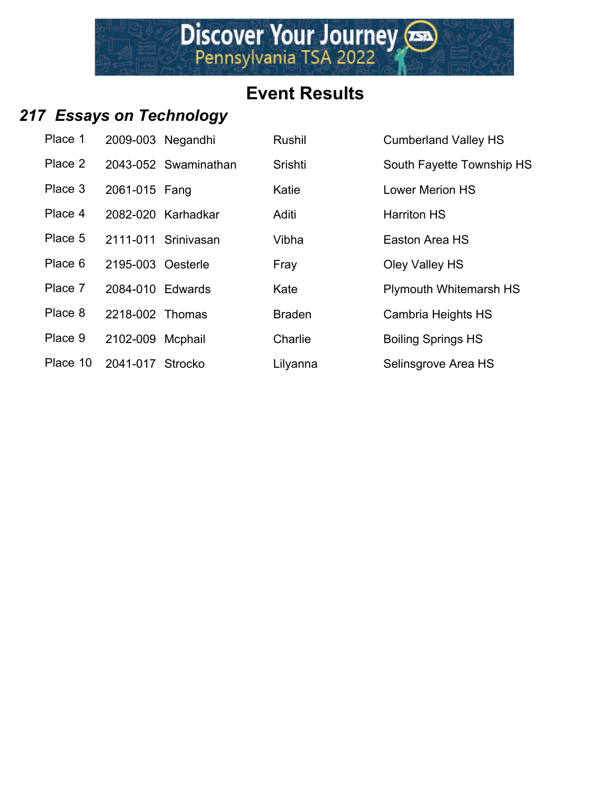#### *217 Essays on Technology*

| Place 1  | 2009-003 Negandhi |                      | Rushil        | <b>Cumberland Valley HS</b>   |
|----------|-------------------|----------------------|---------------|-------------------------------|
| Place 2  |                   | 2043-052 Swaminathan | Srishti       | South Fayette Township HS     |
| Place 3  | 2061-015 Fang     |                      | Katie         | <b>Lower Merion HS</b>        |
| Place 4  |                   | 2082-020 Karhadkar   | Aditi         | <b>Harriton HS</b>            |
| Place 5  |                   | 2111-011 Srinivasan  | Vibha         | Easton Area HS                |
| Place 6  | 2195-003 Oesterle |                      | Fray          | Oley Valley HS                |
| Place 7  | 2084-010 Edwards  |                      | Kate          | <b>Plymouth Whitemarsh HS</b> |
| Place 8  | 2218-002 Thomas   |                      | <b>Braden</b> | Cambria Heights HS            |
| Place 9  | 2102-009          | Mcphail              | Charlie       | <b>Boiling Springs HS</b>     |
| Place 10 | 2041-017          | Strocko              | Lilyanna      | Selinsgrove Area HS           |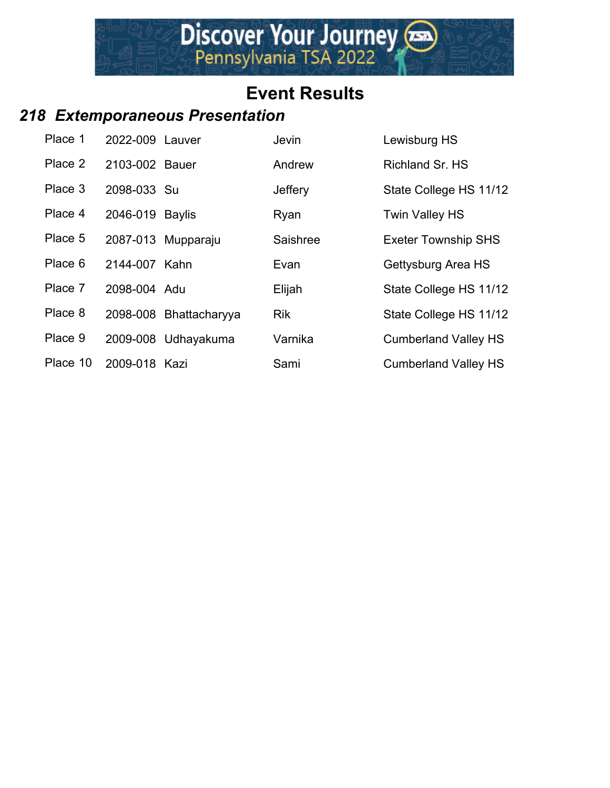#### *218 Extemporaneous Presentation*

| Place 1  | 2022-009 Lauver |                        | <b>Jevin</b> | Lewisburg HS                |
|----------|-----------------|------------------------|--------------|-----------------------------|
| Place 2  | 2103-002 Bauer  |                        | Andrew       | Richland Sr. HS             |
| Place 3  | 2098-033 Su     |                        | Jeffery      | State College HS 11/12      |
| Place 4  | 2046-019 Baylis |                        | Ryan         | <b>Twin Valley HS</b>       |
| Place 5  |                 | 2087-013 Mupparaju     | Saishree     | <b>Exeter Township SHS</b>  |
| Place 6  | 2144-007 Kahn   |                        | Evan         | Gettysburg Area HS          |
| Place 7  | 2098-004 Adu    |                        | Elijah       | State College HS 11/12      |
| Place 8  |                 | 2098-008 Bhattacharyya | <b>Rik</b>   | State College HS 11/12      |
| Place 9  |                 | 2009-008 Udhayakuma    | Varnika      | <b>Cumberland Valley HS</b> |
| Place 10 | 2009-018 Kazi   |                        | Sami         | <b>Cumberland Valley HS</b> |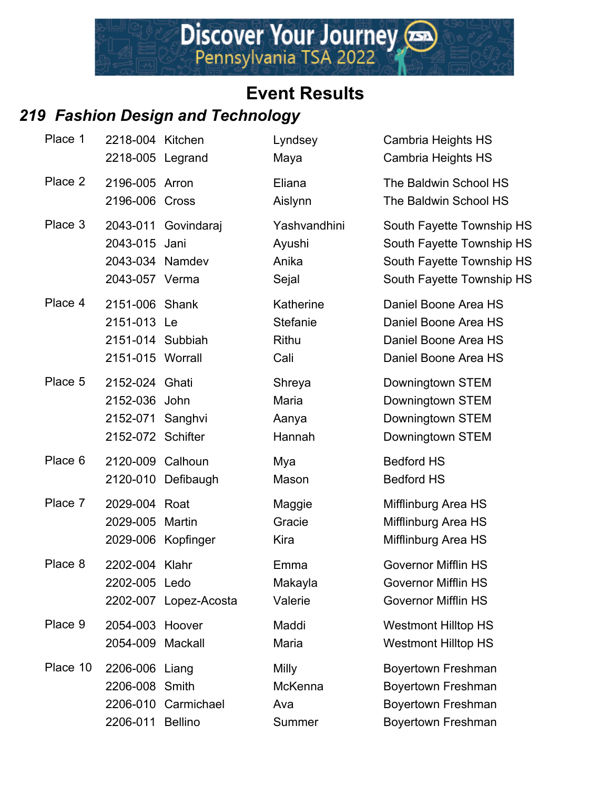## *219 Fashion Design and Technology*

| Place 1  | 2218-004 Kitchen<br>2218-005 Legrand                                     |                       | Lyndsey<br>Maya                          | Cambria Heights HS<br>Cambria Heights HS                                                                         |
|----------|--------------------------------------------------------------------------|-----------------------|------------------------------------------|------------------------------------------------------------------------------------------------------------------|
| Place 2  | 2196-005 Arron<br>2196-006 Cross                                         |                       | Eliana<br>Aislynn                        | The Baldwin School HS<br>The Baldwin School HS                                                                   |
| Place 3  | 2043-015 Jani<br>2043-034 Namdev<br>2043-057 Verma                       | 2043-011 Govindaraj   | Yashvandhini<br>Ayushi<br>Anika<br>Sejal | South Fayette Township HS<br>South Fayette Township HS<br>South Fayette Township HS<br>South Fayette Township HS |
| Place 4  | 2151-006 Shank<br>2151-013 Le<br>2151-014 Subbiah<br>2151-015 Worrall    |                       | Katherine<br>Stefanie<br>Rithu<br>Cali   | Daniel Boone Area HS<br>Daniel Boone Area HS<br>Daniel Boone Area HS<br>Daniel Boone Area HS                     |
| Place 5  | 2152-024 Ghati<br>2152-036 John<br>2152-071 Sanghvi<br>2152-072 Schifter |                       | Shreya<br>Maria<br>Aanya<br>Hannah       | Downingtown STEM<br>Downingtown STEM<br>Downingtown STEM<br>Downingtown STEM                                     |
| Place 6  | 2120-009 Calhoun                                                         | 2120-010 Defibaugh    | Mya<br>Mason                             | <b>Bedford HS</b><br><b>Bedford HS</b>                                                                           |
| Place 7  | 2029-004 Roat<br>2029-005 Martin                                         | 2029-006 Kopfinger    | Maggie<br>Gracie<br>Kira                 | Mifflinburg Area HS<br>Mifflinburg Area HS<br>Mifflinburg Area HS                                                |
| Place 8  | 2202-004 Klahr<br>2202-005 Ledo                                          | 2202-007 Lopez-Acosta | Emma<br>Makayla<br>Valerie               | <b>Governor Mifflin HS</b><br><b>Governor Mifflin HS</b><br><b>Governor Mifflin HS</b>                           |
| Place 9  | 2054-003 Hoover<br>2054-009                                              | Mackall               | Maddi<br>Maria                           | <b>Westmont Hilltop HS</b><br><b>Westmont Hilltop HS</b>                                                         |
| Place 10 | 2206-006 Liang<br>2206-008 Smith<br>2206-011 Bellino                     | 2206-010 Carmichael   | Milly<br><b>McKenna</b><br>Ava<br>Summer | Boyertown Freshman<br>Boyertown Freshman<br>Boyertown Freshman<br>Boyertown Freshman                             |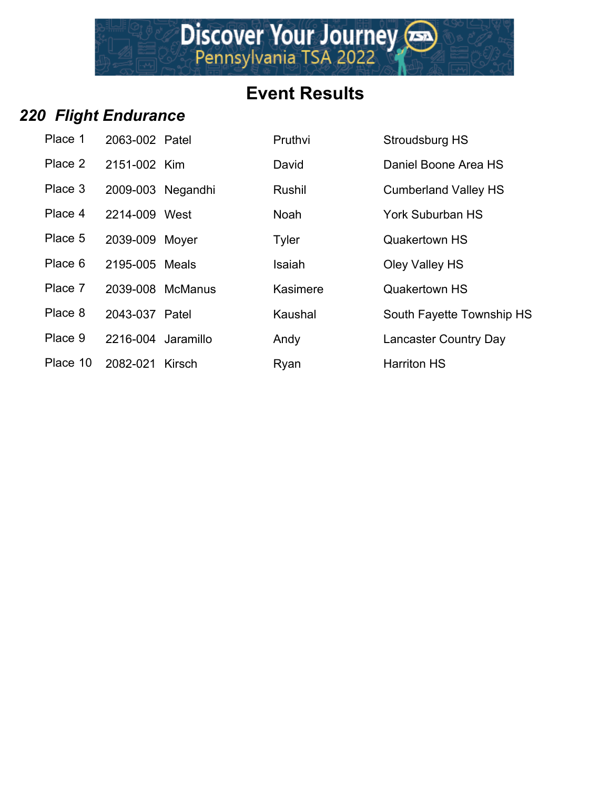Discover Your Journey

#### *220 Flight Endurance*

| Place 1  | 2063-002 Patel     |                  | Pruthvi       | Stroudsburg HS        |
|----------|--------------------|------------------|---------------|-----------------------|
| Place 2  | 2151-002 Kim       |                  | David         | Daniel Boone A        |
| Place 3  | 2009-003 Negandhi  |                  | Rushil        | <b>Cumberland Val</b> |
| Place 4  | 2214-009 West      |                  | <b>Noah</b>   | York Suburban I       |
| Place 5  | 2039-009 Moyer     |                  | <b>Tyler</b>  | <b>Quakertown HS</b>  |
| Place 6  | 2195-005 Meals     |                  | <b>Isaiah</b> | Oley Valley HS        |
| Place 7  |                    | 2039-008 McManus | Kasimere      | <b>Quakertown HS</b>  |
| Place 8  | 2043-037 Patel     |                  | Kaushal       | South Fayette T       |
| Place 9  | 2216-004 Jaramillo |                  | Andy          | <b>Lancaster Coun</b> |
| Place 10 | 2082-021 Kirsch    |                  | Ryan          | <b>Harriton HS</b>    |

| Place 1  | 2063-002 Patel     |                  | Pruthvi     | Stroudsburg HS               |
|----------|--------------------|------------------|-------------|------------------------------|
| Place 2  | 2151-002 Kim       |                  | David       | Daniel Boone Area HS         |
| Place 3  | 2009-003 Negandhi  |                  | Rushil      | <b>Cumberland Valley HS</b>  |
| Place 4  | 2214-009 West      |                  | <b>Noah</b> | <b>York Suburban HS</b>      |
| Place 5  | 2039-009 Moyer     |                  | Tyler       | <b>Quakertown HS</b>         |
| Place 6  | 2195-005 Meals     |                  | Isaiah      | Oley Valley HS               |
| Place 7  |                    | 2039-008 McManus | Kasimere    | <b>Quakertown HS</b>         |
| Place 8  | 2043-037 Patel     |                  | Kaushal     | South Fayette Township HS    |
| Place 9  | 2216-004 Jaramillo |                  | Andy        | <b>Lancaster Country Day</b> |
| Place 10 | 2082-021           | Kirsch           | Rvan        | <b>Harriton HS</b>           |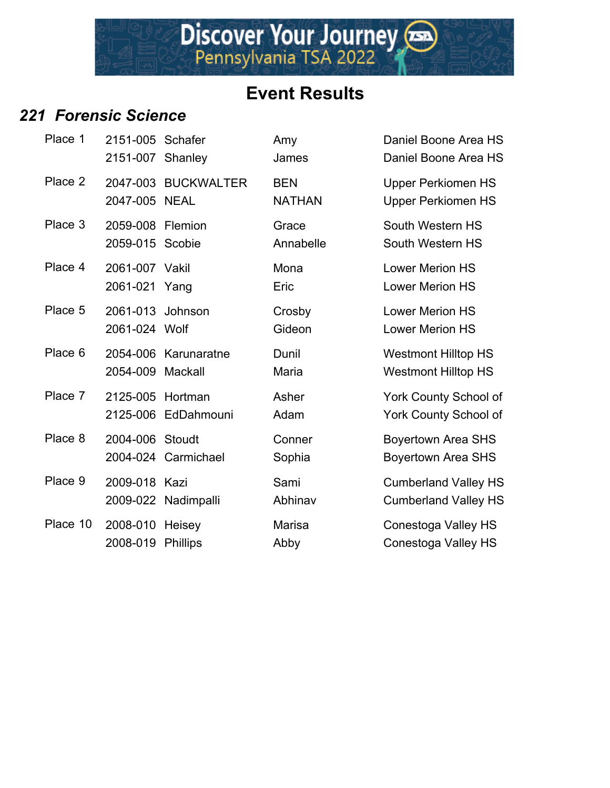#### *221 Forensic Science*

| Place 1  | 2151-005 Schafer<br>2151-007 Shanley |                           | Amy<br>James                | Daniel Boone Area HS<br>Daniel Boone Area HS               |
|----------|--------------------------------------|---------------------------|-----------------------------|------------------------------------------------------------|
| Place 2  | 2047-005 NEAL                        | 2047-003 BUCKWALTER       | <b>BEN</b><br><b>NATHAN</b> | <b>Upper Perkiomen HS</b><br><b>Upper Perkiomen HS</b>     |
| Place 3  | 2059-008 Flemion<br>2059-015 Scobie  |                           | Grace<br>Annabelle          | South Western HS<br>South Western HS                       |
| Place 4  | 2061-007 Vakil<br>2061-021 Yang      |                           | Mona<br>Eric                | <b>Lower Merion HS</b><br><b>Lower Merion HS</b>           |
| Place 5  | 2061-013 Johnson<br>2061-024 Wolf    |                           | Crosby<br>Gideon            | <b>Lower Merion HS</b><br><b>Lower Merion HS</b>           |
| Place 6  | 2054-009 Mackall                     | 2054-006 Karunaratne      | Dunil<br>Maria              | <b>Westmont Hilltop HS</b><br><b>Westmont Hilltop HS</b>   |
| Place 7  | 2125-005 Hortman                     | 2125-006 EdDahmouni       | Asher<br>Adam               | York County School of<br>York County School of             |
| Place 8  | 2004-006 Stoudt                      | 2004-024 Carmichael       | Conner<br>Sophia            | <b>Boyertown Area SHS</b><br><b>Boyertown Area SHS</b>     |
| Place 9  | 2009-018 Kazi                        | 2009-022 Nadimpalli       | Sami<br>Abhinav             | <b>Cumberland Valley HS</b><br><b>Cumberland Valley HS</b> |
| Place 10 | 2008-010<br>2008-019                 | Heisey<br><b>Phillips</b> | <b>Marisa</b><br>Abby       | Conestoga Valley HS<br>Conestoga Valley HS                 |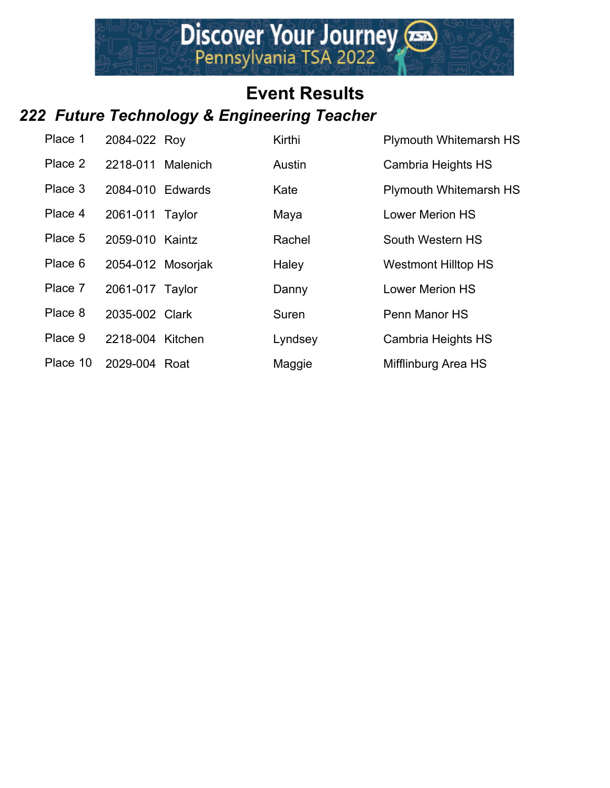# **Event Results** *222 Future Technology & Engineering Teacher*

| Place 1  | 2084-022 Roy      | Kirthi  | <b>Plymouth Whitemarsh HS</b> |
|----------|-------------------|---------|-------------------------------|
| Place 2  | 2218-011 Malenich | Austin  | Cambria Heights HS            |
| Place 3  | 2084-010 Edwards  | Kate    | <b>Plymouth Whitemarsh HS</b> |
| Place 4  | 2061-011 Taylor   | Maya    | <b>Lower Merion HS</b>        |
| Place 5  | 2059-010 Kaintz   | Rachel  | South Western HS              |
| Place 6  | 2054-012 Mosoriak | Haley   | <b>Westmont Hilltop HS</b>    |
| Place 7  | 2061-017 Taylor   | Danny   | <b>Lower Merion HS</b>        |
| Place 8  | 2035-002 Clark    | Suren   | Penn Manor HS                 |
| Place 9  | 2218-004 Kitchen  | Lyndsey | Cambria Heights HS            |
| Place 10 | 2029-004 Roat     | Maggie  | Mifflinburg Area HS           |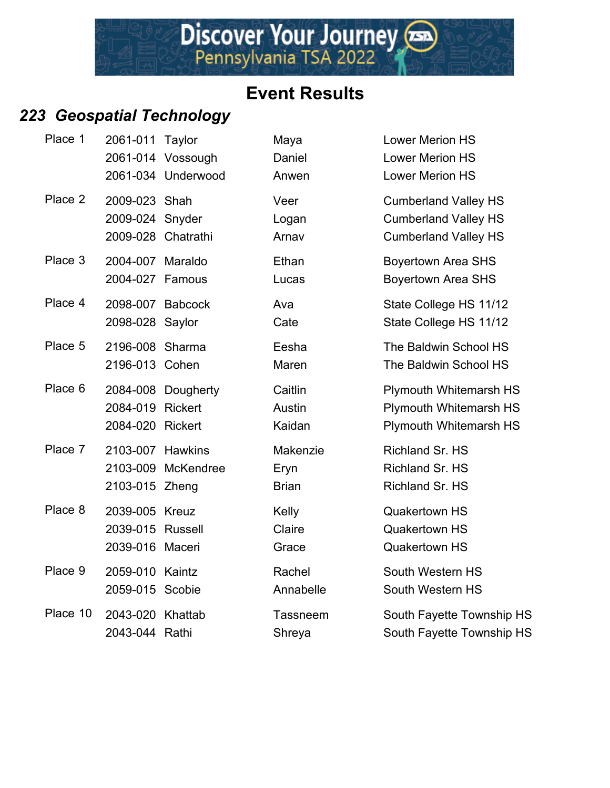#### *223 Geospatial Technology*

| Place 1  | 2061-011 Taylor                                       | 2061-014 Vossough<br>2061-034 Underwood | Maya<br>Daniel<br>Anwen          | <b>Lower Merion HS</b><br><b>Lower Merion HS</b><br><b>Lower Merion HS</b>                |
|----------|-------------------------------------------------------|-----------------------------------------|----------------------------------|-------------------------------------------------------------------------------------------|
| Place 2  | 2009-023 Shah<br>2009-024 Snyder                      | 2009-028 Chatrathi                      | Veer<br>Logan<br>Arnav           | <b>Cumberland Valley HS</b><br><b>Cumberland Valley HS</b><br><b>Cumberland Valley HS</b> |
| Place 3  | 2004-007 Maraldo<br>2004-027 Famous                   |                                         | Ethan<br>Lucas                   | <b>Boyertown Area SHS</b><br><b>Boyertown Area SHS</b>                                    |
| Place 4  | 2098-007 Babcock<br>2098-028 Saylor                   |                                         | Ava<br>Cate                      | State College HS 11/12<br>State College HS 11/12                                          |
| Place 5  | 2196-008 Sharma<br>2196-013 Cohen                     |                                         | Eesha<br>Maren                   | The Baldwin School HS<br>The Baldwin School HS                                            |
| Place 6  | 2084-019 Rickert<br>2084-020 Rickert                  | 2084-008 Dougherty                      | Caitlin<br>Austin<br>Kaidan      | <b>Plymouth Whitemarsh HS</b><br><b>Plymouth Whitemarsh HS</b><br>Plymouth Whitemarsh HS  |
| Place 7  | 2103-007 Hawkins<br>2103-015 Zheng                    | 2103-009 McKendree                      | Makenzie<br>Eryn<br><b>Brian</b> | Richland Sr. HS<br>Richland Sr. HS<br>Richland Sr. HS                                     |
| Place 8  | 2039-005 Kreuz<br>2039-015 Russell<br>2039-016 Maceri |                                         | Kelly<br>Claire<br>Grace         | <b>Quakertown HS</b><br><b>Quakertown HS</b><br><b>Quakertown HS</b>                      |
| Place 9  | 2059-010 Kaintz<br>2059-015 Scobie                    |                                         | Rachel<br>Annabelle              | South Western HS<br>South Western HS                                                      |
| Place 10 | 2043-020 Khattab<br>2043-044 Rathi                    |                                         | <b>Tassneem</b><br>Shreya        | South Fayette Township HS<br>South Fayette Township HS                                    |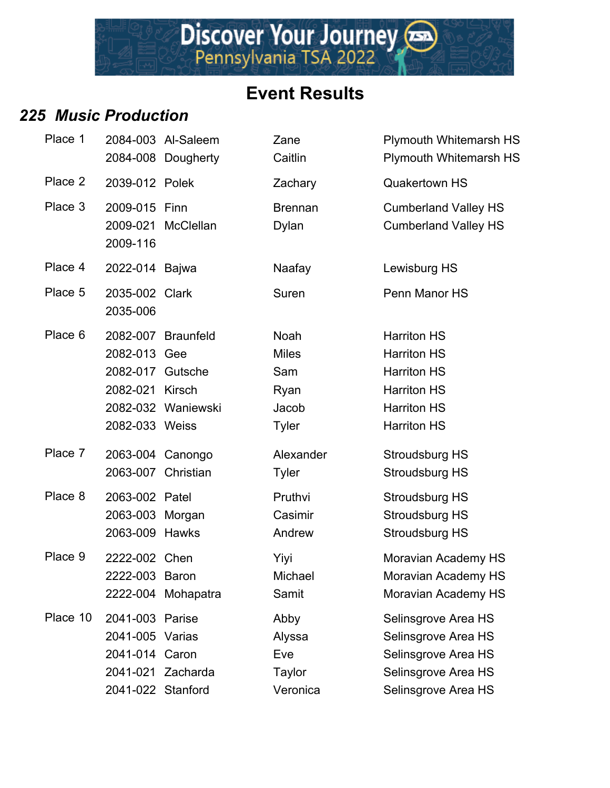# Discover Your Journey

# **Event Results**

#### *225 Music Production*

| Place 1  |                                                                           | 2084-003 Al-Saleem<br>2084-008 Dougherty | Zane<br>Caitlin                                              | <b>Plymouth Whitemarsh HS</b><br><b>Plymouth Whitemarsh HS</b>                                                                   |
|----------|---------------------------------------------------------------------------|------------------------------------------|--------------------------------------------------------------|----------------------------------------------------------------------------------------------------------------------------------|
| Place 2  | 2039-012 Polek                                                            |                                          | Zachary                                                      | <b>Quakertown HS</b>                                                                                                             |
| Place 3  | 2009-015 Finn<br>2009-116                                                 | 2009-021 McClellan                       | <b>Brennan</b><br>Dylan                                      | <b>Cumberland Valley HS</b><br><b>Cumberland Valley HS</b>                                                                       |
| Place 4  | 2022-014 Bajwa                                                            |                                          | Naafay                                                       | Lewisburg HS                                                                                                                     |
| Place 5  | 2035-002 Clark<br>2035-006                                                |                                          | Suren                                                        | Penn Manor HS                                                                                                                    |
| Place 6  | 2082-013 Gee<br>2082-017 Gutsche<br>2082-021 Kirsch<br>2082-033 Weiss     | 2082-007 Braunfeld<br>2082-032 Waniewski | Noah<br><b>Miles</b><br>Sam<br>Ryan<br>Jacob<br><b>Tyler</b> | <b>Harriton HS</b><br><b>Harriton HS</b><br><b>Harriton HS</b><br><b>Harriton HS</b><br><b>Harriton HS</b><br><b>Harriton HS</b> |
| Place 7  |                                                                           | 2063-004 Canongo<br>2063-007 Christian   | Alexander<br><b>Tyler</b>                                    | Stroudsburg HS<br><b>Stroudsburg HS</b>                                                                                          |
| Place 8  | 2063-002 Patel<br>2063-003 Morgan<br>2063-009 Hawks                       |                                          | Pruthvi<br>Casimir<br>Andrew                                 | Stroudsburg HS<br>Stroudsburg HS<br><b>Stroudsburg HS</b>                                                                        |
| Place 9  | 2222-002 Chen<br>2222-003 Baron                                           | 2222-004 Mohapatra                       | Yiyi<br>Michael<br>Samit                                     | Moravian Academy HS<br>Moravian Academy HS<br>Moravian Academy HS                                                                |
| Place 10 | 2041-003 Parise<br>2041-005 Varias<br>2041-014 Caron<br>2041-022 Stanford | 2041-021 Zacharda                        | Abby<br>Alyssa<br>Eve<br><b>Taylor</b><br>Veronica           | Selinsgrove Area HS<br>Selinsgrove Area HS<br>Selinsgrove Area HS<br>Selinsgrove Area HS<br>Selinsgrove Area HS                  |

| 7 TVWWVUVII                                                                                                                                          |                                          |                                                                                                                        |                                                                                                                                                                                                                 |
|------------------------------------------------------------------------------------------------------------------------------------------------------|------------------------------------------|------------------------------------------------------------------------------------------------------------------------|-----------------------------------------------------------------------------------------------------------------------------------------------------------------------------------------------------------------|
|                                                                                                                                                      | 2084-003 Al-Saleem<br>2084-008 Dougherty | Zane<br>Caitlin                                                                                                        | <b>Plymouth Whitemarsh HS</b><br><b>Plymouth Whitemarsh HS</b>                                                                                                                                                  |
| 2039-012 Polek                                                                                                                                       |                                          | Zachary                                                                                                                | <b>Quakertown HS</b>                                                                                                                                                                                            |
| 2009-015 Finn<br>2009-116                                                                                                                            | 2009-021 McClellan                       | <b>Brennan</b><br>Dylan                                                                                                | <b>Cumberland Valley HS</b><br><b>Cumberland Valley HS</b>                                                                                                                                                      |
| 2022-014 Bajwa                                                                                                                                       |                                          | Naafay                                                                                                                 | Lewisburg HS                                                                                                                                                                                                    |
| 2035-002 Clark<br>2035-006                                                                                                                           |                                          | Suren                                                                                                                  | Penn Manor HS                                                                                                                                                                                                   |
| 2082-013 Gee<br>2082-017 Gutsche<br>2082-021 Kirsch<br>2082-033 Weiss<br>2063-004 Canongo<br>2063-007 Christian<br>2063-002 Patel<br>2063-003 Morgan | 2082-007 Braunfeld<br>2082-032 Waniewski | <b>Noah</b><br><b>Miles</b><br>Sam<br>Ryan<br>Jacob<br><b>Tyler</b><br>Alexander<br><b>Tyler</b><br>Pruthvi<br>Casimir | <b>Harriton HS</b><br><b>Harriton HS</b><br><b>Harriton HS</b><br><b>Harriton HS</b><br><b>Harriton HS</b><br><b>Harriton HS</b><br><b>Stroudsburg HS</b><br>Stroudsburg HS<br>Stroudsburg HS<br>Stroudsburg HS |
| 2063-009 Hawks<br>2222-002 Chen<br>2222-003 Baron                                                                                                    | 2222-004 Mohapatra                       | Andrew<br>Yiyi<br>Michael<br>Samit                                                                                     | Stroudsburg HS<br>Moravian Academy HS<br>Moravian Academy HS<br>Moravian Academy HS                                                                                                                             |
| 2041-003 Parise<br>2041-005 Varias<br>2041-014                                                                                                       | Caron<br>2041-021 Zacharda               | Abby<br>Alyssa<br>Eve<br>Taylor                                                                                        | Selinsgrove Area HS<br>Selinsgrove Area HS<br>Selinsgrove Area HS<br>Selinsgrove Area HS                                                                                                                        |
| 2041-022 Stanford                                                                                                                                    |                                          | Veronica                                                                                                               | Selinsgrove Area HS                                                                                                                                                                                             |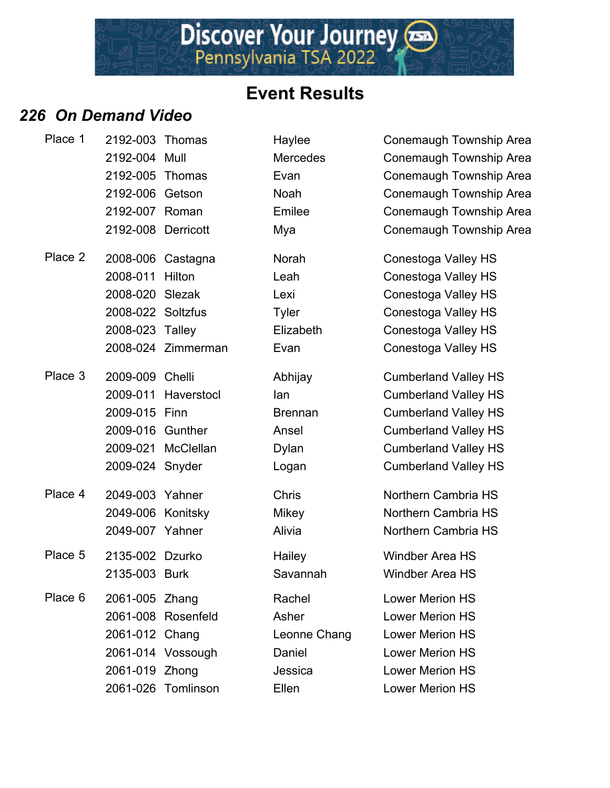Discover Your Journey

#### *226 On Demand Video*

| Place 1 | 2192-003 Thomas    |                    | Haylee          | Conemaugh Township Area     |
|---------|--------------------|--------------------|-----------------|-----------------------------|
|         | 2192-004 Mull      |                    | <b>Mercedes</b> | Conemaugh Township Area     |
|         | 2192-005           | Thomas             | Evan            | Conemaugh Township Area     |
|         | 2192-006 Getson    |                    | <b>Noah</b>     | Conemaugh Township Area     |
|         | 2192-007 Roman     |                    | Emilee          | Conemaugh Township Area     |
|         | 2192-008 Derricott |                    | Mya             | Conemaugh Township Area     |
| Place 2 |                    | 2008-006 Castagna  | Norah           | Conestoga Valley HS         |
|         | 2008-011           | Hilton             | Leah            | Conestoga Valley HS         |
|         | 2008-020 Slezak    |                    | Lexi            | Conestoga Valley HS         |
|         | 2008-022 Soltzfus  |                    | <b>Tyler</b>    | Conestoga Valley HS         |
|         | 2008-023 Talley    |                    | Elizabeth       | Conestoga Valley HS         |
|         |                    | 2008-024 Zimmerman | Evan            | Conestoga Valley HS         |
| Place 3 | 2009-009 Chelli    |                    | Abhijay         | <b>Cumberland Valley HS</b> |
|         | 2009-011           | Haverstocl         | lan             | <b>Cumberland Valley HS</b> |
|         | 2009-015 Finn      |                    | <b>Brennan</b>  | <b>Cumberland Valley HS</b> |
|         | 2009-016 Gunther   |                    | Ansel           | <b>Cumberland Valley HS</b> |
|         |                    | 2009-021 McClellan | Dylan           | <b>Cumberland Valley HS</b> |
|         | 2009-024 Snyder    |                    | Logan           | <b>Cumberland Valley HS</b> |
| Place 4 | 2049-003 Yahner    |                    | Chris           | Northern Cambria HS         |
|         | 2049-006 Konitsky  |                    | <b>Mikey</b>    | Northern Cambria HS         |
|         | 2049-007 Yahner    |                    | Alivia          | Northern Cambria HS         |
| Place 5 | 2135-002 Dzurko    |                    | Hailey          | <b>Windber Area HS</b>      |
|         | 2135-003 Burk      |                    | Savannah        | Windber Area HS             |
| Place 6 | 2061-005 Zhang     |                    | Rachel          | <b>Lower Merion HS</b>      |
|         |                    | 2061-008 Rosenfeld | Asher           | <b>Lower Merion HS</b>      |
|         | 2061-012 Chang     |                    | Leonne Chang    | <b>Lower Merion HS</b>      |
|         |                    | 2061-014 Vossough  | Daniel          | <b>Lower Merion HS</b>      |
|         | 2061-019 Zhong     |                    | Jessica         | <b>Lower Merion HS</b>      |
|         |                    | 2061-026 Tomlinson | Ellen           | Lower Merion HS             |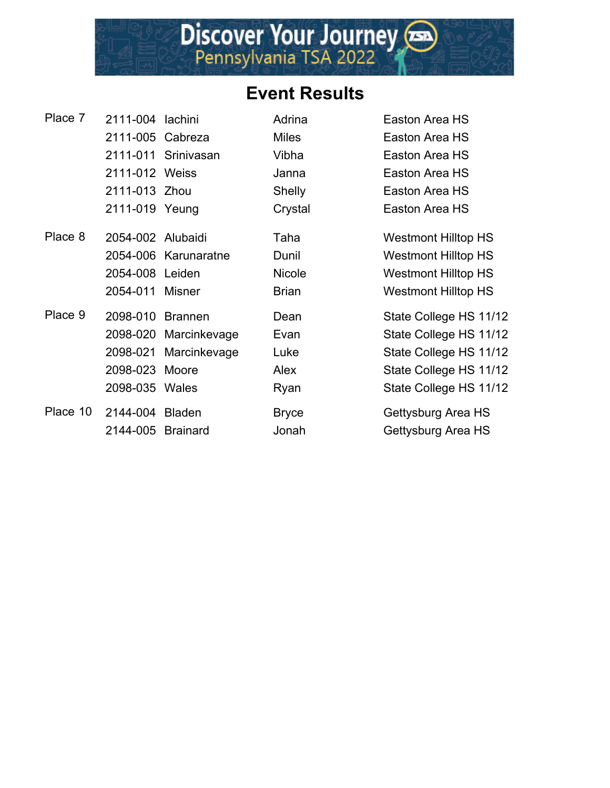| Place 7  | 2111-004 lachini  |                       | Adrina        | Easton Area HS             |
|----------|-------------------|-----------------------|---------------|----------------------------|
|          | 2111-005 Cabreza  |                       | <b>Miles</b>  | Easton Area HS             |
|          |                   | 2111-011 Srinivasan   | Vibha         | Easton Area HS             |
|          | 2111-012 Weiss    |                       | Janna         | Easton Area HS             |
|          | 2111-013 Zhou     |                       | <b>Shelly</b> | Easton Area HS             |
|          | 2111-019 Yeung    |                       | Crystal       | Easton Area HS             |
| Place 8  | 2054-002 Alubaidi |                       | Taha          | <b>Westmont Hilltop HS</b> |
|          |                   | 2054-006 Karunaratne  | Dunil         | <b>Westmont Hilltop HS</b> |
|          | 2054-008 Leiden   |                       | <b>Nicole</b> | <b>Westmont Hilltop HS</b> |
|          | 2054-011 Misner   |                       | <b>Brian</b>  | <b>Westmont Hilltop HS</b> |
| Place 9  | 2098-010          | Brannen               | Dean          | State College HS 11/12     |
|          |                   | 2098-020 Marcinkevage | Evan          | State College HS 11/12     |
|          |                   | 2098-021 Marcinkevage | Luke          | State College HS 11/12     |
|          | 2098-023 Moore    |                       | Alex          | State College HS 11/12     |
|          | 2098-035 Wales    |                       | Ryan          | State College HS 11/12     |
| Place 10 | 2144-004 Bladen   |                       | <b>Bryce</b>  | Gettysburg Area HS         |
|          | 2144-005 Brainard |                       | Jonah         | Gettysburg Area HS         |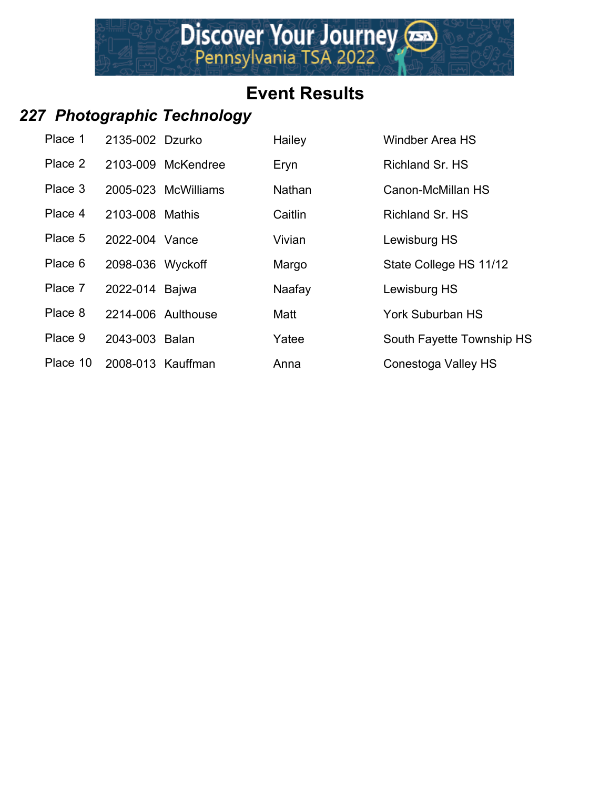# *227 Photographic Technology*

| Place 1  | 2135-002 Dzurko  |                     | Hailey        | Windber Area HS           |
|----------|------------------|---------------------|---------------|---------------------------|
| Place 2  |                  | 2103-009 McKendree  | Eryn          | <b>Richland Sr. HS</b>    |
| Place 3  |                  | 2005-023 McWilliams | <b>Nathan</b> | Canon-McMillan HS         |
| Place 4  | 2103-008 Mathis  |                     | Caitlin       | <b>Richland Sr. HS</b>    |
| Place 5  | 2022-004 Vance   |                     | Vivian        | Lewisburg HS              |
| Place 6  | 2098-036 Wyckoff |                     | Margo         | State College HS 11/12    |
| Place 7  | 2022-014 Bajwa   |                     | Naafay        | Lewisburg HS              |
| Place 8  |                  | 2214-006 Aulthouse  | Matt          | <b>York Suburban HS</b>   |
| Place 9  | 2043-003 Balan   |                     | Yatee         | South Fayette Township HS |
| Place 10 |                  | 2008-013 Kauffman   | Anna          | Conestoga Valley HS       |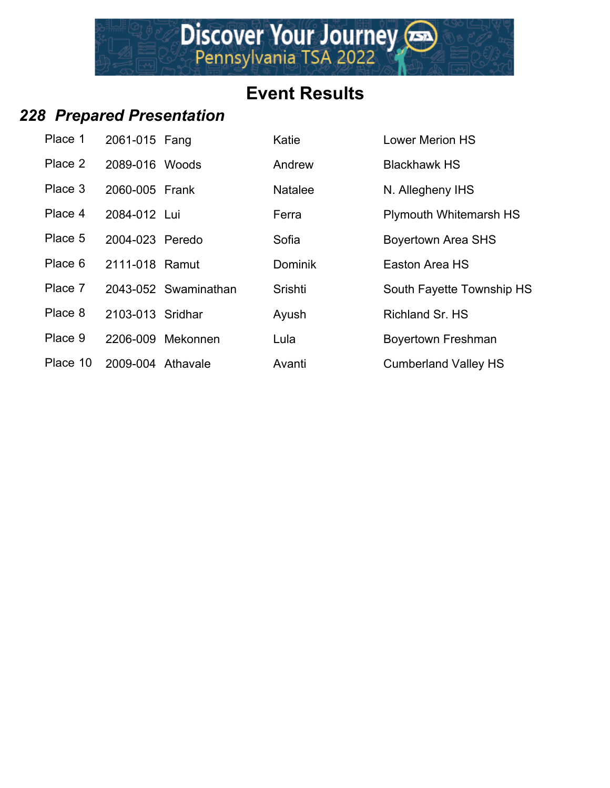#### *228 Prepared Presentation*

| Place 1  | 2061-015 Fang     |                      | Katie          | <b>Lower Merion HS</b>        |
|----------|-------------------|----------------------|----------------|-------------------------------|
| Place 2  | 2089-016 Woods    |                      | Andrew         | <b>Blackhawk HS</b>           |
| Place 3  | 2060-005 Frank    |                      | <b>Natalee</b> | N. Allegheny IHS              |
| Place 4  | 2084-012 Lui      |                      | Ferra          | <b>Plymouth Whitemarsh HS</b> |
| Place 5  | 2004-023 Peredo   |                      | Sofia          | <b>Boyertown Area SHS</b>     |
| Place 6  | 2111-018 Ramut    |                      | <b>Dominik</b> | Easton Area HS                |
| Place 7  |                   | 2043-052 Swaminathan | Srishti        | South Fayette Township HS     |
| Place 8  | 2103-013 Sridhar  |                      | Ayush          | <b>Richland Sr. HS</b>        |
| Place 9  |                   | 2206-009 Mekonnen    | Lula           | Boyertown Freshman            |
| Place 10 | 2009-004 Athavale |                      | Avanti         | <b>Cumberland Valley HS</b>   |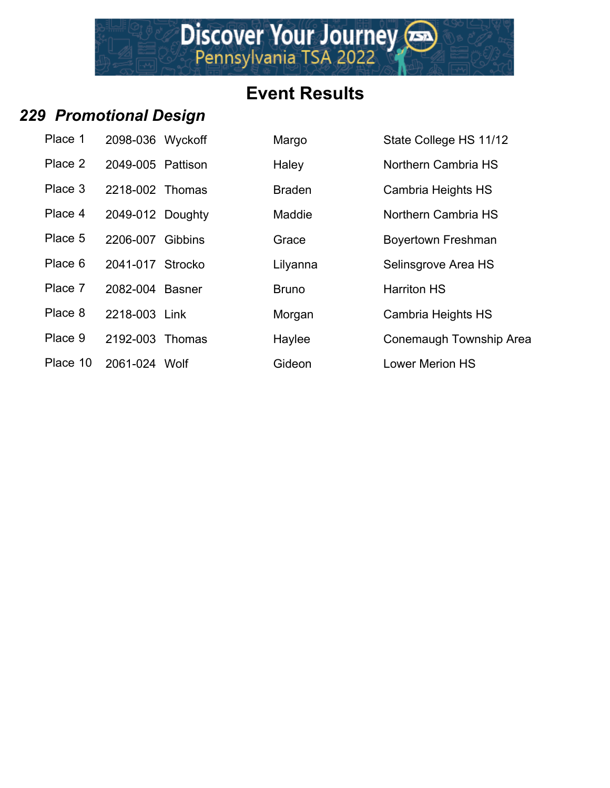Discover Your Journey

## *229 Promotional Design*

| Place 1  | 2098-036 Wyckoff  |  |
|----------|-------------------|--|
| Place 2  | 2049-005 Pattison |  |
| Place 3  | 2218-002 Thomas   |  |
| Place 4  | 2049-012 Doughty  |  |
| Place 5  | 2206-007 Gibbins  |  |
| Place 6  | 2041-017 Strocko  |  |
| Place 7  | 2082-004 Basner   |  |
| Place 8  | 2218-003 Link     |  |
| Place 9  | 2192-003 Thomas   |  |
| Place 10 | 2061-024 Wolf     |  |

| Place 1  | 2098-036 Wyckoff  | Margo         | State College HS 11/12    |
|----------|-------------------|---------------|---------------------------|
| Place 2  | 2049-005 Pattison | Haley         | Northern Cambria HS       |
| Place 3  | 2218-002 Thomas   | <b>Braden</b> | Cambria Heights HS        |
| Place 4  | 2049-012 Doughty  | Maddie        | Northern Cambria HS       |
| Place 5  | 2206-007 Gibbins  | Grace         | <b>Boyertown Freshman</b> |
| Place 6  | 2041-017 Strocko  | Lilyanna      | Selinsgrove Area HS       |
| Place 7  | 2082-004 Basner   | <b>Bruno</b>  | <b>Harriton HS</b>        |
| Place 8  | 2218-003 Link     | Morgan        | Cambria Heights HS        |
| Place 9  | 2192-003 Thomas   | Haylee        | Conemaugh Township Area   |
| Place 10 | 2061-024 Wolf     | Gideon        | <b>Lower Merion HS</b>    |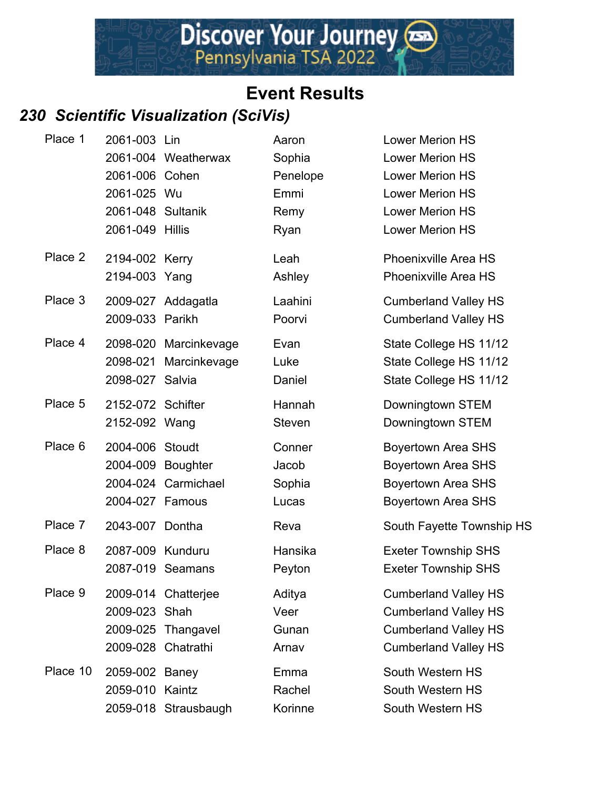#### *230 Scientific Visualization (SciVis)*

| Place 1  | 2061-003 Lin       |                       | Aaron    | <b>Lower Merion HS</b>      |
|----------|--------------------|-----------------------|----------|-----------------------------|
|          |                    | 2061-004 Weatherwax   | Sophia   | <b>Lower Merion HS</b>      |
|          | 2061-006 Cohen     |                       | Penelope | <b>Lower Merion HS</b>      |
|          | 2061-025 Wu        |                       | Emmi     | <b>Lower Merion HS</b>      |
|          | 2061-048 Sultanik  |                       | Remy     | <b>Lower Merion HS</b>      |
|          | 2061-049 Hillis    |                       | Ryan     | <b>Lower Merion HS</b>      |
| Place 2  | 2194-002 Kerry     |                       | Leah     | <b>Phoenixville Area HS</b> |
|          | 2194-003 Yang      |                       | Ashley   | <b>Phoenixville Area HS</b> |
| Place 3  |                    | 2009-027 Addagatla    | Laahini  | <b>Cumberland Valley HS</b> |
|          | 2009-033 Parikh    |                       | Poorvi   | <b>Cumberland Valley HS</b> |
| Place 4  |                    | 2098-020 Marcinkevage | Evan     | State College HS 11/12      |
|          |                    | 2098-021 Marcinkevage | Luke     | State College HS 11/12      |
|          | 2098-027 Salvia    |                       | Daniel   | State College HS 11/12      |
| Place 5  | 2152-072 Schifter  |                       | Hannah   | Downingtown STEM            |
|          | 2152-092 Wang      |                       | Steven   | Downingtown STEM            |
| Place 6  | 2004-006 Stoudt    |                       | Conner   | <b>Boyertown Area SHS</b>   |
|          | 2004-009 Boughter  |                       | Jacob    | <b>Boyertown Area SHS</b>   |
|          |                    | 2004-024 Carmichael   | Sophia   | <b>Boyertown Area SHS</b>   |
|          | 2004-027 Famous    |                       | Lucas    | <b>Boyertown Area SHS</b>   |
| Place 7  | 2043-007 Dontha    |                       | Reva     | South Fayette Township HS   |
| Place 8  | 2087-009 Kunduru   |                       | Hansika  | <b>Exeter Township SHS</b>  |
|          |                    | 2087-019 Seamans      | Peyton   | <b>Exeter Township SHS</b>  |
| Place 9  |                    | 2009-014 Chatterjee   | Aditya   | <b>Cumberland Valley HS</b> |
|          | 2009-023 Shah      |                       | Veer     | <b>Cumberland Valley HS</b> |
|          | 2009-025           | Thangavel             | Gunan    | <b>Cumberland Valley HS</b> |
|          | 2009-028 Chatrathi |                       | Arnav    | <b>Cumberland Valley HS</b> |
| Place 10 | 2059-002 Baney     |                       | Emma     | South Western HS            |
|          | 2059-010           | Kaintz                | Rachel   | South Western HS            |
|          |                    | 2059-018 Strausbaugh  | Korinne  | South Western HS            |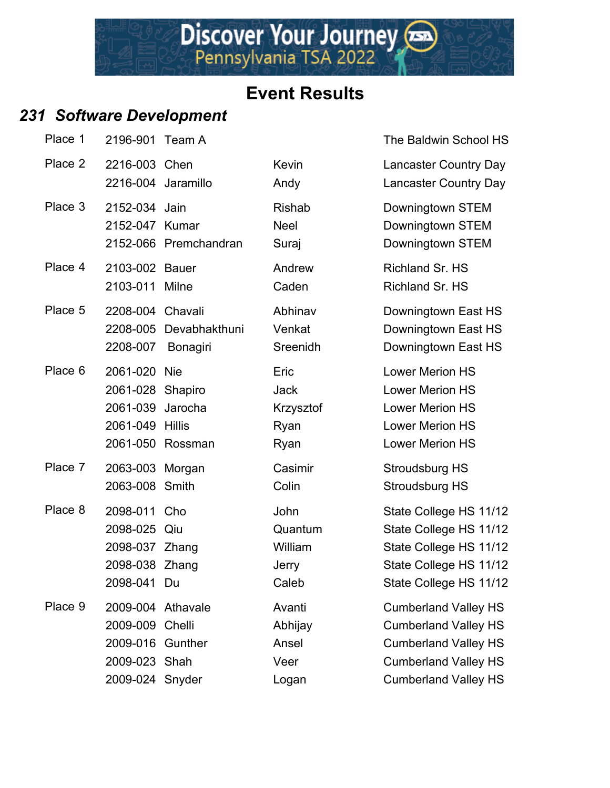#### *231 Software Development*

| Place 1 | 2196-901 Team A                                                                              |                                           |                                                  | The Baldwin School                                                                                                                                 |
|---------|----------------------------------------------------------------------------------------------|-------------------------------------------|--------------------------------------------------|----------------------------------------------------------------------------------------------------------------------------------------------------|
| Place 2 | 2216-003 Chen<br>2216-004 Jaramillo                                                          |                                           | <b>Kevin</b><br>Andy                             | Lancaster Country D<br>Lancaster Country D                                                                                                         |
| Place 3 | 2152-034 Jain<br>2152-047 Kumar                                                              | 2152-066 Premchandran                     | <b>Rishab</b><br><b>Neel</b><br>Suraj            | Downingtown STEM<br>Downingtown STEM<br>Downingtown STEM                                                                                           |
| Place 4 | 2103-002 Bauer<br>2103-011                                                                   | Milne                                     | Andrew<br>Caden                                  | Richland Sr. HS<br>Richland Sr. HS                                                                                                                 |
| Place 5 | 2208-004 Chavali<br>2208-007                                                                 | 2208-005 Devabhakthuni<br><b>Bonagiri</b> | Abhinav<br>Venkat<br>Sreenidh                    | Downingtown East H<br>Downingtown East H<br>Downingtown East H                                                                                     |
| Place 6 | 2061-020<br>2061-028 Shapiro<br>2061-039<br>2061-049 Hillis<br>2061-050                      | <b>Nie</b><br>Jarocha<br>Rossman          | Eric<br><b>Jack</b><br>Krzysztof<br>Ryan<br>Ryan | <b>Lower Merion HS</b><br><b>Lower Merion HS</b><br><b>Lower Merion HS</b><br><b>Lower Merion HS</b><br><b>Lower Merion HS</b>                     |
| Place 7 | 2063-003 Morgan<br>2063-008 Smith                                                            |                                           | Casimir<br>Colin                                 | Stroudsburg HS<br>Stroudsburg HS                                                                                                                   |
| Place 8 | 2098-011<br>2098-025 Qiu<br>2098-037 Zhang<br>2098-038 Zhang<br>2098-041 Du                  | Cho                                       | John<br>Quantum<br>William<br>Jerry<br>Caleb     | State College HS 11<br>State College HS 11<br>State College HS 11<br>State College HS 11<br>State College HS 11                                    |
| Place 9 | 2009-004 Athavale<br>2009-009 Chelli<br>2009-016 Gunther<br>2009-023 Shah<br>2009-024 Snyder |                                           | Avanti<br>Abhijay<br>Ansel<br>Veer<br>Logan      | <b>Cumberland Valley H</b><br><b>Cumberland Valley I</b><br><b>Cumberland Valley H</b><br><b>Cumberland Valley I</b><br><b>Cumberland Valley H</b> |
|         |                                                                                              |                                           |                                                  |                                                                                                                                                    |

The Baldwin School HS

**Place 2 2316-2 2216-2 2316-2 23216-003 Chen Kevin Lancaster Country Day** Andy Lancaster Country Day

Abhinav Downingtown East HS Venkat Downingtown East HS Sreenidh Downingtown East HS

John State College HS 11/12 Quantum State College HS 11/12 William State College HS 11/12 Jerry State College HS 11/12 Caleb State College HS 11/12

Avanti Cumberland Valley HS Abhijay Cumberland Valley HS Ansel Cumberland Valley HS Veer Cumberland Valley HS Logan Cumberland Valley HS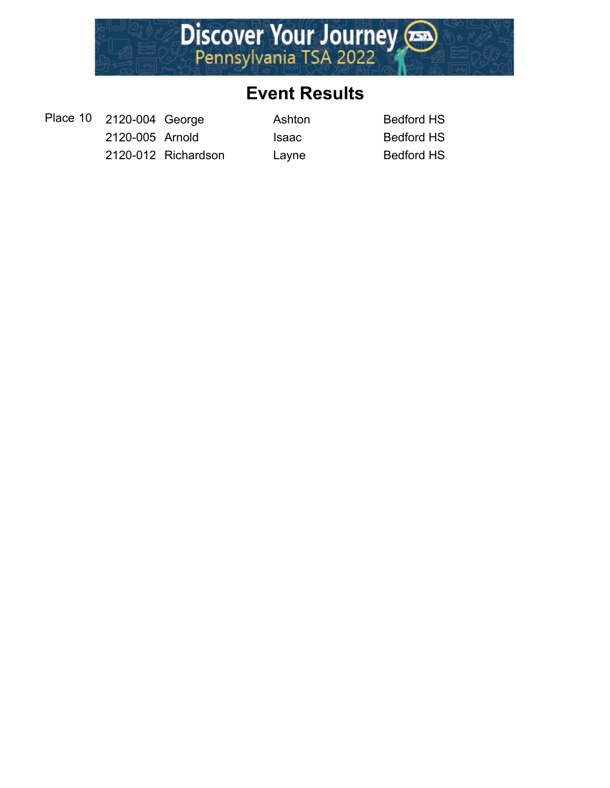

Place 10 2120-004 George Ashton Bedford HS 2120-005 Arnold Isaac Bedford HS 2120-012 Richardson Layne Bedford HS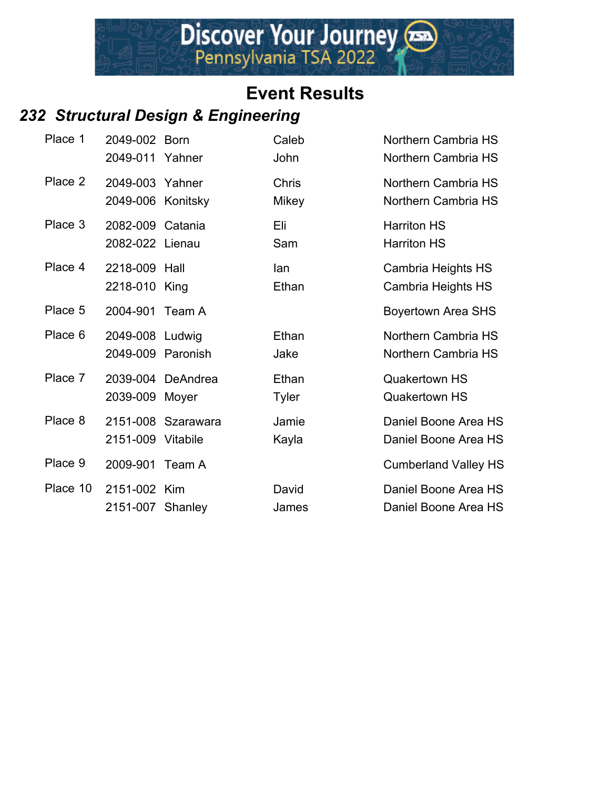#### *232 Structural Design & Engineering*

| Place 1  | 2049-002 Born<br>2049-011 Yahner     |                    | Caleb<br>John                | Northern Cambria HS<br>Northern Cambria HS   |
|----------|--------------------------------------|--------------------|------------------------------|----------------------------------------------|
| Place 2  | 2049-003 Yahner<br>2049-006 Konitsky |                    | <b>Chris</b><br><b>Mikey</b> | Northern Cambria HS<br>Northern Cambria HS   |
| Place 3  | 2082-009 Catania<br>2082-022 Lienau  |                    | Eli<br>Sam                   | <b>Harriton HS</b><br><b>Harriton HS</b>     |
| Place 4  | 2218-009 Hall<br>2218-010 King       |                    | lan<br>Ethan                 | Cambria Heights HS<br>Cambria Heights HS     |
| Place 5  | 2004-901 Team A                      |                    |                              | <b>Boyertown Area SHS</b>                    |
| Place 6  | 2049-008 Ludwig<br>2049-009 Paronish |                    | Ethan<br>Jake                | Northern Cambria HS<br>Northern Cambria HS   |
| Place 7  | 2039-009 Moyer                       | 2039-004 DeAndrea  | Ethan<br><b>Tyler</b>        | <b>Quakertown HS</b><br><b>Quakertown HS</b> |
| Place 8  | 2151-009 Vitabile                    | 2151-008 Szarawara | Jamie<br>Kayla               | Daniel Boone Area HS<br>Daniel Boone Area HS |
| Place 9  | 2009-901 Team A                      |                    |                              | <b>Cumberland Valley HS</b>                  |
| Place 10 | 2151-002 Kim<br>2151-007 Shanley     |                    | David<br>James               | Daniel Boone Area HS<br>Daniel Boone Area HS |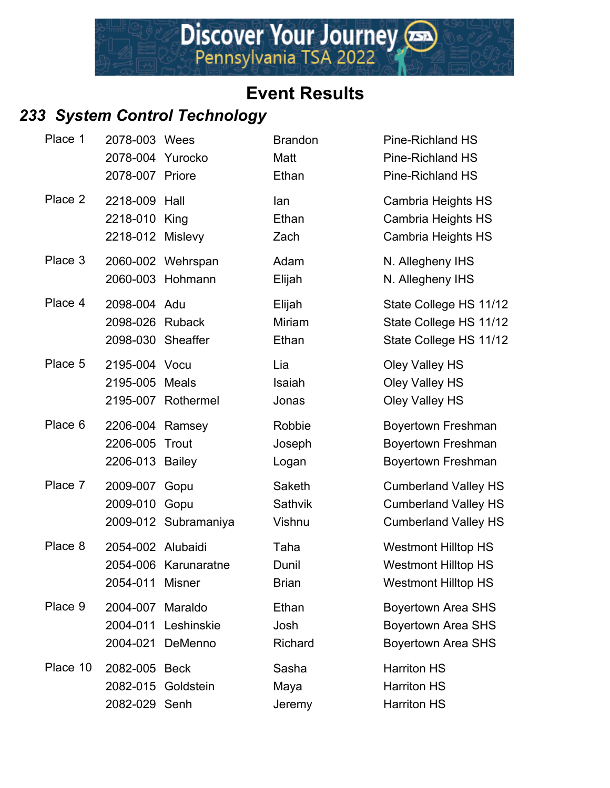#### *233 System Control Technology*

| Place 1  | 2078-003 Wees<br>2078-004 Yurocko<br>2078-007 Priore |                                       | <b>Brandon</b><br>Matt<br>Ethan | <b>Pine-Richland HS</b><br><b>Pine-Richland HS</b><br><b>Pine-Richland HS</b>             |
|----------|------------------------------------------------------|---------------------------------------|---------------------------------|-------------------------------------------------------------------------------------------|
| Place 2  | 2218-009 Hall<br>2218-010 King<br>2218-012 Mislevy   |                                       | lan<br>Ethan<br>Zach            | <b>Cambria Heights HS</b><br>Cambria Heights HS<br><b>Cambria Heights HS</b>              |
| Place 3  |                                                      | 2060-002 Wehrspan<br>2060-003 Hohmann | Adam<br>Elijah                  | N. Allegheny IHS<br>N. Allegheny IHS                                                      |
| Place 4  | 2098-004 Adu<br>2098-026 Ruback<br>2098-030 Sheaffer |                                       | Elijah<br>Miriam<br>Ethan       | State College HS 11/12<br>State College HS 11/12<br>State College HS 11/12                |
| Place 5  | 2195-004 Vocu<br>2195-005 Meals                      | 2195-007 Rothermel                    | Lia<br>Isaiah<br>Jonas          | Oley Valley HS<br>Oley Valley HS<br>Oley Valley HS                                        |
| Place 6  | 2206-004 Ramsey<br>2206-005<br>2206-013 Bailey       | Trout                                 | Robbie<br>Joseph<br>Logan       | Boyertown Freshman<br>Boyertown Freshman<br>Boyertown Freshman                            |
| Place 7  | 2009-007 Gopu<br>2009-010 Gopu                       | 2009-012 Subramaniya                  | Saketh<br>Sathvik<br>Vishnu     | <b>Cumberland Valley HS</b><br><b>Cumberland Valley HS</b><br><b>Cumberland Valley HS</b> |
| Place 8  | 2054-002 Alubaidi<br>2054-011 Misner                 | 2054-006 Karunaratne                  | Taha<br>Dunil<br><b>Brian</b>   | <b>Westmont Hilltop HS</b><br><b>Westmont Hilltop HS</b><br><b>Westmont Hilltop HS</b>    |
| Place 9  | 2004-007 Maraldo<br>2004-011<br>2004-021             | Leshinskie<br>DeMenno                 | Ethan<br>Josh<br>Richard        | <b>Boyertown Area SHS</b><br><b>Boyertown Area SHS</b><br><b>Boyertown Area SHS</b>       |
| Place 10 | 2082-005 Beck<br>2082-015<br>2082-029 Senh           | Goldstein                             | Sasha<br>Maya<br>Jeremy         | <b>Harriton HS</b><br><b>Harriton HS</b><br><b>Harriton HS</b>                            |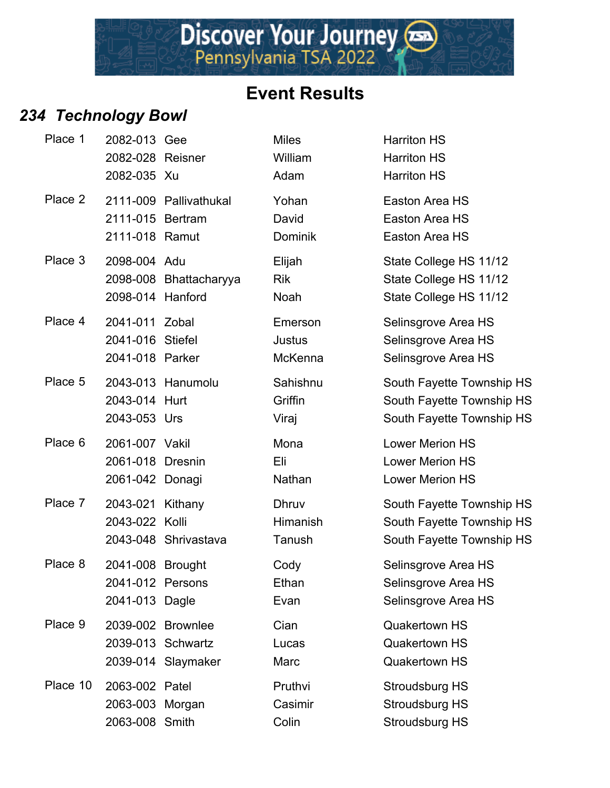Discover Your Journey

#### *234 Technology Bowl*

| Place 1  | 2082-013 Gee<br>2082-028 Reisner<br>2082-035 Xu        |                                                              | <b>Miles</b><br>William<br>Adam    | <b>Harriton HS</b><br><b>Harriton HS</b><br><b>Harriton HS</b>    |
|----------|--------------------------------------------------------|--------------------------------------------------------------|------------------------------------|-------------------------------------------------------------------|
| Place 2  | 2111-015 Bertram<br>2111-018 Ramut                     | 2111-009 Pallivathukal                                       | Yohan<br>David<br><b>Dominik</b>   | <b>Easton Area</b><br><b>Easton Area</b><br><b>Easton Area</b>    |
| Place 3  | 2098-004 Adu<br>2098-014 Hanford                       | 2098-008 Bhattacharyya                                       | Elijah<br><b>Rik</b><br>Noah       | <b>State Colleg</b><br><b>State Colleg</b><br><b>State Colleg</b> |
| Place 4  | 2041-011 Zobal<br>2041-016 Stiefel<br>2041-018 Parker  |                                                              | Emerson<br>Justus<br>McKenna       | Selinsgrove<br>Selinsgrove<br>Selinsgrove                         |
| Place 5  | 2043-014 Hurt<br>2043-053 Urs                          | 2043-013 Hanumolu                                            | Sahishnu<br>Griffin<br>Viraj       | South Fayet<br>South Fayet<br>South Fayet                         |
| Place 6  | 2061-007 Vakil<br>2061-018 Dresnin<br>2061-042 Donagi  |                                                              | Mona<br>Eli<br>Nathan              | <b>Lower Merio</b><br><b>Lower Merio</b><br><b>Lower Merio</b>    |
| Place 7  | 2043-021 Kithany<br>2043-022 Kolli                     | 2043-048 Shrivastava                                         | <b>Dhruv</b><br>Himanish<br>Tanush | South Fayet<br>South Fayet<br>South Fayet                         |
| Place 8  | 2041-008 Brought<br>2041-012 Persons<br>2041-013 Dagle |                                                              | Cody<br>Ethan<br>Evan              | Selinsgrove<br>Selinsgrove<br>Selinsgrove                         |
| Place 9  |                                                        | 2039-002 Brownlee<br>2039-013 Schwartz<br>2039-014 Slaymaker | Cian<br>Lucas<br>Marc              | Quakertowr<br>Quakertowr<br>Quakertowr                            |
| Place 10 | 2063-002 Patel<br>2063-003 Morgan<br>2063-008 Smith    |                                                              | Pruthvi<br>Casimir<br>Colin        | Stroudsburg<br>Stroudsburg<br>Stroudsburg                         |

| <b>Miles</b> | <b>Harriton HS</b>     |
|--------------|------------------------|
| William      | <b>Harriton HS</b>     |
| Adam         | <b>Harriton HS</b>     |
| Yohan        | Easton Area HS         |
| David        | <b>Easton Area HS</b>  |
| Dominik      | Easton Area HS         |
| Elijah       | State College HS 11/   |
| <b>Rik</b>   | State College HS 11/   |
| Noah         | State College HS 11/   |
| Emerson      | Selinsgrove Area HS    |
| Justus       | Selinsgrove Area HS    |
| McKenna      | Selinsgrove Area HS    |
| Sahishnu     | South Fayette Towns    |
| Griffin      | South Fayette Towns    |
| Viraj        | South Fayette Towns    |
| Mona         | <b>Lower Merion HS</b> |
| Eli          | <b>Lower Merion HS</b> |
| Nathan       | <b>Lower Merion HS</b> |
| <b>Dhruv</b> | South Fayette Towns    |
| Himanish     | South Fayette Towns    |
| Tanush       | South Fayette Towns    |
| Cody         | Selinsgrove Area HS    |
| Ethan        | Selinsgrove Area HS    |
| Evan         | Selinsgrove Area HS    |
| Cian         | <b>Quakertown HS</b>   |
| Lucas        | <b>Quakertown HS</b>   |
| Marc         | <b>Quakertown HS</b>   |
| Pruthvi      | Stroudsburg HS         |
| Casimir      | <b>Stroudsburg HS</b>  |
| Colin        | <b>Stroudsburg HS</b>  |

Elijah State College HS 11/12 2098-008 Brace College HS 11/12 Noah State College HS 11/12

Sahishnu South Fayette Township HS Griffin **2044** South Fayette Township HS Viraj South Fayette Township HS

**Dhruv South Fayette Township HS** Himanish South Fayette Township HS Tanush South Fayette Township HS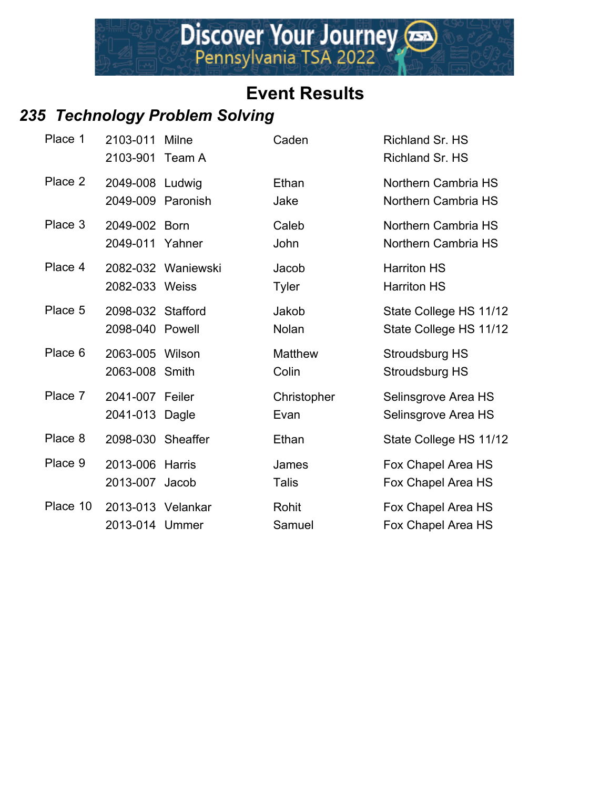## *235 Technology Problem Solving*

| Place 1  | 2103-011 Milne<br>2103-901 Team A    |                    | Caden                  | Richland Sr. HS<br>Richland Sr. HS               |
|----------|--------------------------------------|--------------------|------------------------|--------------------------------------------------|
| Place 2  | 2049-008 Ludwig<br>2049-009 Paronish |                    | Ethan<br>Jake          | Northern Cambria HS<br>Northern Cambria HS       |
| Place 3  | 2049-002 Born<br>2049-011 Yahner     |                    | Caleb<br>John          | Northern Cambria HS<br>Northern Cambria HS       |
| Place 4  | 2082-033 Weiss                       | 2082-032 Waniewski | Jacob<br><b>Tyler</b>  | <b>Harriton HS</b><br><b>Harriton HS</b>         |
| Place 5  | 2098-032 Stafford<br>2098-040 Powell |                    | Jakob<br>Nolan         | State College HS 11/12<br>State College HS 11/12 |
| Place 6  | 2063-005 Wilson<br>2063-008 Smith    |                    | Matthew<br>Colin       | Stroudsburg HS<br>Stroudsburg HS                 |
| Place 7  | 2041-007 Feiler<br>2041-013 Dagle    |                    | Christopher<br>Evan    | Selinsgrove Area HS<br>Selinsgrove Area HS       |
| Place 8  | 2098-030 Sheaffer                    |                    | Ethan                  | State College HS 11/12                           |
| Place 9  | 2013-006 Harris<br>2013-007 Jacob    |                    | James<br><b>Talis</b>  | Fox Chapel Area HS<br>Fox Chapel Area HS         |
| Place 10 | 2013-013 Velankar<br>2013-014 Ummer  |                    | <b>Rohit</b><br>Samuel | Fox Chapel Area HS<br>Fox Chapel Area HS         |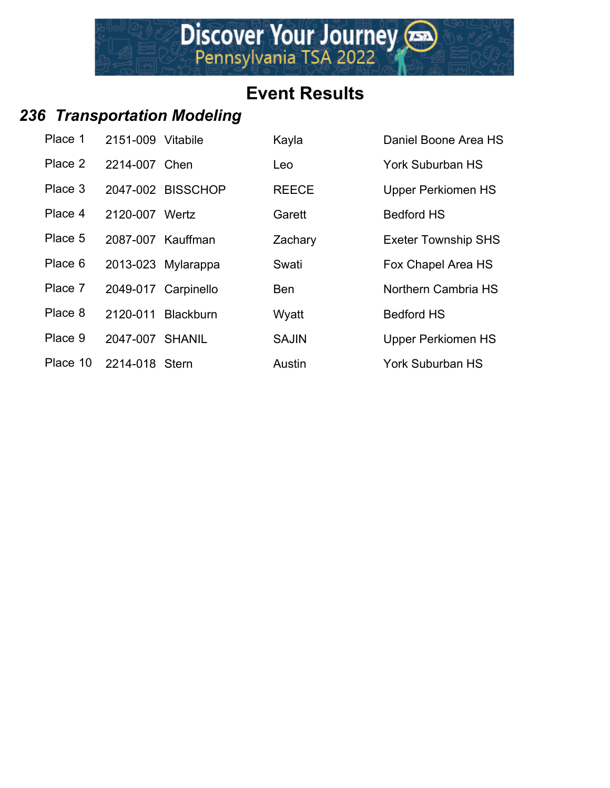## *236 Transportation Modeling*

| Place 1  | 2151-009 Vitabile |                     | Kayla        | Daniel Boone Area HS       |
|----------|-------------------|---------------------|--------------|----------------------------|
| Place 2  | 2214-007 Chen     |                     | Leo          | York Suburban HS           |
| Place 3  |                   | 2047-002 BISSCHOP   | <b>REECE</b> | <b>Upper Perkiomen HS</b>  |
| Place 4  | 2120-007 Wertz    |                     | Garett       | <b>Bedford HS</b>          |
| Place 5  |                   | 2087-007 Kauffman   | Zachary      | <b>Exeter Township SHS</b> |
| Place 6  |                   | 2013-023 Mylarappa  | Swati        | Fox Chapel Area HS         |
| Place 7  |                   | 2049-017 Carpinello | <b>Ben</b>   | Northern Cambria HS        |
| Place 8  | 2120-011          | <b>Blackburn</b>    | Wyatt        | <b>Bedford HS</b>          |
| Place 9  | 2047-007 SHANIL   |                     | <b>SAJIN</b> | <b>Upper Perkiomen HS</b>  |
| Place 10 | 2214-018 Stern    |                     | Austin       | <b>York Suburban HS</b>    |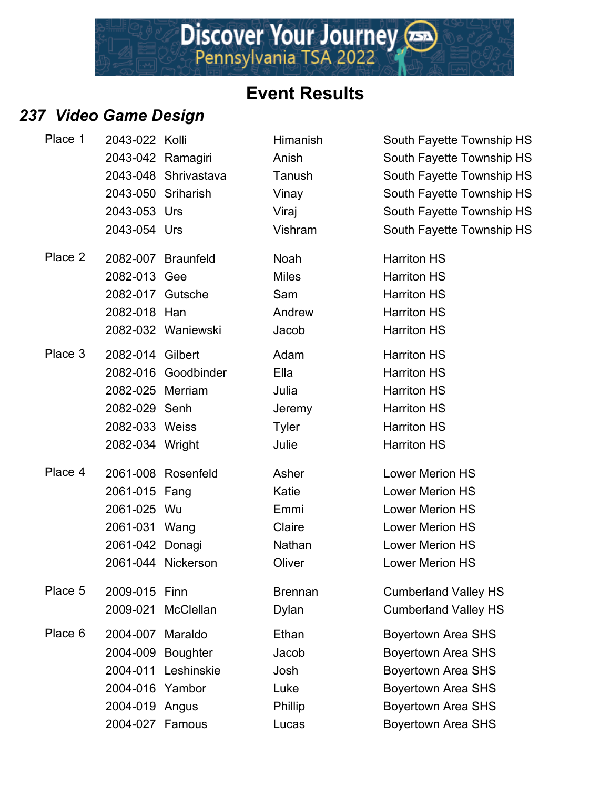## *237 Video Game Design*

| Place 1 | 2043-022 Kolli     |                      | Himanish       | South Fayette Township HS   |
|---------|--------------------|----------------------|----------------|-----------------------------|
|         |                    | 2043-042 Ramagiri    | Anish          | South Fayette Township HS   |
|         |                    | 2043-048 Shrivastava | Tanush         | South Fayette Township HS   |
|         | 2043-050 Sriharish |                      | Vinay          | South Fayette Township HS   |
|         | 2043-053 Urs       |                      | Viraj          | South Fayette Township HS   |
|         | 2043-054 Urs       |                      | Vishram        | South Fayette Township HS   |
| Place 2 |                    | 2082-007 Braunfeld   | Noah           | <b>Harriton HS</b>          |
|         | 2082-013 Gee       |                      | <b>Miles</b>   | <b>Harriton HS</b>          |
|         | 2082-017 Gutsche   |                      | Sam            | <b>Harriton HS</b>          |
|         | 2082-018 Han       |                      | Andrew         | <b>Harriton HS</b>          |
|         |                    | 2082-032 Waniewski   | Jacob          | <b>Harriton HS</b>          |
| Place 3 | 2082-014 Gilbert   |                      | Adam           | <b>Harriton HS</b>          |
|         |                    | 2082-016 Goodbinder  | Ella           | <b>Harriton HS</b>          |
|         | 2082-025 Merriam   |                      | Julia          | <b>Harriton HS</b>          |
|         | 2082-029 Senh      |                      | Jeremy         | <b>Harriton HS</b>          |
|         | 2082-033 Weiss     |                      | <b>Tyler</b>   | <b>Harriton HS</b>          |
|         | 2082-034 Wright    |                      | Julie          | <b>Harriton HS</b>          |
| Place 4 |                    | 2061-008 Rosenfeld   | Asher          | <b>Lower Merion HS</b>      |
|         | 2061-015 Fang      |                      | Katie          | <b>Lower Merion HS</b>      |
|         | 2061-025 Wu        |                      | Emmi           | <b>Lower Merion HS</b>      |
|         | 2061-031 Wang      |                      | Claire         | <b>Lower Merion HS</b>      |
|         | 2061-042 Donagi    |                      | Nathan         | <b>Lower Merion HS</b>      |
|         |                    | 2061-044 Nickerson   | Oliver         | <b>Lower Merion HS</b>      |
| Place 5 | 2009-015 Finn      |                      | <b>Brennan</b> | <b>Cumberland Valley HS</b> |
|         |                    | 2009-021 McClellan   | Dylan          | <b>Cumberland Valley HS</b> |
| Place 6 | 2004-007 Maraldo   |                      | Ethan          | <b>Boyertown Area SHS</b>   |
|         | 2004-009           | <b>Boughter</b>      | Jacob          | <b>Boyertown Area SHS</b>   |
|         |                    | 2004-011 Leshinskie  | Josh           | <b>Boyertown Area SHS</b>   |
|         | 2004-016 Yambor    |                      | Luke           | <b>Boyertown Area SHS</b>   |
|         | 2004-019 Angus     |                      | Phillip        | <b>Boyertown Area SHS</b>   |
|         | 2004-027 Famous    |                      | Lucas          | <b>Boyertown Area SHS</b>   |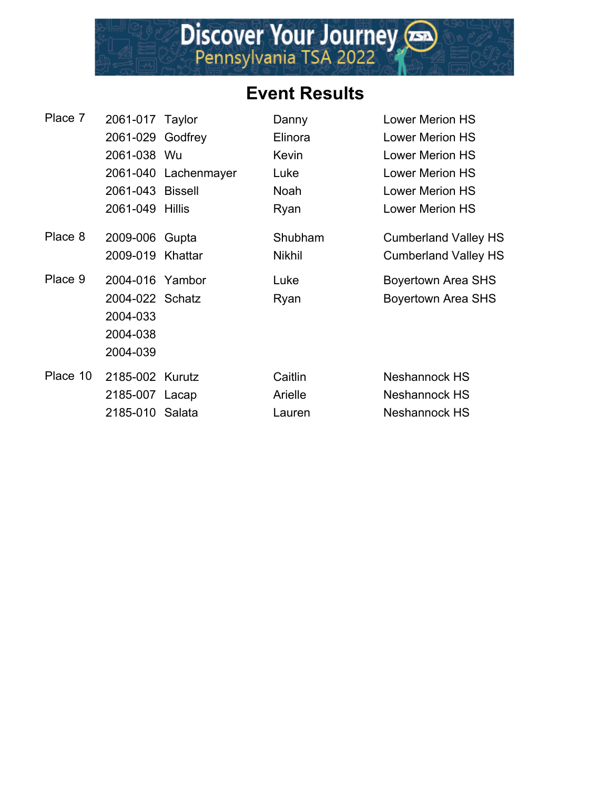

| Place 7  | 2061-017 Taylor  |                      | Danny         | <b>Lower Merion HS</b>      |
|----------|------------------|----------------------|---------------|-----------------------------|
|          | 2061-029 Godfrey |                      | Elinora       | Lower Merion HS             |
|          | 2061-038 Wu      |                      | Kevin         | Lower Merion HS             |
|          |                  | 2061-040 Lachenmayer | Luke          | Lower Merion HS             |
|          | 2061-043 Bissell |                      | <b>Noah</b>   | Lower Merion HS             |
|          | 2061-049 Hillis  |                      | Ryan          | Lower Merion HS             |
| Place 8  | 2009-006 Gupta   |                      | Shubham       | <b>Cumberland Valley HS</b> |
|          | 2009-019 Khattar |                      | <b>Nikhil</b> | <b>Cumberland Valley HS</b> |
| Place 9  | 2004-016 Yambor  |                      | Luke          | <b>Boyertown Area SHS</b>   |
|          | 2004-022 Schatz  |                      | Ryan          | Boyertown Area SHS          |
|          | 2004-033         |                      |               |                             |
|          | 2004-038         |                      |               |                             |
|          | 2004-039         |                      |               |                             |
| Place 10 | 2185-002 Kurutz  |                      | Caitlin       | Neshannock HS               |
|          | 2185-007 Lacap   |                      | Arielle       | Neshannock HS               |
|          | 2185-010 Salata  |                      | Lauren        | Neshannock HS               |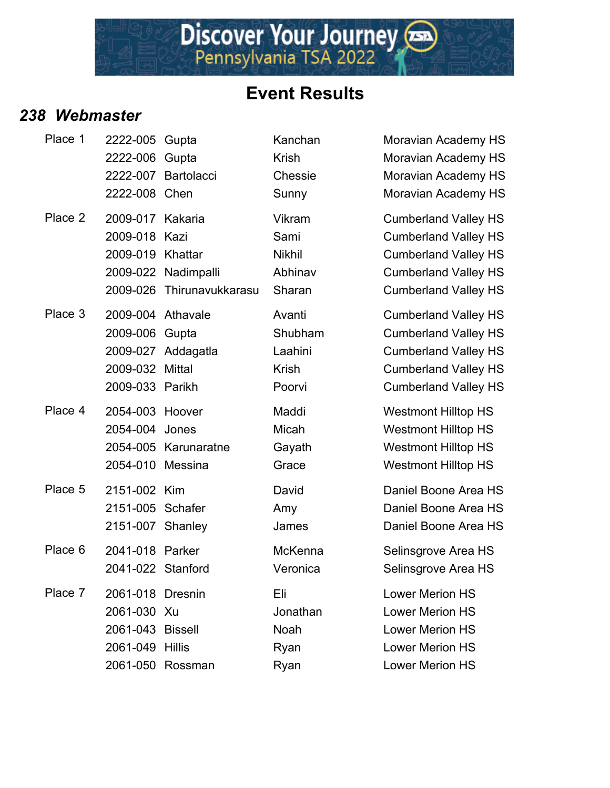

Discover Your Journey

#### *238 Webmaster*

| Place 1 | 2222-005<br>2222-006<br>2222-008 Chen                                              | Gupta<br>Gupta<br>2222-007 Bartolacci              | Kanchan<br><b>Krish</b><br>Chessie<br>Sunny          | Moravian Academy HS<br>Moravian Academy HS<br>Moravian Academy HS<br>Moravian Academy HS                                                                |
|---------|------------------------------------------------------------------------------------|----------------------------------------------------|------------------------------------------------------|---------------------------------------------------------------------------------------------------------------------------------------------------------|
| Place 2 | 2009-017 Kakaria<br>2009-018 Kazi<br>2009-019<br>2009-026                          | Khattar<br>2009-022 Nadimpalli<br>Thirunavukkarasu | Vikram<br>Sami<br><b>Nikhil</b><br>Abhinav<br>Sharan | <b>Cumberland Valley HS</b><br><b>Cumberland Valley HS</b><br><b>Cumberland Valley HS</b><br><b>Cumberland Valley HS</b><br><b>Cumberland Valley HS</b> |
| Place 3 | 2009-004 Athavale<br>2009-006 Gupta<br>2009-032 Mittal<br>2009-033 Parikh          | 2009-027 Addagatla                                 | Avanti<br>Shubham<br>Laahini<br>Krish<br>Poorvi      | <b>Cumberland Valley HS</b><br><b>Cumberland Valley HS</b><br><b>Cumberland Valley HS</b><br><b>Cumberland Valley HS</b><br><b>Cumberland Valley HS</b> |
| Place 4 | 2054-003 Hoover<br>2054-004 Jones<br>2054-010 Messina                              | 2054-005 Karunaratne                               | Maddi<br>Micah<br>Gayath<br>Grace                    | <b>Westmont Hilltop HS</b><br><b>Westmont Hilltop HS</b><br><b>Westmont Hilltop HS</b><br><b>Westmont Hilltop HS</b>                                    |
| Place 5 | 2151-002 Kim<br>2151-005 Schafer<br>2151-007 Shanley                               |                                                    | David<br>Amy<br>James                                | Daniel Boone Area HS<br>Daniel Boone Area HS<br>Daniel Boone Area HS                                                                                    |
| Place 6 | 2041-018 Parker<br>2041-022 Stanford                                               |                                                    | McKenna<br>Veronica                                  | Selinsgrove Area HS<br>Selinsgrove Area HS                                                                                                              |
| Place 7 | 2061-018 Dresnin<br>2061-030 Xu<br>2061-043 Bissell<br>2061-049 Hillis<br>2061-050 | Rossman                                            | Eli<br>Jonathan<br>Noah<br>Ryan<br>Ryan              | <b>Lower Merion HS</b><br><b>Lower Merion HS</b><br><b>Lower Merion HS</b><br><b>Lower Merion HS</b><br><b>Lower Merion HS</b>                          |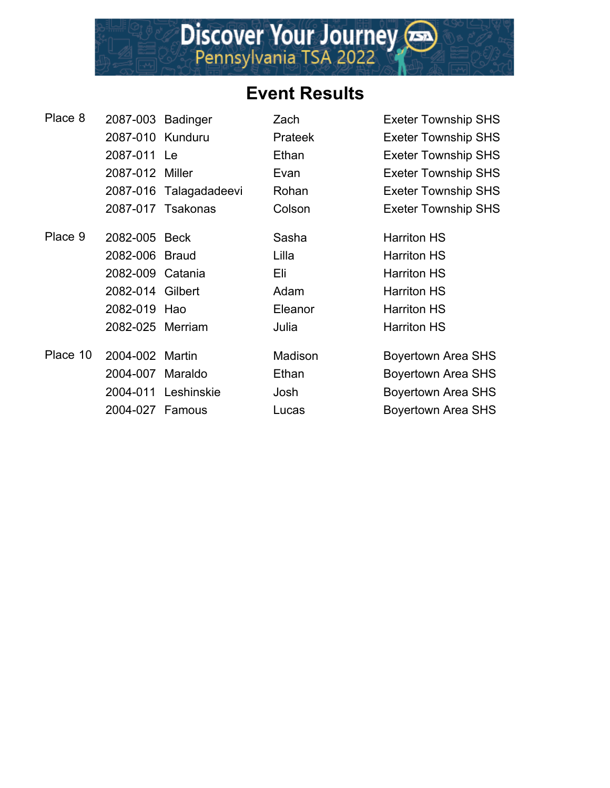

| Place 8  | 2087-003 Badinger |                        | Zach           | <b>Exeter Township SHS</b> |
|----------|-------------------|------------------------|----------------|----------------------------|
|          | 2087-010 Kunduru  |                        | <b>Prateek</b> | <b>Exeter Township SHS</b> |
|          | 2087-011 Le       |                        | Ethan          | <b>Exeter Township SHS</b> |
|          | 2087-012 Miller   |                        | Evan           | <b>Exeter Township SHS</b> |
|          |                   | 2087-016 Talagadadeevi | Rohan          | <b>Exeter Township SHS</b> |
|          |                   | 2087-017 Tsakonas      | Colson         | <b>Exeter Township SHS</b> |
| Place 9  | 2082-005 Beck     |                        | Sasha          | <b>Harriton HS</b>         |
|          | 2082-006 Braud    |                        | Lilla          | <b>Harriton HS</b>         |
|          | 2082-009 Catania  |                        | Eli            | <b>Harriton HS</b>         |
|          | 2082-014 Gilbert  |                        | Adam           | <b>Harriton HS</b>         |
|          | 2082-019 Hao      |                        | Eleanor        | <b>Harriton HS</b>         |
|          | 2082-025 Merriam  |                        | Julia          | <b>Harriton HS</b>         |
| Place 10 | 2004-002          | Martin                 | Madison        | <b>Boyertown Area SHS</b>  |
|          | 2004-007          | Maraldo                | Ethan          | <b>Boyertown Area SHS</b>  |
|          |                   | 2004-011 Leshinskie    | Josh           | <b>Boyertown Area SHS</b>  |
|          | 2004-027 Famous   |                        | Lucas          | <b>Boyertown Area SHS</b>  |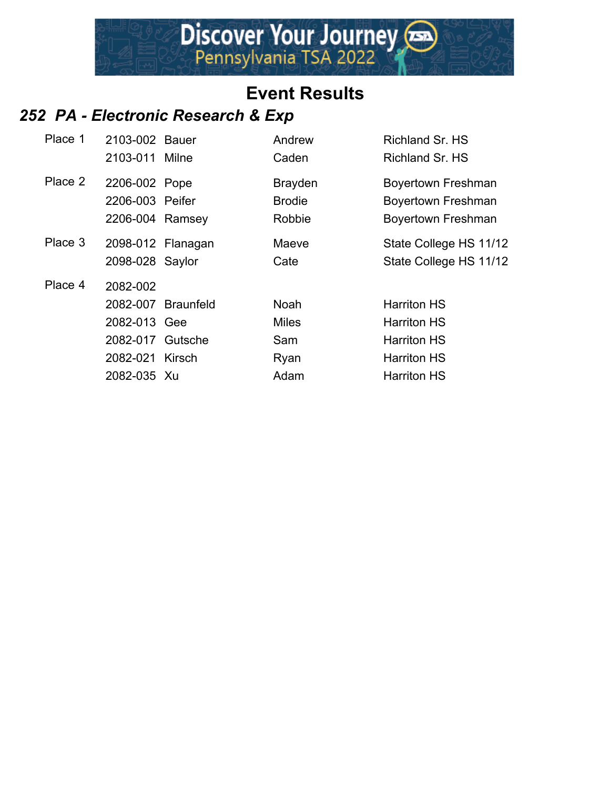

#### *252 PA - Electronic Research & Exp*

| Place 1 | 2103-002 Bauer<br>2103-011 Milne                                               |                    | Andrew<br>Caden                                    | Richland Sr. HS<br>Richland Sr. HS                                                                         |
|---------|--------------------------------------------------------------------------------|--------------------|----------------------------------------------------|------------------------------------------------------------------------------------------------------------|
| Place 2 | 2206-002 Pope<br>2206-003 Peifer<br>2206-004 Ramsey                            |                    | <b>Brayden</b><br><b>Brodie</b><br>Robbie          | <b>Boyertown Freshman</b><br><b>Boyertown Freshman</b><br><b>Boyertown Freshman</b>                        |
| Place 3 | 2098-012 Flanagan<br>2098-028 Saylor                                           |                    | Maeve<br>Cate                                      | State College HS 11/12<br>State College HS 11/12                                                           |
| Place 4 | 2082-002<br>2082-013 Gee<br>2082-017 Gutsche<br>2082-021 Kirsch<br>2082-035 Xu | 2082-007 Braunfeld | <b>Noah</b><br><b>Miles</b><br>Sam<br>Ryan<br>Adam | <b>Harriton HS</b><br><b>Harriton HS</b><br><b>Harriton HS</b><br><b>Harriton HS</b><br><b>Harriton HS</b> |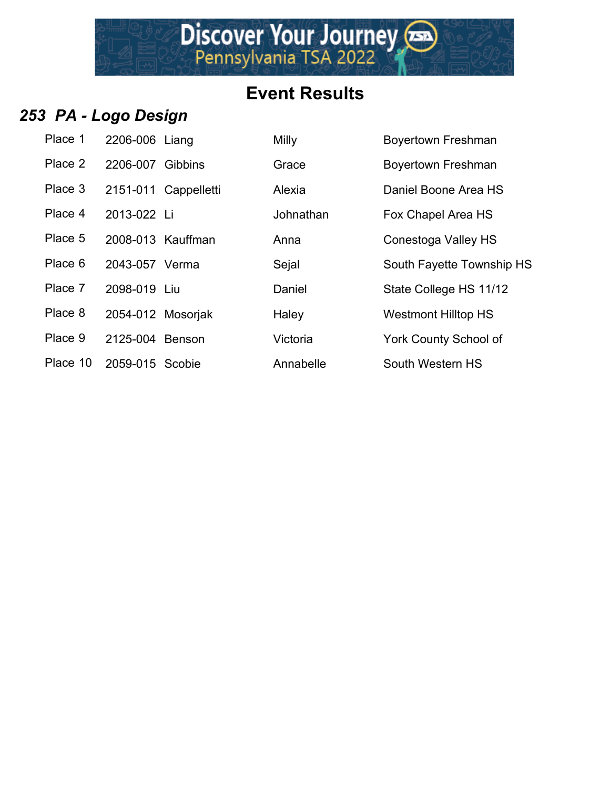Discover Your Journey

#### *253 PA - Logo Design*

| Place 1  | 2206-006 Liang    |  |
|----------|-------------------|--|
| Place 2  | 2206-007 Gibbins  |  |
| Place 3  | 2151-011 Cappelle |  |
| Place 4  | 2013-022 Li       |  |
| Place 5  | 2008-013 Kauffma  |  |
| Place 6  | 2043-057 Verma    |  |
| Place 7  | 2098-019 Liu      |  |
| Place 8  | 2054-012 Mosorjal |  |
| Place 9  | 2125-004 Benson   |  |
| Place 10 | $2059-015$ Scobie |  |

| Place 1  | 2206-006 Liang    |                      | Milly     | <b>Boyertown Freshman</b>    |
|----------|-------------------|----------------------|-----------|------------------------------|
| Place 2  | 2206-007 Gibbins  |                      | Grace     | Boyertown Freshman           |
| Place 3  |                   | 2151-011 Cappelletti | Alexia    | Daniel Boone Area HS         |
| Place 4  | 2013-022 Li       |                      | Johnathan | Fox Chapel Area HS           |
| Place 5  | 2008-013 Kauffman |                      | Anna      | Conestoga Valley HS          |
| Place 6  | 2043-057 Verma    |                      | Sejal     | South Fayette Township HS    |
| Place 7  | 2098-019 Liu      |                      | Daniel    | State College HS 11/12       |
| Place 8  | 2054-012 Mosoriak |                      | Haley     | <b>Westmont Hilltop HS</b>   |
| Place 9  | 2125-004 Benson   |                      | Victoria  | <b>York County School of</b> |
| Place 10 | 2059-015 Scobie   |                      | Annabelle | South Western HS             |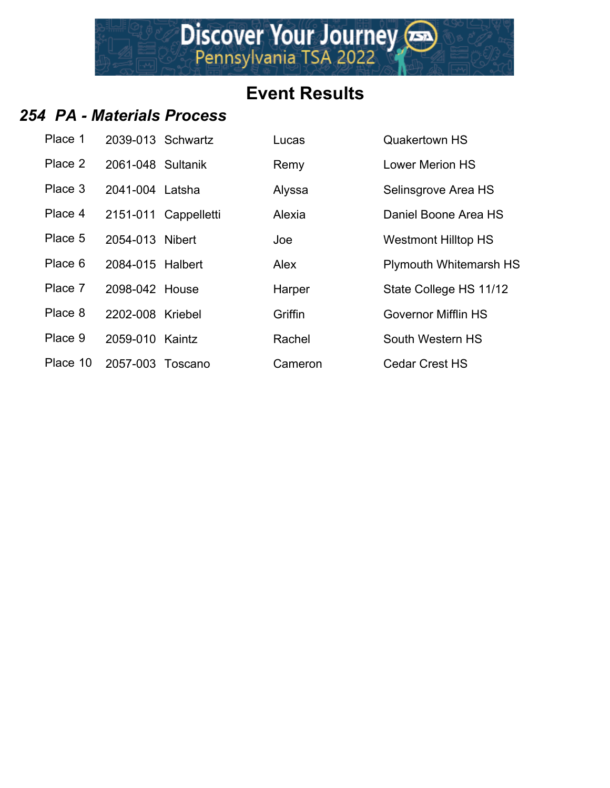Discover Your Journey

#### *254 PA - Materials Process*

| Place 1  | 2039-013 Schwartz |                      | Lucas   | <b>Quakertown HS</b>       |
|----------|-------------------|----------------------|---------|----------------------------|
| Place 2  | 2061-048 Sultanik |                      | Remy    | <b>Lower Merion HS</b>     |
| Place 3  | 2041-004 Latsha   |                      | Alyssa  | Selinsgrove Area HS        |
| Place 4  |                   | 2151-011 Cappelletti | Alexia  | Daniel Boone Area HS       |
| Place 5  | 2054-013 Nibert   |                      | Joe     | <b>Westmont Hilltop HS</b> |
| Place 6  | 2084-015 Halbert  |                      | Alex    | Plymouth Whitemarsh HS     |
| Place 7  | 2098-042 House    |                      | Harper  | State College HS 11/12     |
| Place 8  | 2202-008 Kriebel  |                      | Griffin | <b>Governor Mifflin HS</b> |
| Place 9  | 2059-010 Kaintz   |                      | Rachel  | South Western HS           |
| Place 10 | 2057-003 Toscano  |                      | Cameron | <b>Cedar Crest HS</b>      |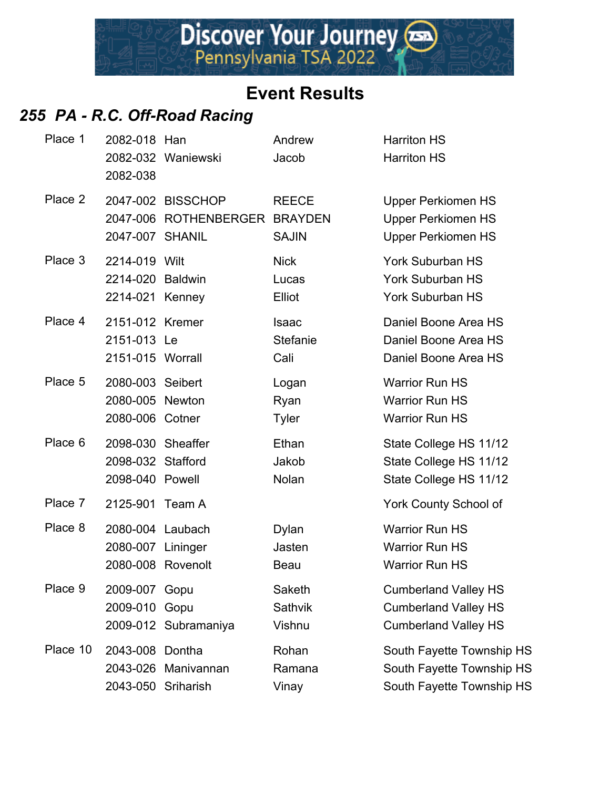#### *255 PA - R.C. Off-Road Racing*

| Place 1  | 2082-018 Han<br>2082-038                                   | 2082-032 Waniewski                                 | Andrew<br>Jacob                  | <b>Harriton HS</b><br><b>Harriton HS</b>                                                  |
|----------|------------------------------------------------------------|----------------------------------------------------|----------------------------------|-------------------------------------------------------------------------------------------|
| Place 2  | 2047-007 SHANIL                                            | 2047-002 BISSCHOP<br>2047-006 ROTHENBERGER BRAYDEN | <b>REECE</b><br><b>SAJIN</b>     | <b>Upper Perkiomen HS</b><br><b>Upper Perkiomen HS</b><br><b>Upper Perkiomen HS</b>       |
| Place 3  | 2214-019 Wilt<br>2214-020 Baldwin<br>2214-021 Kenney       |                                                    | <b>Nick</b><br>Lucas<br>Elliot   | <b>York Suburban HS</b><br><b>York Suburban HS</b><br>York Suburban HS                    |
| Place 4  | 2151-012 Kremer<br>2151-013 Le<br>2151-015 Worrall         |                                                    | <b>Isaac</b><br>Stefanie<br>Cali | Daniel Boone Area HS<br>Daniel Boone Area HS<br>Daniel Boone Area HS                      |
| Place 5  | 2080-003 Seibert<br>2080-005 Newton<br>2080-006 Cotner     |                                                    | Logan<br>Ryan<br><b>Tyler</b>    | <b>Warrior Run HS</b><br><b>Warrior Run HS</b><br><b>Warrior Run HS</b>                   |
| Place 6  | 2098-030 Sheaffer<br>2098-032 Stafford<br>2098-040 Powell  |                                                    | Ethan<br>Jakob<br>Nolan          | State College HS 11/12<br>State College HS 11/12<br>State College HS 11/12                |
| Place 7  | 2125-901 Team A                                            |                                                    |                                  | York County School of                                                                     |
| Place 8  | 2080-004 Laubach<br>2080-007 Lininger<br>2080-008 Rovenolt |                                                    | <b>Dylan</b><br>Jasten<br>Beau   | <b>Warrior Run HS</b><br><b>Warrior Run HS</b><br><b>Warrior Run HS</b>                   |
| Place 9  | 2009-007<br>2009-010                                       | Gopu<br>Gopu<br>2009-012 Subramaniya               | Saketh<br>Sathvik<br>Vishnu      | <b>Cumberland Valley HS</b><br><b>Cumberland Valley HS</b><br><b>Cumberland Valley HS</b> |
| Place 10 | 2043-008 Dontha<br>2043-026<br>2043-050 Sriharish          | Manivannan                                         | Rohan<br>Ramana<br>Vinay         | South Fayette Township HS<br>South Fayette Township HS<br>South Fayette Township HS       |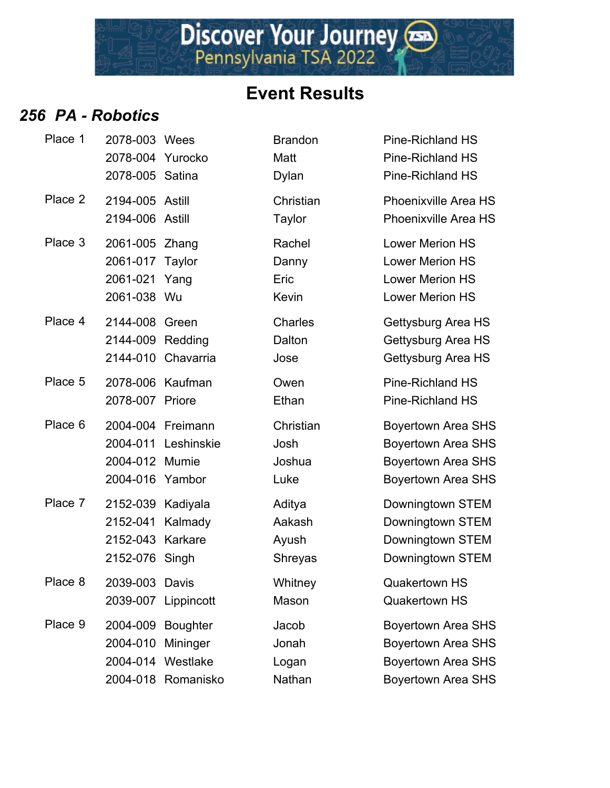

#### *256 PA - Robotics*

| Place 1 | 2078-003 Wees<br>2078-004 Yurocko<br>2078-005 Satina                |                                                              | <b>Brandon</b><br>Matt<br><b>Dylan</b>   | Pine-Richland H<br>Pine-Richland H<br>Pine-Richland H                                            |
|---------|---------------------------------------------------------------------|--------------------------------------------------------------|------------------------------------------|--------------------------------------------------------------------------------------------------|
| Place 2 | 2194-005 Astill<br>2194-006 Astill                                  |                                                              | Christian<br>Taylor                      | <b>Phoenixville Are</b><br><b>Phoenixville Are</b>                                               |
| Place 3 | 2061-005 Zhang<br>2061-017 Taylor<br>2061-021 Yang<br>2061-038 Wu   |                                                              | Rachel<br>Danny<br>Eric<br>Kevin         | Lower Merion H<br>Lower Merion H<br>Lower Merion H<br>Lower Merion H                             |
| Place 4 | 2144-008 Green<br>2144-009 Redding                                  | 2144-010 Chavarria                                           | Charles<br>Dalton<br>Jose                | Gettysburg Area<br><b>Gettysburg Area</b><br><b>Gettysburg Area</b>                              |
| Place 5 | 2078-006 Kaufman<br>2078-007 Priore                                 |                                                              | Owen<br>Ethan                            | Pine-Richland H<br>Pine-Richland H                                                               |
| Place 6 | 2004-012 Mumie<br>2004-016 Yambor                                   | 2004-004 Freimann<br>2004-011 Leshinskie                     | Christian<br>Josh<br>Joshua<br>Luke      | <b>Boyertown Area</b><br><b>Boyertown Area</b><br><b>Boyertown Area</b><br><b>Boyertown Area</b> |
| Place 7 | 2152-039 Kadiyala<br>2152-041<br>2152-043 Karkare<br>2152-076 Singh | Kalmady                                                      | Aditya<br>Aakash<br>Ayush<br>Shreyas     | Downingtown S<br>Downingtown S'<br>Downingtown S<br>Downingtown S                                |
| Place 8 | 2039-003 Davis                                                      | 2039-007 Lippincott                                          | Whitney<br>Mason                         | Quakertown HS<br><b>Quakertown HS</b>                                                            |
| Place 9 | 2004-010 Mininger                                                   | 2004-009 Boughter<br>2004-014 Westlake<br>2004-018 Romanisko | Jacob<br>Jonah<br>Logan<br><b>Nathan</b> | <b>Boyertown Area</b><br><b>Boyertown Area</b><br><b>Boyertown Area</b><br><b>Bovertown Area</b> |

| Place 1 | 2078-003 Wees<br>2078-004 Yurocko<br>2078-005 Satina              |                                           | <b>Brandon</b><br>Matt<br><b>Dylan</b> | <b>Pine-Richland HS</b><br><b>Pine-Richland HS</b><br><b>Pine-Richland HS</b>                                    |
|---------|-------------------------------------------------------------------|-------------------------------------------|----------------------------------------|------------------------------------------------------------------------------------------------------------------|
| Place 2 | 2194-005 Astill<br>2194-006 Astill                                |                                           | Christian<br>Taylor                    | <b>Phoenixville Area HS</b><br><b>Phoenixville Area HS</b>                                                       |
| Place 3 | 2061-005 Zhang<br>2061-017 Taylor<br>2061-021 Yang<br>2061-038 Wu |                                           | Rachel<br>Danny<br>Eric<br>Kevin       | <b>Lower Merion HS</b><br><b>Lower Merion HS</b><br><b>Lower Merion HS</b><br><b>Lower Merion HS</b>             |
| Place 4 | 2144-008<br>2144-009 Redding                                      | Green<br>2144-010 Chavarria               | Charles<br>Dalton<br>Jose              | Gettysburg Area HS<br>Gettysburg Area HS<br>Gettysburg Area HS                                                   |
| Place 5 | 2078-006<br>2078-007                                              | Kaufman<br>Priore                         | Owen<br>Ethan                          | <b>Pine-Richland HS</b><br><b>Pine-Richland HS</b>                                                               |
| Place 6 | 2004-011<br>2004-012 Mumie<br>2004-016                            | 2004-004 Freimann<br>Leshinskie<br>Yambor | Christian<br>Josh<br>Joshua<br>Luke    | <b>Boyertown Area SHS</b><br><b>Boyertown Area SHS</b><br>Boyertown Area SHS<br><b>Boyertown Area SHS</b>        |
| Place 7 | 2152-039 Kadiyala<br>2152-041<br>2152-043<br>2152-076             | Kalmady<br>Karkare<br>Singh               | Aditya<br>Aakash<br>Ayush<br>Shreyas   | Downingtown STEM<br>Downingtown STEM<br>Downingtown STEM<br>Downingtown STEM                                     |
| Place 8 | 2039-003 Davis                                                    | 2039-007 Lippincott                       | Whitney<br>Mason                       | <b>Quakertown HS</b><br><b>Quakertown HS</b>                                                                     |
| Place 9 | 2004-009 Boughter<br>2004-010 Mininger<br>2004-014 Westlake       | 2004-018 Romanisko                        | Jacob<br>Jonah<br>Logan<br>Nathan      | <b>Boyertown Area SHS</b><br><b>Boyertown Area SHS</b><br><b>Boyertown Area SHS</b><br><b>Boyertown Area SHS</b> |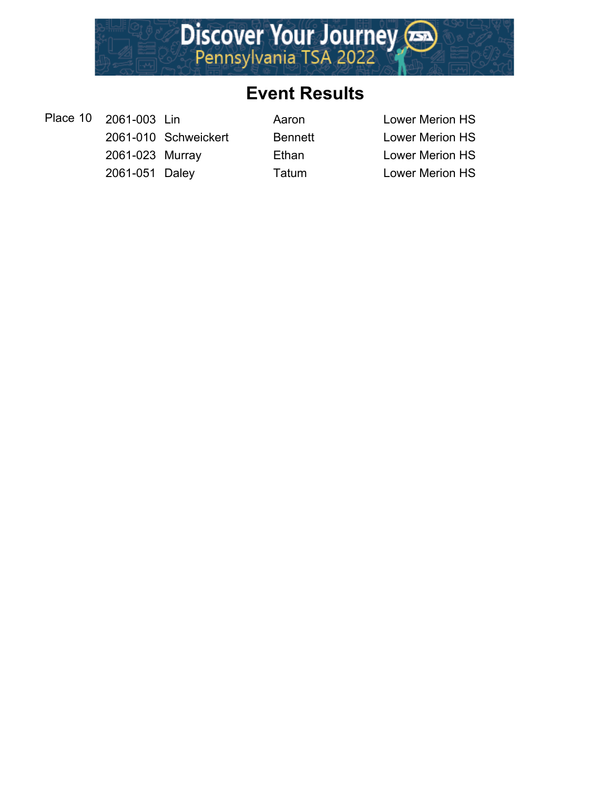

Place 10 2061-003 Lin Aaron Aaron Lower Merion HS 2061-010 Schweickert Bennett Lower Merion HS 2061-023 Murray Ethan Lower Merion HS 2061-051 Daley Tatum Lower Merion HS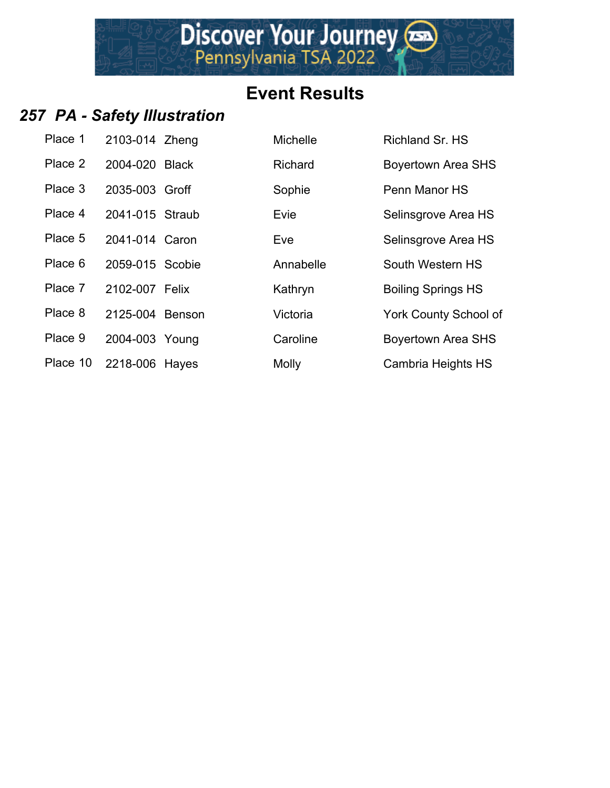#### *257 PA - Safety Illustration*

| Place 1  | 2103-014 Zheng  |  |
|----------|-----------------|--|
| Place 2  | 2004-020 Black  |  |
| Place 3  | 2035-003 Groff  |  |
| Place 4  | 2041-015 Straub |  |
| Place 5  | 2041-014 Caron  |  |
| Place 6  | 2059-015 Scobie |  |
| Place 7  | 2102-007 Felix  |  |
| Place 8  | 2125-004 Benson |  |
| Place 9  | 2004-003 Young  |  |
| Place 10 | 2218-006 Hayes  |  |

| Place 1  | 2103-014 Zheng  | <b>Michelle</b> | Richland Sr. HS           |
|----------|-----------------|-----------------|---------------------------|
| Place 2  | 2004-020 Black  | Richard         | <b>Boyertown Area SHS</b> |
| Place 3  | 2035-003 Groff  | Sophie          | Penn Manor HS             |
| Place 4  | 2041-015 Straub | Evie            | Selinsgrove Area HS       |
| Place 5  | 2041-014 Caron  | Eve             | Selinsgrove Area HS       |
| Place 6  | 2059-015 Scobie | Annabelle       | South Western HS          |
| Place 7  | 2102-007 Felix  | Kathryn         | <b>Boiling Springs HS</b> |
| Place 8  | 2125-004 Benson | Victoria        | York County School of     |
| Place 9  | 2004-003 Young  | Caroline        | <b>Boyertown Area SHS</b> |
| Place 10 | 2218-006 Hayes  | <b>Molly</b>    | Cambria Heights HS        |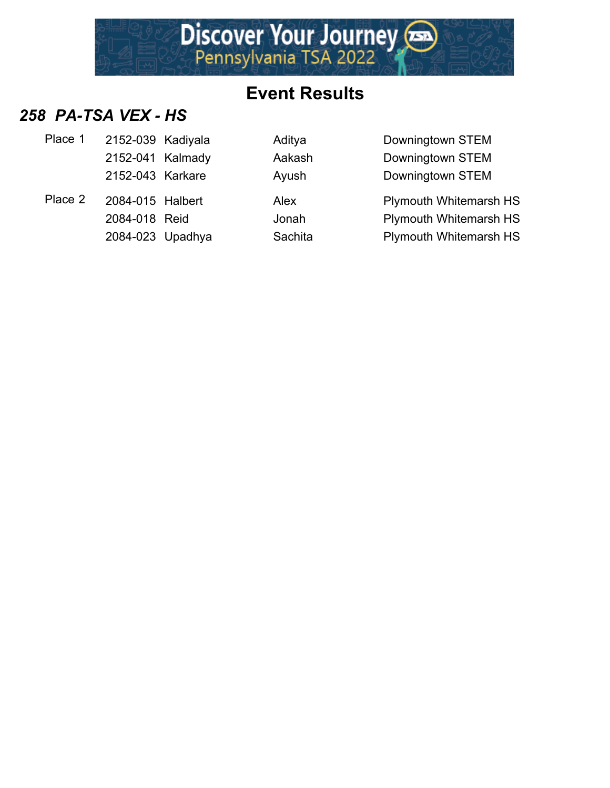

#### *258 PA-TSA VEX - HS*

| Place 1 | 2152-039 Kadiyala | Aditya  | Downingtown STEM              |
|---------|-------------------|---------|-------------------------------|
|         | 2152-041 Kalmady  | Aakash  | Downingtown STEM              |
|         | 2152-043 Karkare  | Ayush   | Downingtown STEM              |
| Place 2 | 2084-015 Halbert  | Alex    | <b>Plymouth Whitemarsh HS</b> |
|         | 2084-018 Reid     | Jonah   | <b>Plymouth Whitemarsh HS</b> |
|         | 2084-023 Upadhya  | Sachita | <b>Plymouth Whitemarsh HS</b> |
|         |                   |         |                               |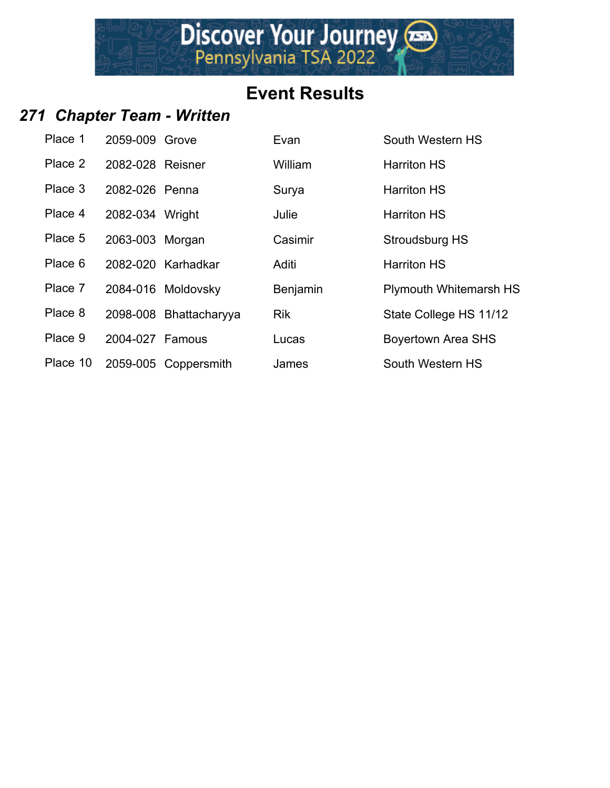## **Event Results**

Discover Your Journey

## *271 Chapter Team - Written*

| Place 1  | 2059-009 Grove   |                        | Evan       | South Western HS              |
|----------|------------------|------------------------|------------|-------------------------------|
| Place 2  | 2082-028 Reisner |                        | William    | <b>Harriton HS</b>            |
| Place 3  | 2082-026 Penna   |                        | Surya      | <b>Harriton HS</b>            |
| Place 4  | 2082-034 Wright  |                        | Julie      | <b>Harriton HS</b>            |
| Place 5  | 2063-003 Morgan  |                        | Casimir    | Stroudsburg HS                |
| Place 6  |                  | 2082-020 Karhadkar     | Aditi      | <b>Harriton HS</b>            |
| Place 7  |                  | 2084-016 Moldovsky     | Benjamin   | <b>Plymouth Whitemarsh HS</b> |
| Place 8  |                  | 2098-008 Bhattacharyya | <b>Rik</b> | State College HS 11/12        |
| Place 9  | 2004-027 Famous  |                        | Lucas      | <b>Boyertown Area SHS</b>     |
| Place 10 |                  | 2059-005 Coppersmith   | James      | South Western HS              |